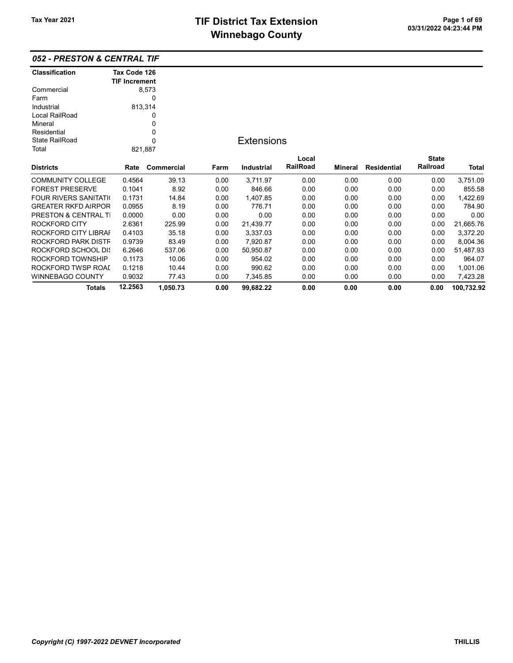ROCKFORD TWSP ROAD 0.1218 10.44 0.00 990.62 0.00 0.00 0.00 0.00 1,001.06 WINNEBAGO COUNTY 0.9032 77.43 0.00 7,345.85 0.00 0.00 0.00 0.00 7,423.28

Totals 12.2563 1,050.73 0.00 99,682.22 0.00 0.00 0.00 0.00 100,732.92

| <b>052 - PRESTON &amp; CENTRAL TIF</b> |                                      |            |      |                   |          |         |                    |              |           |
|----------------------------------------|--------------------------------------|------------|------|-------------------|----------|---------|--------------------|--------------|-----------|
| <b>Classification</b>                  | Tax Code 126<br><b>TIF Increment</b> |            |      |                   |          |         |                    |              |           |
| Commercial                             |                                      | 8,573      |      |                   |          |         |                    |              |           |
| Farm                                   |                                      | $\Omega$   |      |                   |          |         |                    |              |           |
| Industrial                             |                                      | 813,314    |      |                   |          |         |                    |              |           |
| Local RailRoad                         |                                      | 0          |      |                   |          |         |                    |              |           |
| Mineral                                |                                      | 0          |      |                   |          |         |                    |              |           |
| Residential                            |                                      | 0          |      |                   |          |         |                    |              |           |
| State RailRoad                         |                                      | 0          |      | <b>Extensions</b> |          |         |                    |              |           |
| Total                                  |                                      | 821,887    |      |                   |          |         |                    |              |           |
|                                        |                                      |            |      |                   | Local    |         |                    | <b>State</b> |           |
| <b>Districts</b>                       | Rate                                 | Commercial | Farm | Industrial        | RailRoad | Mineral | <b>Residential</b> | Railroad     | Total     |
| <b>COMMUNITY COLLEGE</b>               | 0.4564                               | 39.13      | 0.00 | 3,711.97          | 0.00     | 0.00    | 0.00               | 0.00         | 3,751.09  |
| <b>FOREST PRESERVE</b>                 | 0.1041                               | 8.92       | 0.00 | 846.66            | 0.00     | 0.00    | 0.00               | 0.00         | 855.58    |
| <b>FOUR RIVERS SANITATION</b>          | 0.1731                               | 14.84      | 0.00 | 1,407.85          | 0.00     | 0.00    | 0.00               | 0.00         | 1,422.69  |
| <b>GREATER RKFD AIRPOR</b>             | 0.0955                               | 8.19       | 0.00 | 776.71            | 0.00     | 0.00    | 0.00               | 0.00         | 784.90    |
| <b>PRESTON &amp; CENTRAL TI</b>        | 0.0000                               | 0.00       | 0.00 | 0.00              | 0.00     | 0.00    | 0.00               | 0.00         | 0.00      |
| ROCKFORD CITY                          | 2.6361                               | 225.99     | 0.00 | 21,439.77         | 0.00     | 0.00    | 0.00               | 0.00         | 21,665.76 |
| ROCKFORD CITY LIBRAI                   | 0.4103                               | 35.18      | 0.00 | 3,337.03          | 0.00     | 0.00    | 0.00               | 0.00         | 3,372.20  |
| ROCKFORD PARK DISTF                    | 0.9739                               | 83.49      | 0.00 | 7,920.87          | 0.00     | 0.00    | 0.00               | 0.00         | 8,004.36  |
| <b>ROCKFORD SCHOOL DIS</b>             | 6.2646                               | 537.06     | 0.00 | 50,950.87         | 0.00     | 0.00    | 0.00               | 0.00         | 51,487.93 |
| ROCKFORD TOWNSHIP                      | 0.1173                               | 10.06      | 0.00 | 954.02            | 0.00     | 0.00    | 0.00               | 0.00         | 964.07    |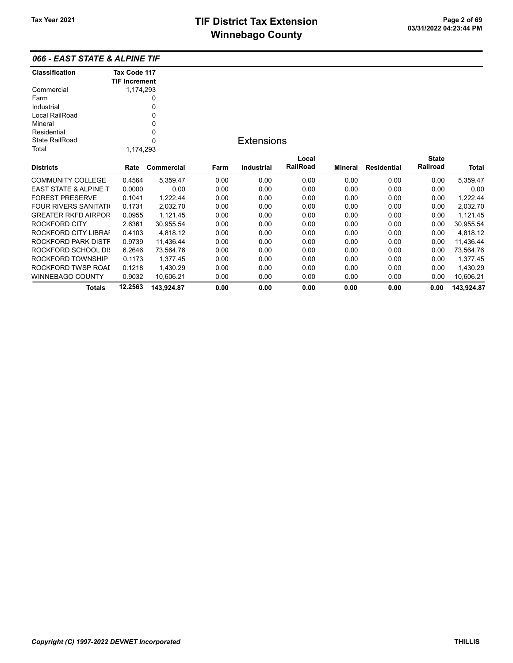066 - EAST STATE & ALPINE TIF

| <b>Classification</b> | Tax Code 117         |            |      |                   |          |         |                    |              |            |
|-----------------------|----------------------|------------|------|-------------------|----------|---------|--------------------|--------------|------------|
|                       | <b>TIF Increment</b> |            |      |                   |          |         |                    |              |            |
| Commercial            | 1,174,293            |            |      |                   |          |         |                    |              |            |
| Farm                  |                      | 0          |      |                   |          |         |                    |              |            |
| Industrial            |                      | 0          |      |                   |          |         |                    |              |            |
| Local RailRoad        |                      | 0          |      |                   |          |         |                    |              |            |
| Mineral               |                      | 0          |      |                   |          |         |                    |              |            |
| Residential           |                      | 0          |      |                   |          |         |                    |              |            |
| <b>State RailRoad</b> |                      | 0          |      | <b>Extensions</b> |          |         |                    |              |            |
| Total                 | 1,174,293            |            |      |                   |          |         |                    |              |            |
|                       |                      |            |      |                   | Local    |         |                    | <b>State</b> |            |
| Districts             | Rate                 | Commercial | Farm | <b>Industrial</b> | RailRoad | Mineral | <b>Residential</b> | Railroad     | Total      |
| COMMUNITY COLLEGE     | 0.4564               | 5,359.47   | 0.00 | 0.00              | 0.00     | 0.00    | 0.00               | 0.00         | 5,359.47   |
| EAST STATE & ALPINE T | 0.0000               | 0.00       | 0.00 | 0.00              | 0.00     | 0.00    | 0.00               | 0.00         | 0.00       |
| FOREST PRESERVE       | 0.1041               | 1,222.44   | 0.00 | 0.00              | 0.00     | 0.00    | 0.00               | 0.00         | 1,222.44   |
| FOUR RIVERS SANITATI( | 0.1731               | 2,032.70   | 0.00 | 0.00              | 0.00     | 0.00    | 0.00               | 0.00         | 2,032.70   |
| GREATER RKFD AIRPOR   | 0.0955               | 1,121.45   | 0.00 | 0.00              | 0.00     | 0.00    | 0.00               | 0.00         | 1,121.45   |
| ROCKFORD CITY         | 2.6361               | 30,955.54  | 0.00 | 0.00              | 0.00     | 0.00    | 0.00               | 0.00         | 30,955.54  |
| ROCKFORD CITY LIBRAI  | 0.4103               | 4,818.12   | 0.00 | 0.00              | 0.00     | 0.00    | 0.00               | 0.00         | 4,818.12   |
| ROCKFORD PARK DISTF   | 0.9739               | 11,436.44  | 0.00 | 0.00              | 0.00     | 0.00    | 0.00               | 0.00         | 11,436.44  |
| ROCKFORD SCHOOL DI{   | 6.2646               | 73.564.76  | 0.00 | 0.00              | 0.00     | 0.00    | 0.00               | 0.00         | 73,564.76  |
| ROCKFORD TOWNSHIP     | 0.1173               | 1,377.45   | 0.00 | 0.00              | 0.00     | 0.00    | 0.00               | 0.00         | 1,377.45   |
| ROCKFORD TWSP ROAI    | 0.1218               | 1,430.29   | 0.00 | 0.00              | 0.00     | 0.00    | 0.00               | 0.00         | 1,430.29   |
| WINNEBAGO COUNTY      | 0.9032               | 10,606.21  | 0.00 | 0.00              | 0.00     | 0.00    | 0.00               | 0.00         | 10,606.21  |
| <b>Totals</b>         | 12.2563              | 143,924.87 | 0.00 | 0.00              | 0.00     | 0.00    | 0.00               | 0.00         | 143,924.87 |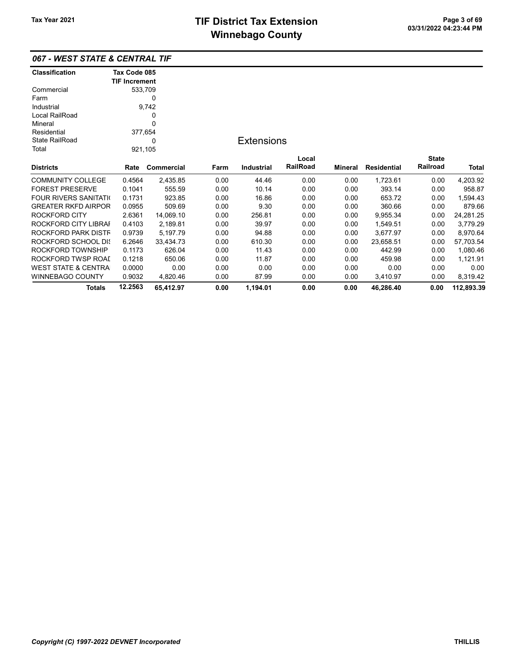|                       | 067 - WEST STATE & CENTRAL TIF |  |
|-----------------------|--------------------------------|--|
| <b>Classification</b> | Tax Code 085                   |  |
|                       | <b>TIF Increment</b>           |  |

| Commercial                     |         | 533,709    |      |                   |          |         |                    |              |            |
|--------------------------------|---------|------------|------|-------------------|----------|---------|--------------------|--------------|------------|
| Farm                           |         | 0          |      |                   |          |         |                    |              |            |
| Industrial                     |         | 9,742      |      |                   |          |         |                    |              |            |
| Local RailRoad                 |         | 0          |      |                   |          |         |                    |              |            |
| Mineral                        |         | 0          |      |                   |          |         |                    |              |            |
| Residential                    |         | 377,654    |      |                   |          |         |                    |              |            |
| <b>State RailRoad</b>          |         | 0          |      | <b>Extensions</b> |          |         |                    |              |            |
| Total                          |         | 921,105    |      |                   |          |         |                    |              |            |
|                                |         |            |      |                   | Local    |         |                    | <b>State</b> |            |
| <b>Districts</b>               | Rate    | Commercial | Farm | Industrial        | RailRoad | Mineral | <b>Residential</b> | Railroad     | Total      |
| <b>COMMUNITY COLLEGE</b>       | 0.4564  | 2,435.85   | 0.00 | 44.46             | 0.00     | 0.00    | 1,723.61           | 0.00         | 4,203.92   |
| <b>FOREST PRESERVE</b>         | 0.1041  | 555.59     | 0.00 | 10.14             | 0.00     | 0.00    | 393.14             | 0.00         | 958.87     |
| <b>FOUR RIVERS SANITATI</b>    | 0.1731  | 923.85     | 0.00 | 16.86             | 0.00     | 0.00    | 653.72             | 0.00         | 1,594.43   |
| <b>GREATER RKFD AIRPOR</b>     | 0.0955  | 509.69     | 0.00 | 9.30              | 0.00     | 0.00    | 360.66             | 0.00         | 879.66     |
| <b>ROCKFORD CITY</b>           | 2.6361  | 14,069.10  | 0.00 | 256.81            | 0.00     | 0.00    | 9,955.34           | 0.00         | 24,281.25  |
| ROCKFORD CITY LIBRAI           | 0.4103  | 2,189.81   | 0.00 | 39.97             | 0.00     | 0.00    | 1,549.51           | 0.00         | 3,779.29   |
| ROCKFORD PARK DISTF            | 0.9739  | 5,197.79   | 0.00 | 94.88             | 0.00     | 0.00    | 3,677.97           | 0.00         | 8,970.64   |
| <b>ROCKFORD SCHOOL DIS</b>     | 6.2646  | 33,434.73  | 0.00 | 610.30            | 0.00     | 0.00    | 23,658.51          | 0.00         | 57,703.54  |
| ROCKFORD TOWNSHIP              | 0.1173  | 626.04     | 0.00 | 11.43             | 0.00     | 0.00    | 442.99             | 0.00         | 1,080.46   |
| ROCKFORD TWSP ROAI             | 0.1218  | 650.06     | 0.00 | 11.87             | 0.00     | 0.00    | 459.98             | 0.00         | 1,121.91   |
| <b>WEST STATE &amp; CENTRA</b> | 0.0000  | 0.00       | 0.00 | 0.00              | 0.00     | 0.00    | 0.00               | 0.00         | 0.00       |
| WINNEBAGO COUNTY               | 0.9032  | 4,820.46   | 0.00 | 87.99             | 0.00     | 0.00    | 3,410.97           | 0.00         | 8,319.42   |
| <b>Totals</b>                  | 12.2563 | 65,412.97  | 0.00 | 1,194.01          | 0.00     | 0.00    | 46,286.40          | 0.00         | 112,893.39 |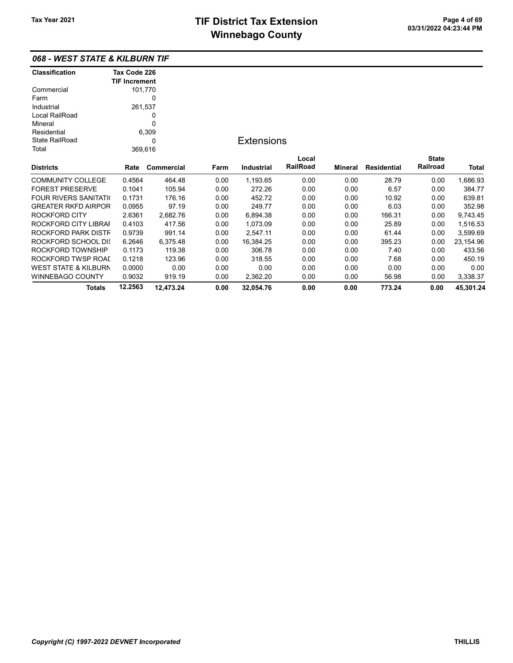### 068 - WEST STATE & KILBURN TIF

| <b>Classification</b>      | Tax Code 226         |            |      |                   |          |                |                    |              |           |
|----------------------------|----------------------|------------|------|-------------------|----------|----------------|--------------------|--------------|-----------|
|                            | <b>TIF Increment</b> |            |      |                   |          |                |                    |              |           |
| Commercial                 |                      | 101,770    |      |                   |          |                |                    |              |           |
| Farm                       |                      | 0          |      |                   |          |                |                    |              |           |
| Industrial                 | 261,537              |            |      |                   |          |                |                    |              |           |
| Local RailRoad             |                      | 0          |      |                   |          |                |                    |              |           |
| Mineral                    |                      | 0          |      |                   |          |                |                    |              |           |
| Residential                |                      | 6,309      |      |                   |          |                |                    |              |           |
| <b>State RailRoad</b>      |                      | 0          |      | <b>Extensions</b> |          |                |                    |              |           |
| Total                      | 369,616              |            |      |                   |          |                |                    |              |           |
|                            |                      |            |      |                   | Local    |                |                    | <b>State</b> |           |
| <b>Districts</b>           | Rate                 | Commercial | Farm | <b>Industrial</b> | RailRoad | <b>Mineral</b> | <b>Residential</b> | Railroad     | Total     |
| <b>COMMUNITY COLLEGE</b>   | 0.4564               | 464.48     | 0.00 | 1,193.65          | 0.00     | 0.00           | 28.79              | 0.00         | 1,686.93  |
| <b>FOREST PRESERVE</b>     | 0.1041               | 105.94     | 0.00 | 272.26            | 0.00     | 0.00           | 6.57               | 0.00         | 384.77    |
| FOUR RIVERS SANITATI(      | 0.1731               | 176.16     | 0.00 | 452.72            | 0.00     | 0.00           | 10.92              | 0.00         | 639.81    |
| <b>GREATER RKFD AIRPOR</b> | 0.0955               | 97.19      | 0.00 | 249.77            | 0.00     | 0.00           | 6.03               | 0.00         | 352.98    |
| ROCKFORD CITY              | 2.6361               | 2,682.76   | 0.00 | 6,894.38          | 0.00     | 0.00           | 166.31             | 0.00         | 9,743.45  |
| ROCKFORD CITY LIBRAI       | 0.4103               | 417.56     | 0.00 | 1,073.09          | 0.00     | 0.00           | 25.89              | 0.00         | 1,516.53  |
| ROCKFORD PARK DISTF        | 0.9739               | 991.14     | 0.00 | 2,547.11          | 0.00     | 0.00           | 61.44              | 0.00         | 3,599.69  |
| ROCKFORD SCHOOL DIS        | 6.2646               | 6,375.48   | 0.00 | 16,384.25         | 0.00     | 0.00           | 395.23             | 0.00         | 23,154.96 |
| ROCKFORD TOWNSHIP          | 0.1173               | 119.38     | 0.00 | 306.78            | 0.00     | 0.00           | 7.40               | 0.00         | 433.56    |
| ROCKFORD TWSP ROAI         | 0.1218               | 123.96     | 0.00 | 318.55            | 0.00     | 0.00           | 7.68               | 0.00         | 450.19    |
| WEST STATE & KILBURN       | 0.0000               | 0.00       | 0.00 | 0.00              | 0.00     | 0.00           | 0.00               | 0.00         | 0.00      |
| WINNEBAGO COUNTY           | 0.9032               | 919.19     | 0.00 | 2,362.20          | 0.00     | 0.00           | 56.98              | 0.00         | 3,338.37  |
| <b>Totals</b>              | 12.2563              | 12,473.24  | 0.00 | 32,054.76         | 0.00     | 0.00           | 773.24             | 0.00         | 45,301.24 |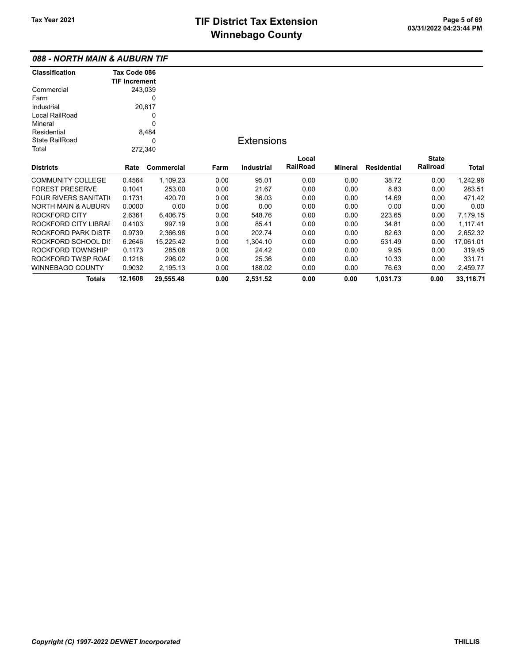### 088 - NORTH MAIN & AUBURN TIF

| <b>Classification</b>          | Tax Code 086         |            |      |                   |                 |         |                    |              |           |
|--------------------------------|----------------------|------------|------|-------------------|-----------------|---------|--------------------|--------------|-----------|
|                                | <b>TIF Increment</b> |            |      |                   |                 |         |                    |              |           |
| Commercial                     | 243,039              |            |      |                   |                 |         |                    |              |           |
| Farm                           |                      | 0          |      |                   |                 |         |                    |              |           |
| Industrial                     |                      | 20,817     |      |                   |                 |         |                    |              |           |
| Local RailRoad                 |                      | 0          |      |                   |                 |         |                    |              |           |
| Mineral                        |                      | 0          |      |                   |                 |         |                    |              |           |
| Residential                    |                      | 8,484      |      |                   |                 |         |                    |              |           |
| <b>State RailRoad</b>          |                      | 0          |      | <b>Extensions</b> |                 |         |                    |              |           |
| Total                          | 272,340              |            |      |                   |                 |         |                    |              |           |
|                                |                      |            |      |                   | Local           |         |                    | <b>State</b> |           |
| <b>Districts</b>               | Rate                 | Commercial | Farm | Industrial        | <b>RailRoad</b> | Mineral | <b>Residential</b> | Railroad     | Total     |
| <b>COMMUNITY COLLEGE</b>       | 0.4564               | 1,109.23   | 0.00 | 95.01             | 0.00            | 0.00    | 38.72              | 0.00         | 1,242.96  |
| <b>FOREST PRESERVE</b>         | 0.1041               | 253.00     | 0.00 | 21.67             | 0.00            | 0.00    | 8.83               | 0.00         | 283.51    |
| <b>FOUR RIVERS SANITATI</b>    | 0.1731               | 420.70     | 0.00 | 36.03             | 0.00            | 0.00    | 14.69              | 0.00         | 471.42    |
| <b>NORTH MAIN &amp; AUBURN</b> | 0.0000               | 0.00       | 0.00 | 0.00              | 0.00            | 0.00    | 0.00               | 0.00         | 0.00      |
| <b>ROCKFORD CITY</b>           | 2.6361               | 6,406.75   | 0.00 | 548.76            | 0.00            | 0.00    | 223.65             | 0.00         | 7,179.15  |
| ROCKFORD CITY LIBRAI           | 0.4103               | 997.19     | 0.00 | 85.41             | 0.00            | 0.00    | 34.81              | 0.00         | 1,117.41  |
| ROCKFORD PARK DISTF            | 0.9739               | 2,366.96   | 0.00 | 202.74            | 0.00            | 0.00    | 82.63              | 0.00         | 2,652.32  |
| ROCKFORD SCHOOL DIS            | 6.2646               | 15,225.42  | 0.00 | 1,304.10          | 0.00            | 0.00    | 531.49             | 0.00         | 17,061.01 |
| ROCKFORD TOWNSHIP              | 0.1173               | 285.08     | 0.00 | 24.42             | 0.00            | 0.00    | 9.95               | 0.00         | 319.45    |
| ROCKFORD TWSP ROAI             | 0.1218               | 296.02     | 0.00 | 25.36             | 0.00            | 0.00    | 10.33              | 0.00         | 331.71    |
| WINNEBAGO COUNTY               | 0.9032               | 2,195.13   | 0.00 | 188.02            | 0.00            | 0.00    | 76.63              | 0.00         | 2,459.77  |
| Totals                         | 12.1608              | 29,555.48  | 0.00 | 2,531.52          | 0.00            | 0.00    | 1,031.73           | 0.00         | 33,118.71 |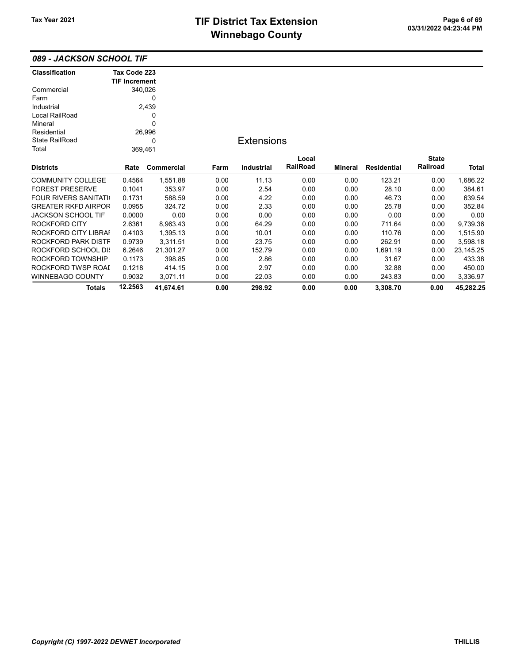| 089 - JACKSON SCHOOL TIF |  |
|--------------------------|--|
|--------------------------|--|

| <b>Classification</b>         | Tax Code 223         |              |      |                   |          |         |                    |              |           |
|-------------------------------|----------------------|--------------|------|-------------------|----------|---------|--------------------|--------------|-----------|
|                               | <b>TIF Increment</b> |              |      |                   |          |         |                    |              |           |
| Commercial                    |                      | 340,026<br>0 |      |                   |          |         |                    |              |           |
| Farm                          |                      |              |      |                   |          |         |                    |              |           |
| Industrial                    |                      | 2,439        |      |                   |          |         |                    |              |           |
| Local RailRoad                |                      | 0            |      |                   |          |         |                    |              |           |
| Mineral                       |                      | 0            |      |                   |          |         |                    |              |           |
| Residential                   |                      | 26,996       |      |                   |          |         |                    |              |           |
| <b>State RailRoad</b>         |                      | 0            |      | <b>Extensions</b> |          |         |                    |              |           |
| Total                         |                      | 369,461      |      |                   |          |         |                    |              |           |
|                               |                      |              |      |                   | Local    |         |                    | <b>State</b> |           |
| <b>Districts</b>              | Rate                 | Commercial   | Farm | <b>Industrial</b> | RailRoad | Mineral | <b>Residential</b> | Railroad     | Total     |
| <b>COMMUNITY COLLEGE</b>      | 0.4564               | 1,551.88     | 0.00 | 11.13             | 0.00     | 0.00    | 123.21             | 0.00         | 1,686.22  |
| <b>FOREST PRESERVE</b>        | 0.1041               | 353.97       | 0.00 | 2.54              | 0.00     | 0.00    | 28.10              | 0.00         | 384.61    |
| <b>FOUR RIVERS SANITATION</b> | 0.1731               | 588.59       | 0.00 | 4.22              | 0.00     | 0.00    | 46.73              | 0.00         | 639.54    |
| <b>GREATER RKFD AIRPOR</b>    | 0.0955               | 324.72       | 0.00 | 2.33              | 0.00     | 0.00    | 25.78              | 0.00         | 352.84    |
| JACKSON SCHOOL TIF            | 0.0000               | 0.00         | 0.00 | 0.00              | 0.00     | 0.00    | 0.00               | 0.00         | 0.00      |
| ROCKFORD CITY                 | 2.6361               | 8,963.43     | 0.00 | 64.29             | 0.00     | 0.00    | 711.64             | 0.00         | 9,739.36  |
| ROCKFORD CITY LIBRAI          | 0.4103               | 1,395.13     | 0.00 | 10.01             | 0.00     | 0.00    | 110.76             | 0.00         | 1,515.90  |
| ROCKFORD PARK DISTF           | 0.9739               | 3,311.51     | 0.00 | 23.75             | 0.00     | 0.00    | 262.91             | 0.00         | 3,598.18  |
| ROCKFORD SCHOOL DIS           | 6.2646               | 21,301.27    | 0.00 | 152.79            | 0.00     | 0.00    | 1,691.19           | 0.00         | 23,145.25 |
| ROCKFORD TOWNSHIP             | 0.1173               | 398.85       | 0.00 | 2.86              | 0.00     | 0.00    | 31.67              | 0.00         | 433.38    |
| ROCKFORD TWSP ROAI            | 0.1218               | 414.15       | 0.00 | 2.97              | 0.00     | 0.00    | 32.88              | 0.00         | 450.00    |
| <b>WINNEBAGO COUNTY</b>       | 0.9032               | 3,071.11     | 0.00 | 22.03             | 0.00     | 0.00    | 243.83             | 0.00         | 3,336.97  |
| Totals                        | 12.2563              | 41,674.61    | 0.00 | 298.92            | 0.00     | 0.00    | 3,308.70           | 0.00         | 45.282.25 |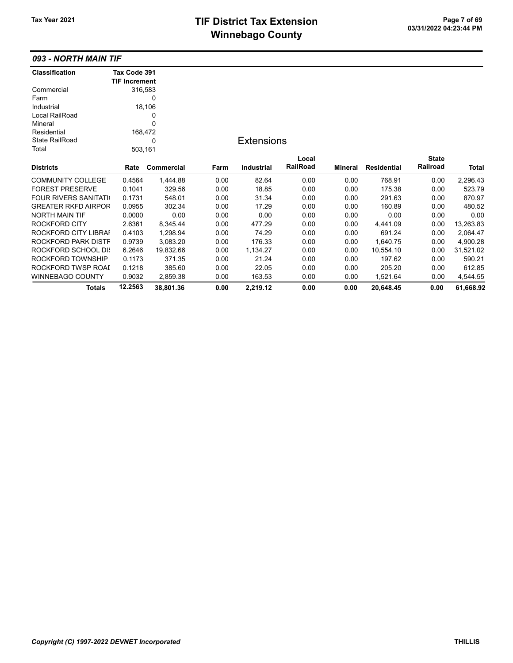# TIF District Tax Extension<br>
M's salare 2 can be also a control of the page 7 of 69 **Winnebago County**

# 093 - NORTH MAIN TIF

| <b>Classification</b>       | Tax Code 391         |            |      |                   |          |                |                    |              |           |
|-----------------------------|----------------------|------------|------|-------------------|----------|----------------|--------------------|--------------|-----------|
|                             | <b>TIF Increment</b> |            |      |                   |          |                |                    |              |           |
| Commercial                  | 316,583              |            |      |                   |          |                |                    |              |           |
| Farm                        |                      | 0          |      |                   |          |                |                    |              |           |
| Industrial                  |                      | 18,106     |      |                   |          |                |                    |              |           |
| Local RailRoad              |                      | 0          |      |                   |          |                |                    |              |           |
| Mineral                     |                      | 0          |      |                   |          |                |                    |              |           |
| Residential                 | 168,472              |            |      |                   |          |                |                    |              |           |
| <b>State RailRoad</b>       |                      | 0          |      | <b>Extensions</b> |          |                |                    |              |           |
| Total                       | 503,161              |            |      |                   |          |                |                    |              |           |
|                             |                      |            |      |                   | Local    |                |                    | <b>State</b> |           |
| <b>Districts</b>            | Rate                 | Commercial | Farm | <b>Industrial</b> | RailRoad | <b>Mineral</b> | <b>Residential</b> | Railroad     | Total     |
| <b>COMMUNITY COLLEGE</b>    | 0.4564               | 1,444.88   | 0.00 | 82.64             | 0.00     | 0.00           | 768.91             | 0.00         | 2,296.43  |
| <b>FOREST PRESERVE</b>      | 0.1041               | 329.56     | 0.00 | 18.85             | 0.00     | 0.00           | 175.38             | 0.00         | 523.79    |
| <b>FOUR RIVERS SANITATI</b> | 0.1731               | 548.01     | 0.00 | 31.34             | 0.00     | 0.00           | 291.63             | 0.00         | 870.97    |
| <b>GREATER RKFD AIRPOR</b>  | 0.0955               | 302.34     | 0.00 | 17.29             | 0.00     | 0.00           | 160.89             | 0.00         | 480.52    |
| <b>NORTH MAIN TIF</b>       | 0.0000               | 0.00       | 0.00 | 0.00              | 0.00     | 0.00           | 0.00               | 0.00         | 0.00      |
| ROCKFORD CITY               | 2.6361               | 8,345.44   | 0.00 | 477.29            | 0.00     | 0.00           | 4,441.09           | 0.00         | 13,263.83 |
| ROCKFORD CITY LIBRAI        | 0.4103               | 1,298.94   | 0.00 | 74.29             | 0.00     | 0.00           | 691.24             | 0.00         | 2,064.47  |
| ROCKFORD PARK DISTF         | 0.9739               | 3,083.20   | 0.00 | 176.33            | 0.00     | 0.00           | 1,640.75           | 0.00         | 4,900.28  |
| ROCKFORD SCHOOL DIS         | 6.2646               | 19,832.66  | 0.00 | 1,134.27          | 0.00     | 0.00           | 10,554.10          | 0.00         | 31,521.02 |
| ROCKFORD TOWNSHIP           | 0.1173               | 371.35     | 0.00 | 21.24             | 0.00     | 0.00           | 197.62             | 0.00         | 590.21    |
| ROCKFORD TWSP ROAI          | 0.1218               | 385.60     | 0.00 | 22.05             | 0.00     | 0.00           | 205.20             | 0.00         | 612.85    |
| <b>WINNEBAGO COUNTY</b>     | 0.9032               | 2,859.38   | 0.00 | 163.53            | 0.00     | 0.00           | 1,521.64           | 0.00         | 4,544.55  |
| <b>Totals</b>               | 12.2563              | 38,801.36  | 0.00 | 2,219.12          | 0.00     | 0.00           | 20,648.45          | 0.00         | 61,668.92 |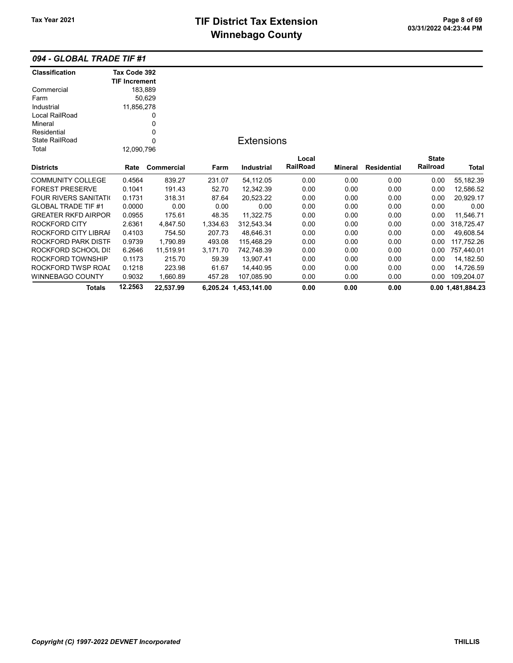# TIF District Tax Extension<br>
M's sales and Ostandard Control Control Control Control Control Control Control Control Control Control Control Control Control Control Control Control Control Control Control Control Control Co **Winnebago County**

#### 094 - GLOBAL TRADE TIF #1

| <b>Classification</b>       | Tax Code 392         |            |          |                       |                 |         |                    |              |                   |
|-----------------------------|----------------------|------------|----------|-----------------------|-----------------|---------|--------------------|--------------|-------------------|
|                             | <b>TIF Increment</b> |            |          |                       |                 |         |                    |              |                   |
| Commercial                  | 183,889              |            |          |                       |                 |         |                    |              |                   |
| Farm                        |                      | 50,629     |          |                       |                 |         |                    |              |                   |
| Industrial                  | 11,856,278           |            |          |                       |                 |         |                    |              |                   |
| Local RailRoad              |                      | 0          |          |                       |                 |         |                    |              |                   |
| Mineral                     |                      | 0          |          |                       |                 |         |                    |              |                   |
| Residential                 |                      | 0          |          |                       |                 |         |                    |              |                   |
| <b>State RailRoad</b>       |                      | 0          |          | <b>Extensions</b>     |                 |         |                    |              |                   |
| Total                       | 12,090,796           |            |          |                       |                 |         |                    |              |                   |
|                             |                      |            |          |                       | Local           |         |                    | <b>State</b> |                   |
| <b>Districts</b>            | Rate                 | Commercial | Farm     | <b>Industrial</b>     | <b>RailRoad</b> | Mineral | <b>Residential</b> | Railroad     | Total             |
| <b>COMMUNITY COLLEGE</b>    | 0.4564               | 839.27     | 231.07   | 54,112.05             | 0.00            | 0.00    | 0.00               | 0.00         | 55,182.39         |
| <b>FOREST PRESERVE</b>      | 0.1041               | 191.43     | 52.70    | 12,342.39             | 0.00            | 0.00    | 0.00               | 0.00         | 12,586.52         |
| <b>FOUR RIVERS SANITATI</b> | 0.1731               | 318.31     | 87.64    | 20,523.22             | 0.00            | 0.00    | 0.00               | 0.00         | 20,929.17         |
| <b>GLOBAL TRADE TIF #1</b>  | 0.0000               | 0.00       | 0.00     | 0.00                  | 0.00            | 0.00    | 0.00               | 0.00         | 0.00              |
| <b>GREATER RKFD AIRPOR</b>  | 0.0955               | 175.61     | 48.35    | 11,322.75             | 0.00            | 0.00    | 0.00               | 0.00         | 11,546.71         |
| <b>ROCKFORD CITY</b>        | 2.6361               | 4,847.50   | 1,334.63 | 312,543.34            | 0.00            | 0.00    | 0.00               | 0.00         | 318,725.47        |
| ROCKFORD CITY LIBRAI        | 0.4103               | 754.50     | 207.73   | 48,646.31             | 0.00            | 0.00    | 0.00               | 0.00         | 49,608.54         |
| ROCKFORD PARK DISTF         | 0.9739               | 1,790.89   | 493.08   | 115,468.29            | 0.00            | 0.00    | 0.00               | 0.00         | 117,752.26        |
| <b>ROCKFORD SCHOOL DK</b>   | 6.2646               | 11,519.91  | 3,171.70 | 742.748.39            | 0.00            | 0.00    | 0.00               | 0.00         | 757,440.01        |
| ROCKFORD TOWNSHIP           | 0.1173               | 215.70     | 59.39    | 13,907.41             | 0.00            | 0.00    | 0.00               | 0.00         | 14,182.50         |
| ROCKFORD TWSP ROAI          | 0.1218               | 223.98     | 61.67    | 14,440.95             | 0.00            | 0.00    | 0.00               | 0.00         | 14,726.59         |
| WINNEBAGO COUNTY            | 0.9032               | 1,660.89   | 457.28   | 107.085.90            | 0.00            | 0.00    | 0.00               | 0.00         | 109,204.07        |
| Totals                      | 12.2563              | 22,537.99  |          | 6,205.24 1,453,141.00 | 0.00            | 0.00    | 0.00               |              | 0.00 1,481,884.23 |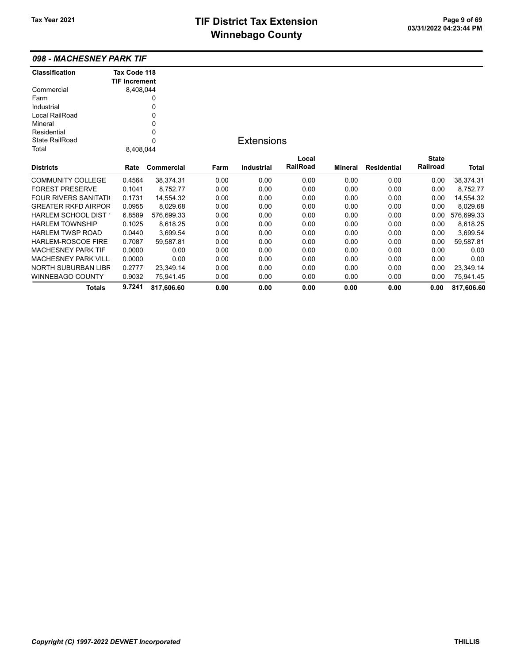#### 098 - MACHESNEY PARK TIF

| <b>Classification</b>         | Tax Code 118         |            |      |                   |          |         |                    |              |            |
|-------------------------------|----------------------|------------|------|-------------------|----------|---------|--------------------|--------------|------------|
|                               | <b>TIF Increment</b> |            |      |                   |          |         |                    |              |            |
| Commercial                    | 8,408,044            |            |      |                   |          |         |                    |              |            |
| Farm                          |                      | 0          |      |                   |          |         |                    |              |            |
| Industrial                    |                      | 0          |      |                   |          |         |                    |              |            |
| Local RailRoad                |                      | 0          |      |                   |          |         |                    |              |            |
| Mineral                       |                      | 0          |      |                   |          |         |                    |              |            |
| Residential                   |                      | 0          |      |                   |          |         |                    |              |            |
| <b>State RailRoad</b>         |                      | 0          |      | <b>Extensions</b> |          |         |                    |              |            |
| Total                         | 8,408,044            |            |      |                   |          |         |                    |              |            |
|                               |                      |            |      |                   | Local    |         |                    | <b>State</b> |            |
| <b>Districts</b>              | Rate                 | Commercial | Farm | <b>Industrial</b> | RailRoad | Mineral | <b>Residential</b> | Railroad     | Total      |
| <b>COMMUNITY COLLEGE</b>      | 0.4564               | 38,374.31  | 0.00 | 0.00              | 0.00     | 0.00    | 0.00               | 0.00         | 38,374.31  |
| <b>FOREST PRESERVE</b>        | 0.1041               | 8,752.77   | 0.00 | 0.00              | 0.00     | 0.00    | 0.00               | 0.00         | 8,752.77   |
| <b>FOUR RIVERS SANITATION</b> | 0.1731               | 14,554.32  | 0.00 | 0.00              | 0.00     | 0.00    | 0.00               | 0.00         | 14,554.32  |
| <b>GREATER RKFD AIRPOR</b>    | 0.0955               | 8,029.68   | 0.00 | 0.00              | 0.00     | 0.00    | 0.00               | 0.00         | 8,029.68   |
| HARLEM SCHOOL DIST            | 6.8589               | 576,699.33 | 0.00 | 0.00              | 0.00     | 0.00    | 0.00               | 0.00         | 576,699.33 |
| <b>HARLEM TOWNSHIP</b>        | 0.1025               | 8,618.25   | 0.00 | 0.00              | 0.00     | 0.00    | 0.00               | 0.00         | 8,618.25   |
| <b>HARLEM TWSP ROAD</b>       | 0.0440               | 3,699.54   | 0.00 | 0.00              | 0.00     | 0.00    | 0.00               | 0.00         | 3,699.54   |
| HARLEM-ROSCOE FIRE            | 0.7087               | 59,587.81  | 0.00 | 0.00              | 0.00     | 0.00    | 0.00               | 0.00         | 59,587.81  |
| <b>MACHESNEY PARK TIF</b>     | 0.0000               | 0.00       | 0.00 | 0.00              | 0.00     | 0.00    | 0.00               | 0.00         | 0.00       |
| <b>MACHESNEY PARK VILL</b>    | 0.0000               | 0.00       | 0.00 | 0.00              | 0.00     | 0.00    | 0.00               | 0.00         | 0.00       |
| <b>NORTH SUBURBAN LIBR</b>    | 0.2777               | 23.349.14  | 0.00 | 0.00              | 0.00     | 0.00    | 0.00               | 0.00         | 23,349.14  |
| <b>WINNEBAGO COUNTY</b>       | 0.9032               | 75,941.45  | 0.00 | 0.00              | 0.00     | 0.00    | 0.00               | 0.00         | 75,941.45  |
| <b>Totals</b>                 | 9.7241               | 817,606.60 | 0.00 | 0.00              | 0.00     | 0.00    | 0.00               | 0.00         | 817,606.60 |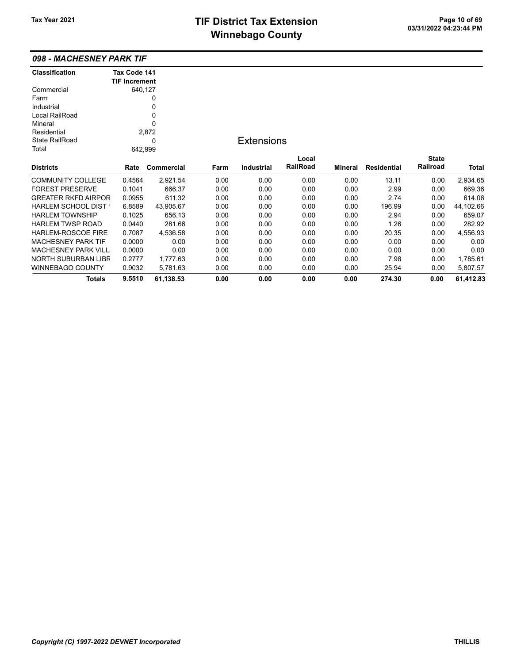# TIF District Tax Extension<br>
Mission 200 of 69<br>
Mission 200 of 200 of 200 of 200 of 200 of 200 of 200 of 200 of 200 of 200 of 200 of 200 of 200 of 200 of 200 of 200 of 200 of 200 of 200 of 200 of 200 of 200 of 200 of 200 of **Winnebago County**

| 098 - MACHESNEY PARK TIF    |                      |                   |      |                   |                 |         |                    |              |           |
|-----------------------------|----------------------|-------------------|------|-------------------|-----------------|---------|--------------------|--------------|-----------|
| <b>Classification</b>       | Tax Code 141         |                   |      |                   |                 |         |                    |              |           |
|                             | <b>TIF Increment</b> |                   |      |                   |                 |         |                    |              |           |
| Commercial                  | 640,127              |                   |      |                   |                 |         |                    |              |           |
| Farm                        |                      | 0                 |      |                   |                 |         |                    |              |           |
| Industrial                  |                      | 0                 |      |                   |                 |         |                    |              |           |
| Local RailRoad              |                      | 0                 |      |                   |                 |         |                    |              |           |
| Mineral                     |                      | 0                 |      |                   |                 |         |                    |              |           |
| Residential                 |                      | 2,872             |      |                   |                 |         |                    |              |           |
| <b>State RailRoad</b>       |                      | 0                 |      | <b>Extensions</b> |                 |         |                    |              |           |
| Total                       | 642,999              |                   |      |                   |                 |         |                    |              |           |
|                             |                      |                   |      |                   | Local           |         |                    | <b>State</b> |           |
| <b>Districts</b>            | Rate                 | <b>Commercial</b> | Farm | <b>Industrial</b> | <b>RailRoad</b> | Mineral | <b>Residential</b> | Railroad     | Total     |
| <b>COMMUNITY COLLEGE</b>    | 0.4564               | 2,921.54          | 0.00 | 0.00              | 0.00            | 0.00    | 13.11              | 0.00         | 2,934.65  |
| <b>FOREST PRESERVE</b>      | 0.1041               | 666.37            | 0.00 | 0.00              | 0.00            | 0.00    | 2.99               | 0.00         | 669.36    |
| <b>GREATER RKFD AIRPOR</b>  | 0.0955               | 611.32            | 0.00 | 0.00              | 0.00            | 0.00    | 2.74               | 0.00         | 614.06    |
| HARLEM SCHOOL DIST          | 6.8589               | 43,905.67         | 0.00 | 0.00              | 0.00            | 0.00    | 196.99             | 0.00         | 44,102.66 |
| <b>HARLEM TOWNSHIP</b>      | 0.1025               | 656.13            | 0.00 | 0.00              | 0.00            | 0.00    | 2.94               | 0.00         | 659.07    |
| <b>HARLEM TWSP ROAD</b>     | 0.0440               | 281.66            | 0.00 | 0.00              | 0.00            | 0.00    | 1.26               | 0.00         | 282.92    |
| <b>HARLEM-ROSCOE FIRE</b>   | 0.7087               | 4,536.58          | 0.00 | 0.00              | 0.00            | 0.00    | 20.35              | 0.00         | 4,556.93  |
| <b>MACHESNEY PARK TIF</b>   | 0.0000               | 0.00              | 0.00 | 0.00              | 0.00            | 0.00    | 0.00               | 0.00         | 0.00      |
| <b>MACHESNEY PARK VILL.</b> | 0.0000               | 0.00              | 0.00 | 0.00              | 0.00            | 0.00    | 0.00               | 0.00         | 0.00      |
| <b>NORTH SUBURBAN LIBR</b>  | 0.2777               | 1,777.63          | 0.00 | 0.00              | 0.00            | 0.00    | 7.98               | 0.00         | 1,785.61  |
| <b>WINNEBAGO COUNTY</b>     | 0.9032               | 5,781.63          | 0.00 | 0.00              | 0.00            | 0.00    | 25.94              | 0.00         | 5,807.57  |
| Totals                      | 9.5510               | 61,138.53         | 0.00 | 0.00              | 0.00            | 0.00    | 274.30             | 0.00         | 61.412.83 |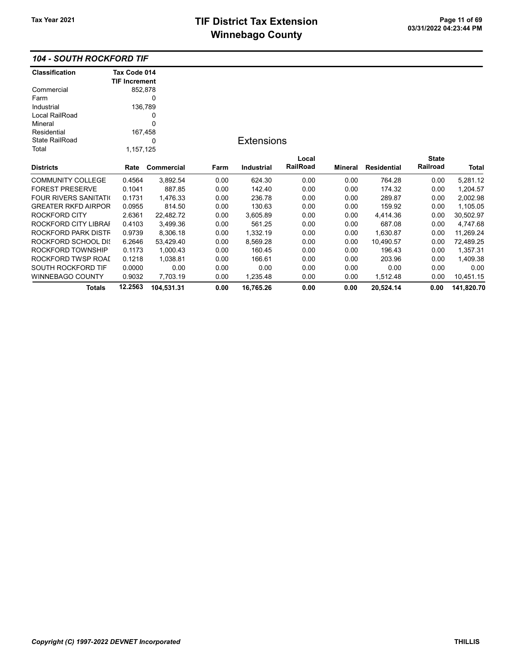### 104 - SOUTH ROCKFORD TIF

| <b>Classification</b>       | Tax Code 014         |            |      |                   |          |                |             |              |            |
|-----------------------------|----------------------|------------|------|-------------------|----------|----------------|-------------|--------------|------------|
|                             | <b>TIF Increment</b> |            |      |                   |          |                |             |              |            |
| Commercial                  | 852,878              |            |      |                   |          |                |             |              |            |
| Farm                        |                      | 0          |      |                   |          |                |             |              |            |
| Industrial                  | 136,789              |            |      |                   |          |                |             |              |            |
| Local RailRoad              |                      | 0          |      |                   |          |                |             |              |            |
| Mineral                     |                      | 0          |      |                   |          |                |             |              |            |
| Residential                 | 167,458              |            |      |                   |          |                |             |              |            |
| <b>State RailRoad</b>       |                      | 0          |      | <b>Extensions</b> |          |                |             |              |            |
| Total                       | 1,157,125            |            |      |                   |          |                |             |              |            |
|                             |                      |            |      |                   | Local    |                |             | <b>State</b> |            |
| <b>Districts</b>            | Rate                 | Commercial | Farm | <b>Industrial</b> | RailRoad | <b>Mineral</b> | Residential | Railroad     | Total      |
| <b>COMMUNITY COLLEGE</b>    | 0.4564               | 3,892.54   | 0.00 | 624.30            | 0.00     | 0.00           | 764.28      | 0.00         | 5,281.12   |
| <b>FOREST PRESERVE</b>      | 0.1041               | 887.85     | 0.00 | 142.40            | 0.00     | 0.00           | 174.32      | 0.00         | 1,204.57   |
| <b>FOUR RIVERS SANITATI</b> | 0.1731               | 1,476.33   | 0.00 | 236.78            | 0.00     | 0.00           | 289.87      | 0.00         | 2,002.98   |
| <b>GREATER RKFD AIRPOR</b>  | 0.0955               | 814.50     | 0.00 | 130.63            | 0.00     | 0.00           | 159.92      | 0.00         | 1,105.05   |
| <b>ROCKFORD CITY</b>        | 2.6361               | 22,482.72  | 0.00 | 3,605.89          | 0.00     | 0.00           | 4,414.36    | 0.00         | 30,502.97  |
| ROCKFORD CITY LIBRAI        | 0.4103               | 3,499.36   | 0.00 | 561.25            | 0.00     | 0.00           | 687.08      | 0.00         | 4,747.68   |
| ROCKFORD PARK DISTF         | 0.9739               | 8,306.18   | 0.00 | 1,332.19          | 0.00     | 0.00           | 1,630.87    | 0.00         | 11,269.24  |
| ROCKFORD SCHOOL DIS         | 6.2646               | 53,429.40  | 0.00 | 8,569.28          | 0.00     | 0.00           | 10,490.57   | 0.00         | 72,489.25  |
| ROCKFORD TOWNSHIP           | 0.1173               | 1,000.43   | 0.00 | 160.45            | 0.00     | 0.00           | 196.43      | 0.00         | 1,357.31   |
| ROCKFORD TWSP ROAD          | 0.1218               | 1,038.81   | 0.00 | 166.61            | 0.00     | 0.00           | 203.96      | 0.00         | 1,409.38   |
| SOUTH ROCKFORD TIF          | 0.0000               | 0.00       | 0.00 | 0.00              | 0.00     | 0.00           | 0.00        | 0.00         | 0.00       |
| <b>WINNEBAGO COUNTY</b>     | 0.9032               | 7,703.19   | 0.00 | 1,235.48          | 0.00     | 0.00           | 1,512.48    | 0.00         | 10,451.15  |
| <b>Totals</b>               | 12.2563              | 104,531.31 | 0.00 | 16,765.26         | 0.00     | 0.00           | 20,524.14   | 0.00         | 141,820.70 |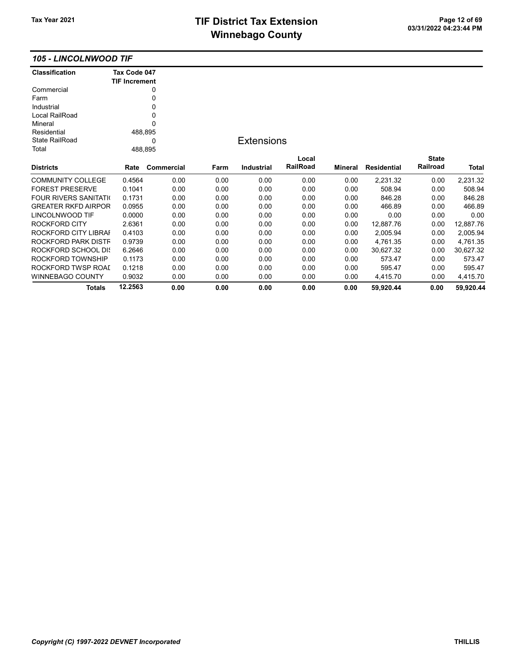## TIF District Tax Extension<br>
Mission 2009 12 03/31/2022 04:23:44 PM **Winnebago County**

#### 105 - LINCOLNWOOD TIF

| <b>Classification</b>         | Tax Code 047         |            |      |                   |          |         |                    |              |           |
|-------------------------------|----------------------|------------|------|-------------------|----------|---------|--------------------|--------------|-----------|
|                               | <b>TIF Increment</b> |            |      |                   |          |         |                    |              |           |
| Commercial                    |                      | 0          |      |                   |          |         |                    |              |           |
| Farm                          |                      | 0          |      |                   |          |         |                    |              |           |
| Industrial                    |                      | 0          |      |                   |          |         |                    |              |           |
| Local RailRoad                |                      | 0          |      |                   |          |         |                    |              |           |
| Mineral                       |                      | $\Omega$   |      |                   |          |         |                    |              |           |
| Residential                   | 488,895              |            |      |                   |          |         |                    |              |           |
| <b>State RailRoad</b>         |                      | 0          |      | <b>Extensions</b> |          |         |                    |              |           |
| Total                         | 488,895              |            |      |                   |          |         |                    |              |           |
|                               |                      |            |      |                   | Local    |         |                    | <b>State</b> |           |
| <b>Districts</b>              | Rate                 | Commercial | Farm | <b>Industrial</b> | RailRoad | Mineral | <b>Residential</b> | Railroad     | Total     |
| <b>COMMUNITY COLLEGE</b>      | 0.4564               | 0.00       | 0.00 | 0.00              | 0.00     | 0.00    | 2,231.32           | 0.00         | 2,231.32  |
| <b>FOREST PRESERVE</b>        | 0.1041               | 0.00       | 0.00 | 0.00              | 0.00     | 0.00    | 508.94             | 0.00         | 508.94    |
| <b>FOUR RIVERS SANITATION</b> | 0.1731               | 0.00       | 0.00 | 0.00              | 0.00     | 0.00    | 846.28             | 0.00         | 846.28    |
| <b>GREATER RKFD AIRPOR</b>    | 0.0955               | 0.00       | 0.00 | 0.00              | 0.00     | 0.00    | 466.89             | 0.00         | 466.89    |
| LINCOLNWOOD TIF               | 0.0000               | 0.00       | 0.00 | 0.00              | 0.00     | 0.00    | 0.00               | 0.00         | 0.00      |
| ROCKFORD CITY                 | 2.6361               | 0.00       | 0.00 | 0.00              | 0.00     | 0.00    | 12,887.76          | 0.00         | 12,887.76 |
| ROCKFORD CITY LIBRAI          | 0.4103               | 0.00       | 0.00 | 0.00              | 0.00     | 0.00    | 2,005.94           | 0.00         | 2,005.94  |
| ROCKFORD PARK DISTF           | 0.9739               | 0.00       | 0.00 | 0.00              | 0.00     | 0.00    | 4,761.35           | 0.00         | 4,761.35  |
| ROCKFORD SCHOOL DIS           | 6.2646               | 0.00       | 0.00 | 0.00              | 0.00     | 0.00    | 30,627.32          | 0.00         | 30,627.32 |
| ROCKFORD TOWNSHIP             | 0.1173               | 0.00       | 0.00 | 0.00              | 0.00     | 0.00    | 573.47             | 0.00         | 573.47    |
| ROCKFORD TWSP ROAI            | 0.1218               | 0.00       | 0.00 | 0.00              | 0.00     | 0.00    | 595.47             | 0.00         | 595.47    |
| WINNEBAGO COUNTY              | 0.9032               | 0.00       | 0.00 | 0.00              | 0.00     | 0.00    | 4,415.70           | 0.00         | 4,415.70  |
| <b>Totals</b>                 | 12.2563              | 0.00       | 0.00 | 0.00              | 0.00     | 0.00    | 59,920.44          | 0.00         | 59,920.44 |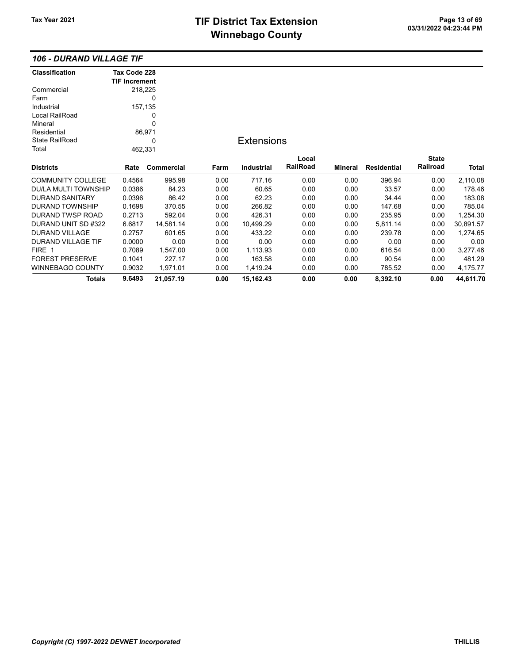## TIF District Tax Extension Page 13 of 69<br>03/31/2022 04:23:44 PM **Winnebago County**

### 106 - DURAND VILLAGE TIF

| <b>Classification</b>       | Tax Code 228         |             |      |                   |          |         |                    |              |           |
|-----------------------------|----------------------|-------------|------|-------------------|----------|---------|--------------------|--------------|-----------|
|                             | <b>TIF Increment</b> |             |      |                   |          |         |                    |              |           |
| Commercial                  |                      | 218,225     |      |                   |          |         |                    |              |           |
| Farm                        |                      | 0           |      |                   |          |         |                    |              |           |
| Industrial                  |                      | 157,135     |      |                   |          |         |                    |              |           |
| Local RailRoad              |                      | 0           |      |                   |          |         |                    |              |           |
| Mineral                     |                      | $\mathbf 0$ |      |                   |          |         |                    |              |           |
| Residential                 |                      | 86,971      |      |                   |          |         |                    |              |           |
| <b>State RailRoad</b>       |                      | 0           |      | <b>Extensions</b> |          |         |                    |              |           |
| Total                       |                      | 462,331     |      |                   |          |         |                    |              |           |
|                             |                      |             |      |                   | Local    |         |                    | <b>State</b> |           |
| <b>Districts</b>            | Rate                 | Commercial  | Farm | Industrial        | RailRoad | Mineral | <b>Residential</b> | Railroad     | Total     |
| <b>COMMUNITY COLLEGE</b>    | 0.4564               | 995.98      | 0.00 | 717.16            | 0.00     | 0.00    | 396.94             | 0.00         | 2,110.08  |
| <b>DU/LA MULTI TOWNSHIP</b> | 0.0386               | 84.23       | 0.00 | 60.65             | 0.00     | 0.00    | 33.57              | 0.00         | 178.46    |
| <b>DURAND SANITARY</b>      | 0.0396               | 86.42       | 0.00 | 62.23             | 0.00     | 0.00    | 34.44              | 0.00         | 183.08    |
| <b>DURAND TOWNSHIP</b>      | 0.1698               | 370.55      | 0.00 | 266.82            | 0.00     | 0.00    | 147.68             | 0.00         | 785.04    |
| <b>DURAND TWSP ROAD</b>     | 0.2713               | 592.04      | 0.00 | 426.31            | 0.00     | 0.00    | 235.95             | 0.00         | 1,254.30  |
| DURAND UNIT SD #322         | 6.6817               | 14,581.14   | 0.00 | 10,499.29         | 0.00     | 0.00    | 5,811.14           | 0.00         | 30,891.57 |
| <b>DURAND VILLAGE</b>       | 0.2757               | 601.65      | 0.00 | 433.22            | 0.00     | 0.00    | 239.78             | 0.00         | 1,274.65  |
| DURAND VILLAGE TIF          | 0.0000               | 0.00        | 0.00 | 0.00              | 0.00     | 0.00    | 0.00               | 0.00         | 0.00      |
| FIRE 1                      | 0.7089               | 1,547.00    | 0.00 | 1,113.93          | 0.00     | 0.00    | 616.54             | 0.00         | 3,277.46  |
| <b>FOREST PRESERVE</b>      | 0.1041               | 227.17      | 0.00 | 163.58            | 0.00     | 0.00    | 90.54              | 0.00         | 481.29    |
| WINNEBAGO COUNTY            | 0.9032               | 1,971.01    | 0.00 | 1,419.24          | 0.00     | 0.00    | 785.52             | 0.00         | 4,175.77  |
| <b>Totals</b>               | 9.6493               | 21,057.19   | 0.00 | 15,162.43         | 0.00     | 0.00    | 8,392.10           | 0.00         | 44,611.70 |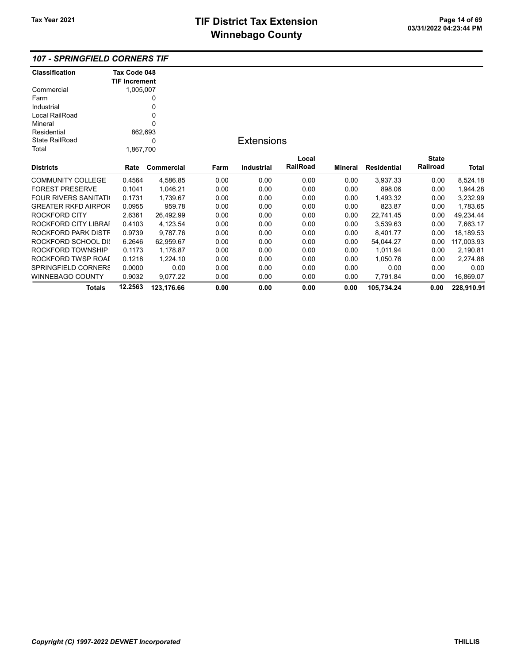### 107 - SPRINGFIELD CORNERS TIF

| Classification             | Tax Code 048         |            |      |                   |          |                |                    |              |            |
|----------------------------|----------------------|------------|------|-------------------|----------|----------------|--------------------|--------------|------------|
|                            | <b>TIF Increment</b> |            |      |                   |          |                |                    |              |            |
| Commercial                 | 1,005,007            |            |      |                   |          |                |                    |              |            |
| Farm                       |                      | 0          |      |                   |          |                |                    |              |            |
| Industrial                 |                      | 0          |      |                   |          |                |                    |              |            |
| Local RailRoad             |                      | 0          |      |                   |          |                |                    |              |            |
| Mineral                    |                      | 0          |      |                   |          |                |                    |              |            |
| Residential                | 862,693              |            |      |                   |          |                |                    |              |            |
| <b>State RailRoad</b>      |                      | 0          |      | <b>Extensions</b> |          |                |                    |              |            |
| Total                      | 1,867,700            |            |      |                   |          |                |                    |              |            |
|                            |                      |            |      |                   | Local    |                |                    | <b>State</b> |            |
| <b>Districts</b>           | Rate                 | Commercial | Farm | <b>Industrial</b> | RailRoad | <b>Mineral</b> | <b>Residential</b> | Railroad     | Total      |
| <b>COMMUNITY COLLEGE</b>   | 0.4564               | 4,586.85   | 0.00 | 0.00              | 0.00     | 0.00           | 3,937.33           | 0.00         | 8,524.18   |
| <b>FOREST PRESERVE</b>     | 0.1041               | 1,046.21   | 0.00 | 0.00              | 0.00     | 0.00           | 898.06             | 0.00         | 1,944.28   |
| FOUR RIVERS SANITATI(      | 0.1731               | 1,739.67   | 0.00 | 0.00              | 0.00     | 0.00           | 1,493.32           | 0.00         | 3,232.99   |
| <b>GREATER RKFD AIRPOR</b> | 0.0955               | 959.78     | 0.00 | 0.00              | 0.00     | 0.00           | 823.87             | 0.00         | 1,783.65   |
| ROCKFORD CITY              | 2.6361               | 26,492.99  | 0.00 | 0.00              | 0.00     | 0.00           | 22,741.45          | 0.00         | 49,234.44  |
| ROCKFORD CITY LIBRAI       | 0.4103               | 4,123.54   | 0.00 | 0.00              | 0.00     | 0.00           | 3,539.63           | 0.00         | 7,663.17   |
| ROCKFORD PARK DISTF        | 0.9739               | 9,787.76   | 0.00 | 0.00              | 0.00     | 0.00           | 8,401.77           | 0.00         | 18,189.53  |
| ROCKFORD SCHOOL DIS        | 6.2646               | 62,959.67  | 0.00 | 0.00              | 0.00     | 0.00           | 54,044.27          | 0.00         | 117,003.93 |
| ROCKFORD TOWNSHIP          | 0.1173               | 1,178.87   | 0.00 | 0.00              | 0.00     | 0.00           | 1,011.94           | 0.00         | 2,190.81   |
| ROCKFORD TWSP ROAI         | 0.1218               | 1,224.10   | 0.00 | 0.00              | 0.00     | 0.00           | 1,050.76           | 0.00         | 2,274.86   |
| <b>SPRINGFIELD CORNERS</b> | 0.0000               | 0.00       | 0.00 | 0.00              | 0.00     | 0.00           | 0.00               | 0.00         | 0.00       |
| WINNEBAGO COUNTY           | 0.9032               | 9,077.22   | 0.00 | 0.00              | 0.00     | 0.00           | 7,791.84           | 0.00         | 16,869.07  |
| Totals                     | 12.2563              | 123,176.66 | 0.00 | 0.00              | 0.00     | 0.00           | 105,734.24         | 0.00         | 228,910.91 |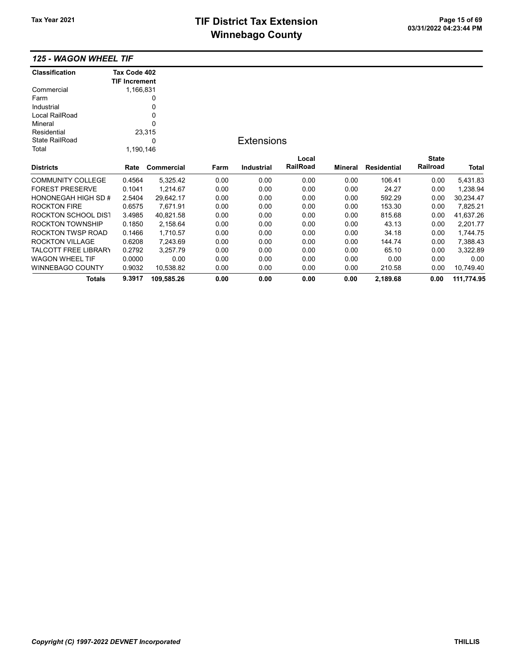# TIF District Tax Extension<br>
M's sales and Canada page 15 of 69<br>
M's sales and Canada page 14 of 03/31/2022 04:23:44 PM **Winnebago County**

### 125 - WAGON WHEEL TIF

| <b>Classification</b>       | Tax Code 402         |            |      |                   |          |         |                    |              |            |
|-----------------------------|----------------------|------------|------|-------------------|----------|---------|--------------------|--------------|------------|
|                             | <b>TIF Increment</b> |            |      |                   |          |         |                    |              |            |
| Commercial                  | 1,166,831            |            |      |                   |          |         |                    |              |            |
| Farm                        |                      | 0          |      |                   |          |         |                    |              |            |
| Industrial                  |                      | 0          |      |                   |          |         |                    |              |            |
| Local RailRoad              |                      | 0          |      |                   |          |         |                    |              |            |
| Mineral                     |                      | 0          |      |                   |          |         |                    |              |            |
| Residential                 |                      | 23,315     |      |                   |          |         |                    |              |            |
| <b>State RailRoad</b>       |                      | 0          |      | <b>Extensions</b> |          |         |                    |              |            |
| Total                       | 1,190,146            |            |      |                   |          |         |                    |              |            |
|                             |                      |            |      |                   | Local    |         |                    | <b>State</b> |            |
| <b>Districts</b>            | Rate                 | Commercial | Farm | <b>Industrial</b> | RailRoad | Mineral | <b>Residential</b> | Railroad     | Total      |
| <b>COMMUNITY COLLEGE</b>    | 0.4564               | 5,325.42   | 0.00 | 0.00              | 0.00     | 0.00    | 106.41             | 0.00         | 5,431.83   |
| <b>FOREST PRESERVE</b>      | 0.1041               | 1,214.67   | 0.00 | 0.00              | 0.00     | 0.00    | 24.27              | 0.00         | 1,238.94   |
| <b>HONONEGAH HIGH SD #</b>  | 2.5404               | 29,642.17  | 0.00 | 0.00              | 0.00     | 0.00    | 592.29             | 0.00         | 30,234.47  |
| <b>ROCKTON FIRE</b>         | 0.6575               | 7,671.91   | 0.00 | 0.00              | 0.00     | 0.00    | 153.30             | 0.00         | 7,825.21   |
| ROCKTON SCHOOL DIST         | 3.4985               | 40,821.58  | 0.00 | 0.00              | 0.00     | 0.00    | 815.68             | 0.00         | 41,637.26  |
| ROCKTON TOWNSHIP            | 0.1850               | 2,158.64   | 0.00 | 0.00              | 0.00     | 0.00    | 43.13              | 0.00         | 2,201.77   |
| ROCKTON TWSP ROAD           | 0.1466               | 1,710.57   | 0.00 | 0.00              | 0.00     | 0.00    | 34.18              | 0.00         | 1,744.75   |
| <b>ROCKTON VILLAGE</b>      | 0.6208               | 7,243.69   | 0.00 | 0.00              | 0.00     | 0.00    | 144.74             | 0.00         | 7,388.43   |
| <b>TALCOTT FREE LIBRARY</b> | 0.2792               | 3,257.79   | 0.00 | 0.00              | 0.00     | 0.00    | 65.10              | 0.00         | 3,322.89   |
| <b>WAGON WHEEL TIF</b>      | 0.0000               | 0.00       | 0.00 | 0.00              | 0.00     | 0.00    | 0.00               | 0.00         | 0.00       |
| <b>WINNEBAGO COUNTY</b>     | 0.9032               | 10,538.82  | 0.00 | 0.00              | 0.00     | 0.00    | 210.58             | 0.00         | 10,749.40  |
| <b>Totals</b>               | 9.3917               | 109,585.26 | 0.00 | 0.00              | 0.00     | 0.00    | 2,189.68           | 0.00         | 111,774.95 |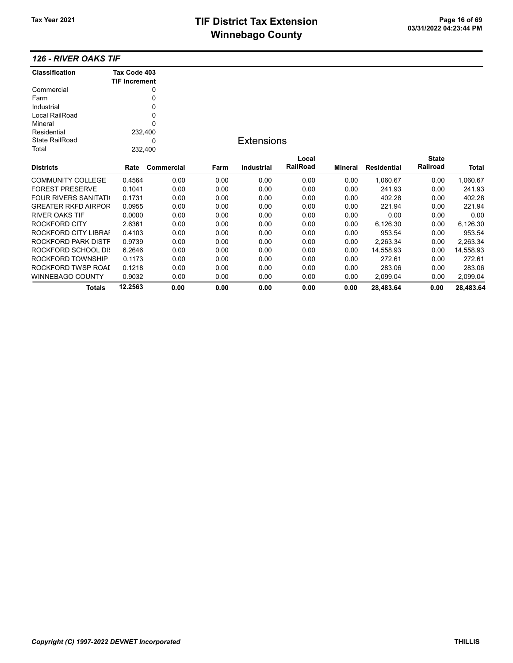## TIF District Tax Extension<br>
Mission 2009 11/2022 04:23:44 PM **Winnebago County**

#### 126 - RIVER OAKS TIF

| <b>Classification</b>         | Tax Code 403         |            |      |                   |          |         |                    |              |           |
|-------------------------------|----------------------|------------|------|-------------------|----------|---------|--------------------|--------------|-----------|
|                               | <b>TIF Increment</b> |            |      |                   |          |         |                    |              |           |
| Commercial                    |                      | 0          |      |                   |          |         |                    |              |           |
| Farm                          |                      | 0          |      |                   |          |         |                    |              |           |
| Industrial                    |                      | 0          |      |                   |          |         |                    |              |           |
| Local RailRoad                |                      | 0          |      |                   |          |         |                    |              |           |
| Mineral                       |                      | 0          |      |                   |          |         |                    |              |           |
| Residential                   | 232,400              |            |      |                   |          |         |                    |              |           |
| <b>State RailRoad</b>         |                      | 0          |      | <b>Extensions</b> |          |         |                    |              |           |
| Total                         | 232,400              |            |      |                   |          |         |                    |              |           |
|                               |                      |            |      |                   | Local    |         |                    | <b>State</b> |           |
| <b>Districts</b>              | Rate                 | Commercial | Farm | <b>Industrial</b> | RailRoad | Mineral | <b>Residential</b> | Railroad     | Total     |
| <b>COMMUNITY COLLEGE</b>      | 0.4564               | 0.00       | 0.00 | 0.00              | 0.00     | 0.00    | 1,060.67           | 0.00         | 1,060.67  |
| <b>FOREST PRESERVE</b>        | 0.1041               | 0.00       | 0.00 | 0.00              | 0.00     | 0.00    | 241.93             | 0.00         | 241.93    |
| <b>FOUR RIVERS SANITATION</b> | 0.1731               | 0.00       | 0.00 | 0.00              | 0.00     | 0.00    | 402.28             | 0.00         | 402.28    |
| <b>GREATER RKFD AIRPOR</b>    | 0.0955               | 0.00       | 0.00 | 0.00              | 0.00     | 0.00    | 221.94             | 0.00         | 221.94    |
| <b>RIVER OAKS TIF</b>         | 0.0000               | 0.00       | 0.00 | 0.00              | 0.00     | 0.00    | 0.00               | 0.00         | 0.00      |
| ROCKFORD CITY                 | 2.6361               | 0.00       | 0.00 | 0.00              | 0.00     | 0.00    | 6,126.30           | 0.00         | 6,126.30  |
| ROCKFORD CITY LIBRAI          | 0.4103               | 0.00       | 0.00 | 0.00              | 0.00     | 0.00    | 953.54             | 0.00         | 953.54    |
| ROCKFORD PARK DISTF           | 0.9739               | 0.00       | 0.00 | 0.00              | 0.00     | 0.00    | 2,263.34           | 0.00         | 2,263.34  |
| ROCKFORD SCHOOL DIS           | 6.2646               | 0.00       | 0.00 | 0.00              | 0.00     | 0.00    | 14,558.93          | 0.00         | 14,558.93 |
| ROCKFORD TOWNSHIP             | 0.1173               | 0.00       | 0.00 | 0.00              | 0.00     | 0.00    | 272.61             | 0.00         | 272.61    |
| ROCKFORD TWSP ROAI            | 0.1218               | 0.00       | 0.00 | 0.00              | 0.00     | 0.00    | 283.06             | 0.00         | 283.06    |
| WINNEBAGO COUNTY              | 0.9032               | 0.00       | 0.00 | 0.00              | 0.00     | 0.00    | 2,099.04           | 0.00         | 2,099.04  |
| <b>Totals</b>                 | 12.2563              | 0.00       | 0.00 | 0.00              | 0.00     | 0.00    | 28.483.64          | 0.00         | 28,483.64 |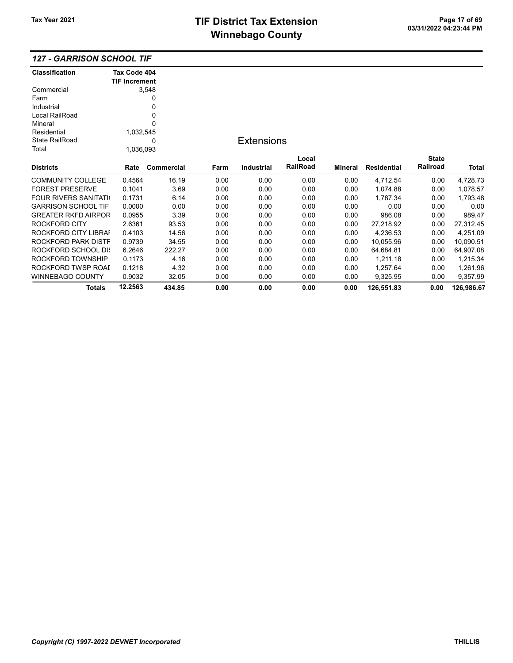| <b>127 - GARRISON SCHOOL TIF</b> |  |  |
|----------------------------------|--|--|
|----------------------------------|--|--|

| <b>Classification</b>         | Tax Code 404         |                   |      |                   |          |         |                    |              |            |
|-------------------------------|----------------------|-------------------|------|-------------------|----------|---------|--------------------|--------------|------------|
|                               | <b>TIF Increment</b> |                   |      |                   |          |         |                    |              |            |
| Commercial                    |                      | 3,548             |      |                   |          |         |                    |              |            |
| Farm                          |                      | 0                 |      |                   |          |         |                    |              |            |
| Industrial                    |                      | 0                 |      |                   |          |         |                    |              |            |
| Local RailRoad                |                      | 0                 |      |                   |          |         |                    |              |            |
| Mineral                       |                      | 0                 |      |                   |          |         |                    |              |            |
| Residential                   | 1,032,545            |                   |      |                   |          |         |                    |              |            |
| State RailRoad                |                      | 0                 |      | <b>Extensions</b> |          |         |                    |              |            |
| Total                         | 1,036,093            |                   |      |                   |          |         |                    |              |            |
|                               |                      |                   |      |                   | Local    |         |                    | <b>State</b> |            |
| <b>Districts</b>              | Rate                 | <b>Commercial</b> | Farm | <b>Industrial</b> | RailRoad | Mineral | <b>Residential</b> | Railroad     | Total      |
| <b>COMMUNITY COLLEGE</b>      | 0.4564               | 16.19             | 0.00 | 0.00              | 0.00     | 0.00    | 4,712.54           | 0.00         | 4,728.73   |
| <b>FOREST PRESERVE</b>        | 0.1041               | 3.69              | 0.00 | 0.00              | 0.00     | 0.00    | 1,074.88           | 0.00         | 1,078.57   |
| <b>FOUR RIVERS SANITATION</b> | 0.1731               | 6.14              | 0.00 | 0.00              | 0.00     | 0.00    | 1,787.34           | 0.00         | 1,793.48   |
| <b>GARRISON SCHOOL TIF</b>    | 0.0000               | 0.00              | 0.00 | 0.00              | 0.00     | 0.00    | 0.00               | 0.00         | 0.00       |
| <b>GREATER RKFD AIRPOR</b>    | 0.0955               | 3.39              | 0.00 | 0.00              | 0.00     | 0.00    | 986.08             | 0.00         | 989.47     |
| ROCKFORD CITY                 | 2.6361               | 93.53             | 0.00 | 0.00              | 0.00     | 0.00    | 27,218.92          | 0.00         | 27,312.45  |
| ROCKFORD CITY LIBRAI          | 0.4103               | 14.56             | 0.00 | 0.00              | 0.00     | 0.00    | 4,236.53           | 0.00         | 4,251.09   |
| ROCKFORD PARK DISTF           | 0.9739               | 34.55             | 0.00 | 0.00              | 0.00     | 0.00    | 10,055.96          | 0.00         | 10,090.51  |
| ROCKFORD SCHOOL DIS           | 6.2646               | 222.27            | 0.00 | 0.00              | 0.00     | 0.00    | 64,684.81          | 0.00         | 64,907.08  |
| ROCKFORD TOWNSHIP             | 0.1173               | 4.16              | 0.00 | 0.00              | 0.00     | 0.00    | 1,211.18           | 0.00         | 1,215.34   |
| ROCKFORD TWSP ROAI            | 0.1218               | 4.32              | 0.00 | 0.00              | 0.00     | 0.00    | 1,257.64           | 0.00         | 1,261.96   |
| <b>WINNEBAGO COUNTY</b>       | 0.9032               | 32.05             | 0.00 | 0.00              | 0.00     | 0.00    | 9,325.95           | 0.00         | 9,357.99   |
| <b>Totals</b>                 | 12.2563              | 434.85            | 0.00 | 0.00              | 0.00     | 0.00    | 126,551.83         | 0.00         | 126,986.67 |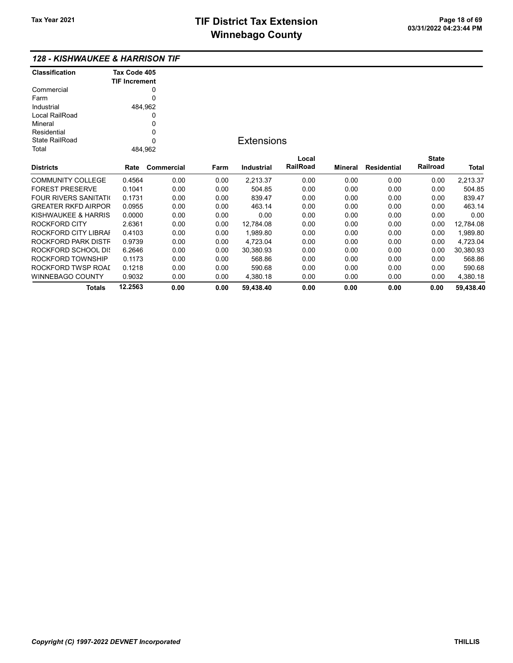### 128 - KISHWAUKEE & HARRISON TIF

| Classification                | Tax Code 405         |            |      |                   |          |                |                    |              |           |
|-------------------------------|----------------------|------------|------|-------------------|----------|----------------|--------------------|--------------|-----------|
|                               | <b>TIF Increment</b> |            |      |                   |          |                |                    |              |           |
| Commercial<br>Farm            |                      | 0<br>0     |      |                   |          |                |                    |              |           |
|                               |                      |            |      |                   |          |                |                    |              |           |
| Industrial                    | 484,962              |            |      |                   |          |                |                    |              |           |
| Local RailRoad                |                      | 0          |      |                   |          |                |                    |              |           |
| Mineral                       |                      | 0          |      |                   |          |                |                    |              |           |
| Residential                   |                      | 0          |      |                   |          |                |                    |              |           |
| <b>State RailRoad</b>         |                      | $\Omega$   |      | <b>Extensions</b> |          |                |                    |              |           |
| Total                         | 484,962              |            |      |                   |          |                |                    |              |           |
|                               |                      |            |      |                   | Local    |                |                    | <b>State</b> |           |
| <b>Districts</b>              | Rate                 | Commercial | Farm | Industrial        | RailRoad | <b>Mineral</b> | <b>Residential</b> | Railroad     | Total     |
| <b>COMMUNITY COLLEGE</b>      | 0.4564               | 0.00       | 0.00 | 2,213.37          | 0.00     | 0.00           | 0.00               | 0.00         | 2,213.37  |
| <b>FOREST PRESERVE</b>        | 0.1041               | 0.00       | 0.00 | 504.85            | 0.00     | 0.00           | 0.00               | 0.00         | 504.85    |
| <b>FOUR RIVERS SANITATION</b> | 0.1731               | 0.00       | 0.00 | 839.47            | 0.00     | 0.00           | 0.00               | 0.00         | 839.47    |
| <b>GREATER RKFD AIRPOR</b>    | 0.0955               | 0.00       | 0.00 | 463.14            | 0.00     | 0.00           | 0.00               | 0.00         | 463.14    |
| KISHWAUKEE & HARRIS           | 0.0000               | 0.00       | 0.00 | 0.00              | 0.00     | 0.00           | 0.00               | 0.00         | 0.00      |
| ROCKFORD CITY                 | 2.6361               | 0.00       | 0.00 | 12,784.08         | 0.00     | 0.00           | 0.00               | 0.00         | 12,784.08 |
| ROCKFORD CITY LIBRAI          | 0.4103               | 0.00       | 0.00 | 1,989.80          | 0.00     | 0.00           | 0.00               | 0.00         | 1,989.80  |
| ROCKFORD PARK DISTF           | 0.9739               | 0.00       | 0.00 | 4,723.04          | 0.00     | 0.00           | 0.00               | 0.00         | 4,723.04  |
| ROCKFORD SCHOOL DIS           | 6.2646               | 0.00       | 0.00 | 30,380.93         | 0.00     | 0.00           | 0.00               | 0.00         | 30,380.93 |
| ROCKFORD TOWNSHIP             | 0.1173               | 0.00       | 0.00 | 568.86            | 0.00     | 0.00           | 0.00               | 0.00         | 568.86    |
| ROCKFORD TWSP ROAI            | 0.1218               | 0.00       | 0.00 | 590.68            | 0.00     | 0.00           | 0.00               | 0.00         | 590.68    |
| WINNEBAGO COUNTY              | 0.9032               | 0.00       | 0.00 | 4,380.18          | 0.00     | 0.00           | 0.00               | 0.00         | 4,380.18  |
| Totals                        | 12.2563              | 0.00       | 0.00 | 59.438.40         | 0.00     | 0.00           | 0.00               | 0.00         | 59,438.40 |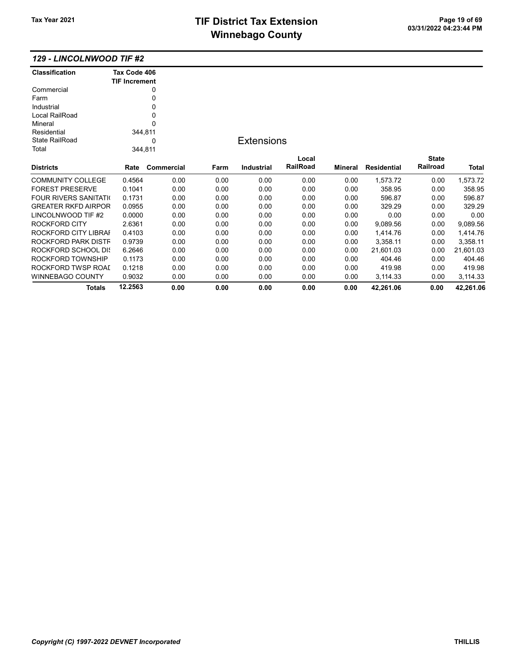## TIF District Tax Extension Page 19 of 69<br>03/31/2022 04:23:44 PM **Winnebago County**

Totals 12.2563 0.00 0.00 0.00 0.00 0.00 42,261.06 0.00 42,261.06

#### 129 - LINCOLNWOOD TIF #2

| <b>Classification</b>       | Tax Code 406<br><b>TIF Increment</b> |            |      |                   |          |                |                    |              |              |
|-----------------------------|--------------------------------------|------------|------|-------------------|----------|----------------|--------------------|--------------|--------------|
| Commercial                  |                                      | 0          |      |                   |          |                |                    |              |              |
| Farm                        |                                      | 0          |      |                   |          |                |                    |              |              |
| Industrial                  |                                      | 0          |      |                   |          |                |                    |              |              |
| Local RailRoad              |                                      | 0          |      |                   |          |                |                    |              |              |
| Mineral                     |                                      | 0          |      |                   |          |                |                    |              |              |
| Residential                 | 344,811                              |            |      |                   |          |                |                    |              |              |
| <b>State RailRoad</b>       |                                      | 0          |      | <b>Extensions</b> |          |                |                    |              |              |
| Total                       | 344,811                              |            |      |                   |          |                |                    |              |              |
|                             |                                      |            |      |                   | Local    |                |                    | <b>State</b> |              |
| <b>Districts</b>            | Rate                                 | Commercial | Farm | Industrial        | RailRoad | <b>Mineral</b> | <b>Residential</b> | Railroad     | <b>Total</b> |
| <b>COMMUNITY COLLEGE</b>    | 0.4564                               | 0.00       | 0.00 | 0.00              | 0.00     | 0.00           | 1,573.72           | 0.00         | 1,573.72     |
| <b>FOREST PRESERVE</b>      | 0.1041                               | 0.00       | 0.00 | 0.00              | 0.00     | 0.00           | 358.95             | 0.00         | 358.95       |
| <b>FOUR RIVERS SANITATI</b> | 0.1731                               | 0.00       | 0.00 | 0.00              | 0.00     | 0.00           | 596.87             | 0.00         | 596.87       |
| <b>GREATER RKFD AIRPOR</b>  | 0.0955                               | 0.00       | 0.00 | 0.00              | 0.00     | 0.00           | 329.29             | 0.00         | 329.29       |
| LINCOLNWOOD TIF #2          | 0.0000                               | 0.00       | 0.00 | 0.00              | 0.00     | 0.00           | 0.00               | 0.00         | 0.00         |
| ROCKFORD CITY               | 2.6361                               | 0.00       | 0.00 | 0.00              | 0.00     | 0.00           | 9,089.56           | 0.00         | 9,089.56     |
| ROCKFORD CITY LIBRAI        | 0.4103                               | 0.00       | 0.00 | 0.00              | 0.00     | 0.00           | 1,414.76           | 0.00         | 1,414.76     |
| ROCKFORD PARK DISTF         | 0.9739                               | 0.00       | 0.00 | 0.00              | 0.00     | 0.00           | 3,358.11           | 0.00         | 3,358.11     |
| ROCKFORD SCHOOL DIS         | 6.2646                               | 0.00       | 0.00 | 0.00              | 0.00     | 0.00           | 21,601.03          | 0.00         | 21,601.03    |
| ROCKFORD TOWNSHIP           | 0.1173                               | 0.00       | 0.00 | 0.00              | 0.00     | 0.00           | 404.46             | 0.00         | 404.46       |
| ROCKFORD TWSP ROAI          | 0.1218                               | 0.00       | 0.00 | 0.00              | 0.00     | 0.00           | 419.98             | 0.00         | 419.98       |
| <b>WINNEBAGO COUNTY</b>     | 0.9032                               | 0.00       | 0.00 | 0.00              | 0.00     | 0.00           | 3,114.33           | 0.00         | 3,114.33     |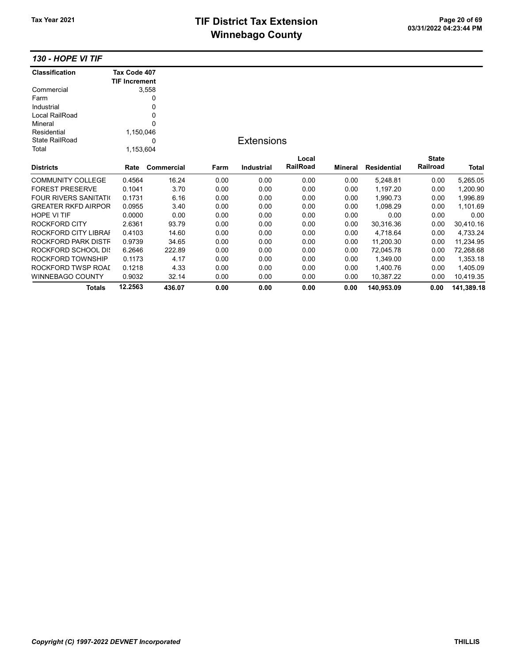# TIF District Tax Extension<br>
M's sales and Canada page 20 of 69<br>
M's sales and Canada page 10 of 03/31/2022 04:23:44 PM **Winnebago County**

130 - HOPE VI TIF

| <b>Classification</b>         | Tax Code 407         |            |      |                   |          |                |                    |                 |            |
|-------------------------------|----------------------|------------|------|-------------------|----------|----------------|--------------------|-----------------|------------|
|                               | <b>TIF Increment</b> |            |      |                   |          |                |                    |                 |            |
| Commercial                    |                      | 3,558      |      |                   |          |                |                    |                 |            |
| Farm                          |                      | 0          |      |                   |          |                |                    |                 |            |
| Industrial                    |                      | 0          |      |                   |          |                |                    |                 |            |
| Local RailRoad                |                      | 0          |      |                   |          |                |                    |                 |            |
| Mineral                       |                      | 0          |      |                   |          |                |                    |                 |            |
| Residential                   | 1,150,046            |            |      |                   |          |                |                    |                 |            |
| <b>State RailRoad</b>         |                      | ი          |      | <b>Extensions</b> |          |                |                    |                 |            |
| Total                         | 1,153,604            |            |      |                   |          |                |                    |                 |            |
|                               |                      |            |      |                   | Local    |                |                    | <b>State</b>    |            |
| <b>Districts</b>              | Rate                 | Commercial | Farm | <b>Industrial</b> | RailRoad | <b>Mineral</b> | <b>Residential</b> | <b>Railroad</b> | Total      |
| <b>COMMUNITY COLLEGE</b>      | 0.4564               | 16.24      | 0.00 | 0.00              | 0.00     | 0.00           | 5,248.81           | 0.00            | 5,265.05   |
| <b>FOREST PRESERVE</b>        | 0.1041               | 3.70       | 0.00 | 0.00              | 0.00     | 0.00           | 1,197.20           | 0.00            | 1,200.90   |
| <b>FOUR RIVERS SANITATION</b> | 0.1731               | 6.16       | 0.00 | 0.00              | 0.00     | 0.00           | 1,990.73           | 0.00            | 1,996.89   |
| <b>GREATER RKFD AIRPOR</b>    | 0.0955               | 3.40       | 0.00 | 0.00              | 0.00     | 0.00           | 1.098.29           | 0.00            | 1,101.69   |
| <b>HOPE VI TIF</b>            | 0.0000               | 0.00       | 0.00 | 0.00              | 0.00     | 0.00           | 0.00               | 0.00            | 0.00       |
| <b>ROCKFORD CITY</b>          | 2.6361               | 93.79      | 0.00 | 0.00              | 0.00     | 0.00           | 30,316.36          | 0.00            | 30,410.16  |
| ROCKFORD CITY LIBRAI          | 0.4103               | 14.60      | 0.00 | 0.00              | 0.00     | 0.00           | 4,718.64           | 0.00            | 4,733.24   |
| ROCKFORD PARK DISTF           | 0.9739               | 34.65      | 0.00 | 0.00              | 0.00     | 0.00           | 11,200.30          | 0.00            | 11,234.95  |
| ROCKFORD SCHOOL DIS           | 6.2646               | 222.89     | 0.00 | 0.00              | 0.00     | 0.00           | 72,045.78          | 0.00            | 72,268.68  |
| ROCKFORD TOWNSHIP             | 0.1173               | 4.17       | 0.00 | 0.00              | 0.00     | 0.00           | 1,349.00           | 0.00            | 1,353.18   |
| ROCKFORD TWSP ROAD            | 0.1218               | 4.33       | 0.00 | 0.00              | 0.00     | 0.00           | 1,400.76           | 0.00            | 1,405.09   |
| WINNEBAGO COUNTY              | 0.9032               | 32.14      | 0.00 | 0.00              | 0.00     | 0.00           | 10,387.22          | 0.00            | 10,419.35  |
| Totals                        | 12.2563              | 436.07     | 0.00 | 0.00              | 0.00     | 0.00           | 140,953.09         | 0.00            | 141,389.18 |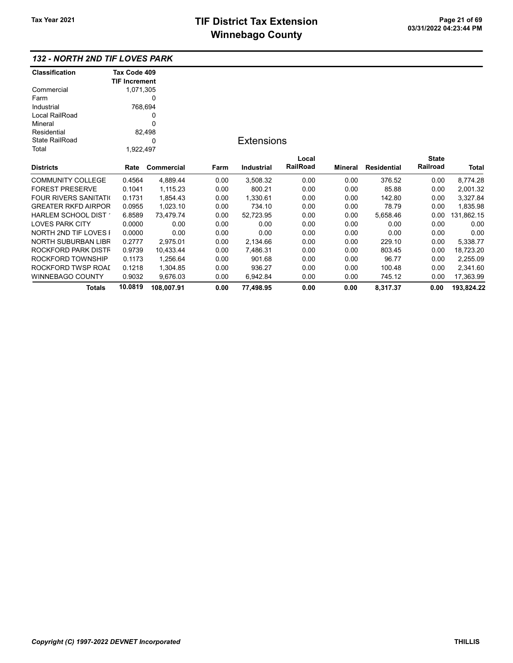### 132 - NORTH 2ND TIF LOVES PARK

| <b>Classification</b>         | Tax Code 409         |                   |      |                   |                 |         |                    |              |            |
|-------------------------------|----------------------|-------------------|------|-------------------|-----------------|---------|--------------------|--------------|------------|
|                               | <b>TIF Increment</b> |                   |      |                   |                 |         |                    |              |            |
| Commercial                    | 1,071,305            |                   |      |                   |                 |         |                    |              |            |
| Farm                          |                      | 0                 |      |                   |                 |         |                    |              |            |
| Industrial                    | 768,694              |                   |      |                   |                 |         |                    |              |            |
| Local RailRoad                |                      | 0                 |      |                   |                 |         |                    |              |            |
| Mineral                       |                      | 0                 |      |                   |                 |         |                    |              |            |
| Residential                   |                      | 82,498            |      |                   |                 |         |                    |              |            |
| <b>State RailRoad</b>         |                      | 0                 |      | <b>Extensions</b> |                 |         |                    |              |            |
| Total                         | 1,922,497            |                   |      |                   |                 |         |                    |              |            |
|                               |                      |                   |      |                   | Local           |         |                    | <b>State</b> |            |
| <b>Districts</b>              | Rate                 | <b>Commercial</b> | Farm | <b>Industrial</b> | <b>RailRoad</b> | Mineral | <b>Residential</b> | Railroad     | Total      |
| <b>COMMUNITY COLLEGE</b>      | 0.4564               | 4,889.44          | 0.00 | 3,508.32          | 0.00            | 0.00    | 376.52             | 0.00         | 8,774.28   |
| <b>FOREST PRESERVE</b>        | 0.1041               | 1,115.23          | 0.00 | 800.21            | 0.00            | 0.00    | 85.88              | 0.00         | 2,001.32   |
| <b>FOUR RIVERS SANITATION</b> | 0.1731               | 1,854.43          | 0.00 | 1,330.61          | 0.00            | 0.00    | 142.80             | 0.00         | 3,327.84   |
| <b>GREATER RKFD AIRPOR</b>    | 0.0955               | 1,023.10          | 0.00 | 734.10            | 0.00            | 0.00    | 78.79              | 0.00         | 1,835.98   |
| HARLEM SCHOOL DIST            | 6.8589               | 73,479.74         | 0.00 | 52,723.95         | 0.00            | 0.00    | 5,658.46           | 0.00         | 131,862.15 |
| <b>LOVES PARK CITY</b>        | 0.0000               | 0.00              | 0.00 | 0.00              | 0.00            | 0.00    | 0.00               | 0.00         | 0.00       |
| NORTH 2ND TIF LOVES I         | 0.0000               | 0.00              | 0.00 | 0.00              | 0.00            | 0.00    | 0.00               | 0.00         | 0.00       |
| <b>NORTH SUBURBAN LIBR</b>    | 0.2777               | 2,975.01          | 0.00 | 2,134.66          | 0.00            | 0.00    | 229.10             | 0.00         | 5,338.77   |
| ROCKFORD PARK DISTF           | 0.9739               | 10,433.44         | 0.00 | 7,486.31          | 0.00            | 0.00    | 803.45             | 0.00         | 18,723.20  |
| ROCKFORD TOWNSHIP             | 0.1173               | 1,256.64          | 0.00 | 901.68            | 0.00            | 0.00    | 96.77              | 0.00         | 2,255.09   |
| ROCKFORD TWSP ROAI            | 0.1218               | 1,304.85          | 0.00 | 936.27            | 0.00            | 0.00    | 100.48             | 0.00         | 2,341.60   |
| <b>WINNEBAGO COUNTY</b>       | 0.9032               | 9,676.03          | 0.00 | 6,942.84          | 0.00            | 0.00    | 745.12             | 0.00         | 17,363.99  |
| Totals                        | 10.0819              | 108,007.91        | 0.00 | 77,498.95         | 0.00            | 0.00    | 8,317.37           | 0.00         | 193,824.22 |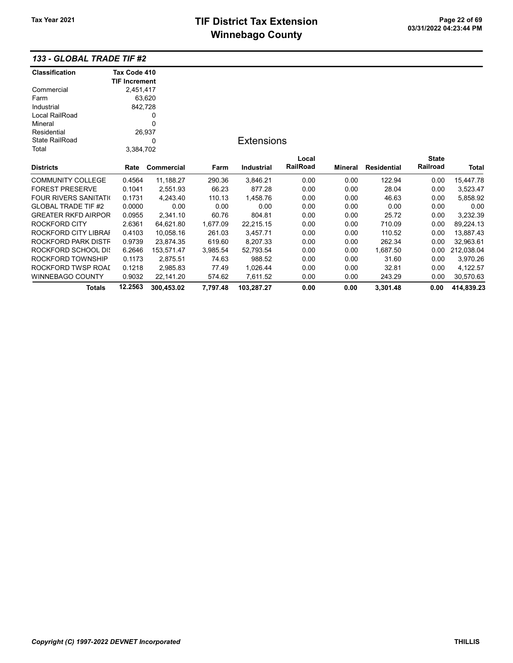# TIF District Tax Extension<br>
M's sales and Canada page 22 of 69<br>
M's sales and Canada page 21 **Winnebago County**

### 133 - GLOBAL TRADE TIF #2

| <b>Classification</b>      | Tax Code 410         |            |          |                   |                 |         |                    |              |            |
|----------------------------|----------------------|------------|----------|-------------------|-----------------|---------|--------------------|--------------|------------|
|                            | <b>TIF Increment</b> |            |          |                   |                 |         |                    |              |            |
| Commercial                 | 2,451,417            |            |          |                   |                 |         |                    |              |            |
| Farm                       |                      | 63,620     |          |                   |                 |         |                    |              |            |
| Industrial                 | 842,728              |            |          |                   |                 |         |                    |              |            |
| Local RailRoad             |                      | 0          |          |                   |                 |         |                    |              |            |
| Mineral                    |                      | 0          |          |                   |                 |         |                    |              |            |
| Residential                |                      | 26,937     |          |                   |                 |         |                    |              |            |
| <b>State RailRoad</b>      |                      | 0          |          | <b>Extensions</b> |                 |         |                    |              |            |
| Total                      | 3,384,702            |            |          |                   |                 |         |                    |              |            |
|                            |                      |            |          |                   | Local           |         |                    | <b>State</b> |            |
| <b>Districts</b>           | Rate                 | Commercial | Farm     | <b>Industrial</b> | <b>RailRoad</b> | Mineral | <b>Residential</b> | Railroad     | Total      |
| <b>COMMUNITY COLLEGE</b>   | 0.4564               | 11,188.27  | 290.36   | 3,846.21          | 0.00            | 0.00    | 122.94             | 0.00         | 15,447.78  |
| <b>FOREST PRESERVE</b>     | 0.1041               | 2,551.93   | 66.23    | 877.28            | 0.00            | 0.00    | 28.04              | 0.00         | 3,523.47   |
| FOUR RIVERS SANITATI(      | 0.1731               | 4,243.40   | 110.13   | 1,458.76          | 0.00            | 0.00    | 46.63              | 0.00         | 5,858.92   |
| <b>GLOBAL TRADE TIF #2</b> | 0.0000               | 0.00       | 0.00     | 0.00              | 0.00            | 0.00    | 0.00               | 0.00         | 0.00       |
| <b>GREATER RKFD AIRPOR</b> | 0.0955               | 2,341.10   | 60.76    | 804.81            | 0.00            | 0.00    | 25.72              | 0.00         | 3,232.39   |
| <b>ROCKFORD CITY</b>       | 2.6361               | 64,621.80  | 1,677.09 | 22,215.15         | 0.00            | 0.00    | 710.09             | 0.00         | 89,224.13  |
| ROCKFORD CITY LIBRAI       | 0.4103               | 10,058.16  | 261.03   | 3,457.71          | 0.00            | 0.00    | 110.52             | 0.00         | 13,887.43  |
| ROCKFORD PARK DISTF        | 0.9739               | 23,874.35  | 619.60   | 8,207.33          | 0.00            | 0.00    | 262.34             | 0.00         | 32,963.61  |
| ROCKFORD SCHOOL DIS        | 6.2646               | 153,571.47 | 3,985.54 | 52,793.54         | 0.00            | 0.00    | 1,687.50           | 0.00         | 212,038.04 |
| ROCKFORD TOWNSHIP          | 0.1173               | 2,875.51   | 74.63    | 988.52            | 0.00            | 0.00    | 31.60              | 0.00         | 3,970.26   |
| ROCKFORD TWSP ROAI         | 0.1218               | 2,985.83   | 77.49    | 1,026.44          | 0.00            | 0.00    | 32.81              | 0.00         | 4,122.57   |
| WINNEBAGO COUNTY           | 0.9032               | 22,141.20  | 574.62   | 7,611.52          | 0.00            | 0.00    | 243.29             | 0.00         | 30,570.63  |
| <b>Totals</b>              | 12.2563              | 300,453.02 | 7,797.48 | 103,287.27        | 0.00            | 0.00    | 3,301.48           | 0.00         | 414,839.23 |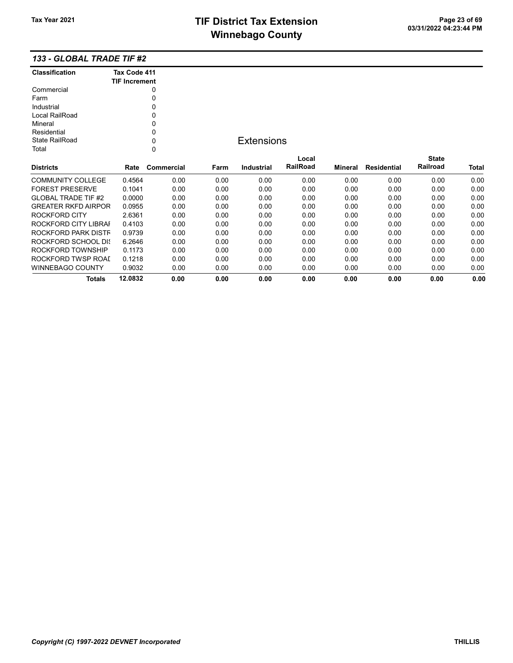### 133 - GLOBAL TRADE TIF #2

| <b>Classification</b>      | Tax Code 411         |            |      |                   |                 |         |                    |              |              |
|----------------------------|----------------------|------------|------|-------------------|-----------------|---------|--------------------|--------------|--------------|
|                            | <b>TIF Increment</b> |            |      |                   |                 |         |                    |              |              |
| Commercial                 |                      | 0          |      |                   |                 |         |                    |              |              |
| Farm                       |                      | 0          |      |                   |                 |         |                    |              |              |
| Industrial                 |                      | 0          |      |                   |                 |         |                    |              |              |
| Local RailRoad             |                      | 0          |      |                   |                 |         |                    |              |              |
| Mineral                    |                      | 0          |      |                   |                 |         |                    |              |              |
| Residential                |                      | 0          |      |                   |                 |         |                    |              |              |
| <b>State RailRoad</b>      |                      | 0          |      | <b>Extensions</b> |                 |         |                    |              |              |
| Total                      |                      | 0          |      |                   |                 |         |                    |              |              |
|                            |                      |            |      |                   | Local           |         |                    | <b>State</b> |              |
| <b>Districts</b>           | Rate                 | Commercial | Farm | <b>Industrial</b> | <b>RailRoad</b> | Mineral | <b>Residential</b> | Railroad     | <b>Total</b> |
| <b>COMMUNITY COLLEGE</b>   | 0.4564               | 0.00       | 0.00 | 0.00              | 0.00            | 0.00    | 0.00               | 0.00         | 0.00         |
| <b>FOREST PRESERVE</b>     | 0.1041               | 0.00       | 0.00 | 0.00              | 0.00            | 0.00    | 0.00               | 0.00         | 0.00         |
| <b>GLOBAL TRADE TIF #2</b> | 0.0000               | 0.00       | 0.00 | 0.00              | 0.00            | 0.00    | 0.00               | 0.00         | 0.00         |
| <b>GREATER RKFD AIRPOR</b> | 0.0955               | 0.00       | 0.00 | 0.00              | 0.00            | 0.00    | 0.00               | 0.00         | 0.00         |
| <b>ROCKFORD CITY</b>       | 2.6361               | 0.00       | 0.00 | 0.00              | 0.00            | 0.00    | 0.00               | 0.00         | 0.00         |
| ROCKFORD CITY LIBRAI       | 0.4103               | 0.00       | 0.00 | 0.00              | 0.00            | 0.00    | 0.00               | 0.00         | 0.00         |
| ROCKFORD PARK DISTF        | 0.9739               | 0.00       | 0.00 | 0.00              | 0.00            | 0.00    | 0.00               | 0.00         | 0.00         |
| <b>ROCKFORD SCHOOL DIS</b> | 6.2646               | 0.00       | 0.00 | 0.00              | 0.00            | 0.00    | 0.00               | 0.00         | 0.00         |
| ROCKFORD TOWNSHIP          | 0.1173               | 0.00       | 0.00 | 0.00              | 0.00            | 0.00    | 0.00               | 0.00         | 0.00         |
| ROCKFORD TWSP ROAI         | 0.1218               | 0.00       | 0.00 | 0.00              | 0.00            | 0.00    | 0.00               | 0.00         | 0.00         |
| <b>WINNEBAGO COUNTY</b>    | 0.9032               | 0.00       | 0.00 | 0.00              | 0.00            | 0.00    | 0.00               | 0.00         | 0.00         |
| <b>Totals</b>              | 12.0832              | 0.00       | 0.00 | 0.00              | 0.00            | 0.00    | 0.00               | 0.00         | 0.00         |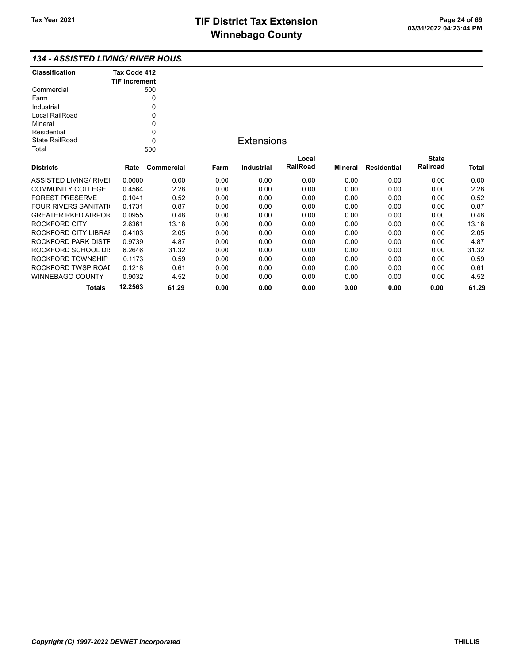### 134 - ASSISTED LIVING/ RIVER HOUSI

| <b>Classification</b> | Tax Code 412<br><b>TIF Increment</b> |
|-----------------------|--------------------------------------|
| Commercial            | 500                                  |
| Farm                  |                                      |
| Industrial            |                                      |
| Local RailRoad        | Ω                                    |
| Mineral               | U                                    |
| Residential           | U                                    |
| State RailRoad        | n                                    |
| Total                 |                                      |

### **Extensions**

| <b>Districts</b>              | Rate    | Commercial | Farm | Industrial | Local<br><b>RailRoad</b> | Mineral | Residential | <b>State</b><br>Railroad | <b>Total</b> |
|-------------------------------|---------|------------|------|------------|--------------------------|---------|-------------|--------------------------|--------------|
|                               |         |            |      |            |                          |         |             |                          |              |
| <b>ASSISTED LIVING/ RIVEI</b> | 0.0000  | 0.00       | 0.00 | 0.00       | 0.00                     | 0.00    | 0.00        | 0.00                     | 0.00         |
| COMMUNITY COLLEGE             | 0.4564  | 2.28       | 0.00 | 0.00       | 0.00                     | 0.00    | 0.00        | 0.00                     | 2.28         |
| <b>FOREST PRESERVE</b>        | 0.1041  | 0.52       | 0.00 | 0.00       | 0.00                     | 0.00    | 0.00        | 0.00                     | 0.52         |
| <b>FOUR RIVERS SANITATION</b> | 0.1731  | 0.87       | 0.00 | 0.00       | 0.00                     | 0.00    | 0.00        | 0.00                     | 0.87         |
| <b>GREATER RKFD AIRPOR</b>    | 0.0955  | 0.48       | 0.00 | 0.00       | 0.00                     | 0.00    | 0.00        | 0.00                     | 0.48         |
| ROCKFORD CITY                 | 2.6361  | 13.18      | 0.00 | 0.00       | 0.00                     | 0.00    | 0.00        | 0.00                     | 13.18        |
| ROCKFORD CITY LIBRAI          | 0.4103  | 2.05       | 0.00 | 0.00       | 0.00                     | 0.00    | 0.00        | 0.00                     | 2.05         |
| ROCKFORD PARK DISTF           | 0.9739  | 4.87       | 0.00 | 0.00       | 0.00                     | 0.00    | 0.00        | 0.00                     | 4.87         |
| ROCKFORD SCHOOL DIS           | 6.2646  | 31.32      | 0.00 | 0.00       | 0.00                     | 0.00    | 0.00        | 0.00                     | 31.32        |
| ROCKFORD TOWNSHIP             | 0.1173  | 0.59       | 0.00 | 0.00       | 0.00                     | 0.00    | 0.00        | 0.00                     | 0.59         |
| ROCKFORD TWSP ROAL            | 0.1218  | 0.61       | 0.00 | 0.00       | 0.00                     | 0.00    | 0.00        | 0.00                     | 0.61         |
| WINNEBAGO COUNTY              | 0.9032  | 4.52       | 0.00 | 0.00       | 0.00                     | 0.00    | 0.00        | 0.00                     | 4.52         |
| Totals                        | 12.2563 | 61.29      | 0.00 | 0.00       | 0.00                     | 0.00    | 0.00        | 0.00                     | 61.29        |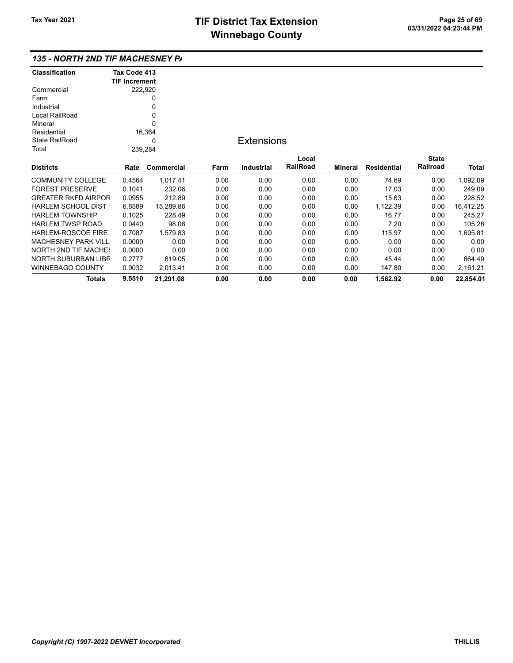| <b>Classification</b>       | Tax Code 413         |            |      |                   |          |         |                    |              |           |
|-----------------------------|----------------------|------------|------|-------------------|----------|---------|--------------------|--------------|-----------|
|                             | <b>TIF Increment</b> |            |      |                   |          |         |                    |              |           |
| Commercial                  |                      | 222,920    |      |                   |          |         |                    |              |           |
| Farm                        |                      | 0          |      |                   |          |         |                    |              |           |
| Industrial                  |                      | 0          |      |                   |          |         |                    |              |           |
| Local RailRoad              |                      | 0          |      |                   |          |         |                    |              |           |
| Mineral                     |                      | 0          |      |                   |          |         |                    |              |           |
| Residential                 |                      | 16,364     |      |                   |          |         |                    |              |           |
| <b>State RailRoad</b>       |                      | 0          |      | <b>Extensions</b> |          |         |                    |              |           |
| Total                       |                      | 239,284    |      |                   |          |         |                    |              |           |
|                             |                      |            |      |                   | Local    |         |                    | <b>State</b> |           |
| <b>Districts</b>            | Rate                 | Commercial | Farm | Industrial        | RailRoad | Mineral | <b>Residential</b> | Railroad     | Total     |
| <b>COMMUNITY COLLEGE</b>    | 0.4564               | 1,017.41   | 0.00 | 0.00              | 0.00     | 0.00    | 74.69              | 0.00         | 1,092.09  |
| <b>FOREST PRESERVE</b>      | 0.1041               | 232.06     | 0.00 | 0.00              | 0.00     | 0.00    | 17.03              | 0.00         | 249.09    |
| <b>GREATER RKFD AIRPOR</b>  | 0.0955               | 212.89     | 0.00 | 0.00              | 0.00     | 0.00    | 15.63              | 0.00         | 228.52    |
| HARLEM SCHOOL DIST          | 6.8589               | 15,289.86  | 0.00 | 0.00              | 0.00     | 0.00    | 1,122.39           | 0.00         | 16,412.25 |
| <b>HARLEM TOWNSHIP</b>      | 0.1025               | 228.49     | 0.00 | 0.00              | 0.00     | 0.00    | 16.77              | 0.00         | 245.27    |
| <b>HARLEM TWSP ROAD</b>     | 0.0440               | 98.08      | 0.00 | 0.00              | 0.00     | 0.00    | 7.20               | 0.00         | 105.28    |
| <b>HARLEM-ROSCOE FIRE</b>   | 0.7087               | 1,579.83   | 0.00 | 0.00              | 0.00     | 0.00    | 115.97             | 0.00         | 1,695.81  |
| <b>MACHESNEY PARK VILL</b>  | 0.0000               | 0.00       | 0.00 | 0.00              | 0.00     | 0.00    | 0.00               | 0.00         | 0.00      |
| <b>NORTH 2ND TIF MACHES</b> | 0.0000               | 0.00       | 0.00 | 0.00              | 0.00     | 0.00    | 0.00               | 0.00         | 0.00      |
| NORTH SUBURBAN LIBR         | 0.2777               | 619.05     | 0.00 | 0.00              | 0.00     | 0.00    | 45.44              | 0.00         | 664.49    |
| <b>WINNEBAGO COUNTY</b>     | 0.9032               | 2,013.41   | 0.00 | 0.00              | 0.00     | 0.00    | 147.80             | 0.00         | 2,161.21  |
| Totals                      | 9.5510               | 21,291.08  | 0.00 | 0.00              | 0.00     | 0.00    | 1,562.92           | 0.00         | 22,854.01 |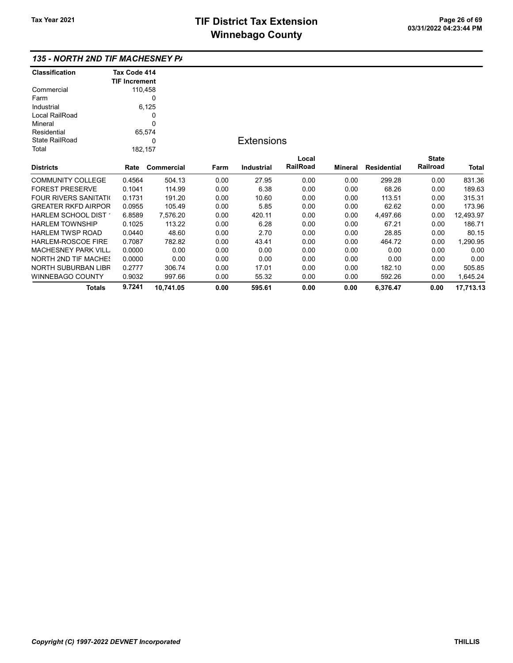| <b>Classification</b>         | Tax Code 414         |             |      |                   |          |                |                    |              |           |
|-------------------------------|----------------------|-------------|------|-------------------|----------|----------------|--------------------|--------------|-----------|
|                               | <b>TIF Increment</b> |             |      |                   |          |                |                    |              |           |
| Commercial                    |                      | 110,458     |      |                   |          |                |                    |              |           |
| Farm                          |                      | 0           |      |                   |          |                |                    |              |           |
| Industrial                    |                      | 6,125       |      |                   |          |                |                    |              |           |
| Local RailRoad                |                      | 0           |      |                   |          |                |                    |              |           |
| Mineral                       |                      | $\mathbf 0$ |      |                   |          |                |                    |              |           |
| Residential                   |                      | 65,574      |      |                   |          |                |                    |              |           |
| <b>State RailRoad</b>         |                      | 0           |      | <b>Extensions</b> |          |                |                    |              |           |
| Total                         |                      | 182,157     |      |                   |          |                |                    |              |           |
|                               |                      |             |      |                   | Local    |                |                    | <b>State</b> |           |
| <b>Districts</b>              | Rate                 | Commercial  | Farm | <b>Industrial</b> | RailRoad | <b>Mineral</b> | <b>Residential</b> | Railroad     | Total     |
| <b>COMMUNITY COLLEGE</b>      | 0.4564               | 504.13      | 0.00 | 27.95             | 0.00     | 0.00           | 299.28             | 0.00         | 831.36    |
| <b>FOREST PRESERVE</b>        | 0.1041               | 114.99      | 0.00 | 6.38              | 0.00     | 0.00           | 68.26              | 0.00         | 189.63    |
| <b>FOUR RIVERS SANITATION</b> | 0.1731               | 191.20      | 0.00 | 10.60             | 0.00     | 0.00           | 113.51             | 0.00         | 315.31    |
| <b>GREATER RKFD AIRPOR</b>    | 0.0955               | 105.49      | 0.00 | 5.85              | 0.00     | 0.00           | 62.62              | 0.00         | 173.96    |
| HARLEM SCHOOL DIST            | 6.8589               | 7,576.20    | 0.00 | 420.11            | 0.00     | 0.00           | 4,497.66           | 0.00         | 12,493.97 |
| <b>HARLEM TOWNSHIP</b>        | 0.1025               | 113.22      | 0.00 | 6.28              | 0.00     | 0.00           | 67.21              | 0.00         | 186.71    |
| <b>HARLEM TWSP ROAD</b>       | 0.0440               | 48.60       | 0.00 | 2.70              | 0.00     | 0.00           | 28.85              | 0.00         | 80.15     |
| HARLEM-ROSCOE FIRE            | 0.7087               | 782.82      | 0.00 | 43.41             | 0.00     | 0.00           | 464.72             | 0.00         | 1,290.95  |
| <b>MACHESNEY PARK VILL</b>    | 0.0000               | 0.00        | 0.00 | 0.00              | 0.00     | 0.00           | 0.00               | 0.00         | 0.00      |
| <b>NORTH 2ND TIF MACHES</b>   | 0.0000               | 0.00        | 0.00 | 0.00              | 0.00     | 0.00           | 0.00               | 0.00         | 0.00      |
| NORTH SUBURBAN LIBR           | 0.2777               | 306.74      | 0.00 | 17.01             | 0.00     | 0.00           | 182.10             | 0.00         | 505.85    |
| <b>WINNEBAGO COUNTY</b>       | 0.9032               | 997.66      | 0.00 | 55.32             | 0.00     | 0.00           | 592.26             | 0.00         | 1,645.24  |
| Totals                        | 9.7241               | 10,741.05   | 0.00 | 595.61            | 0.00     | 0.00           | 6,376.47           | 0.00         | 17,713.13 |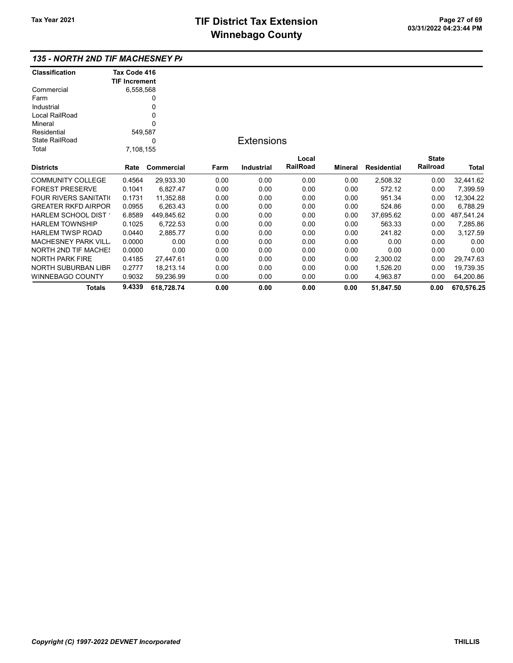| Classification              | Tax Code 416         |            |      |                   |          |         |             |              |              |
|-----------------------------|----------------------|------------|------|-------------------|----------|---------|-------------|--------------|--------------|
|                             | <b>TIF Increment</b> |            |      |                   |          |         |             |              |              |
| Commercial                  | 6,558,568            |            |      |                   |          |         |             |              |              |
| Farm                        |                      | 0          |      |                   |          |         |             |              |              |
| Industrial                  |                      |            |      |                   |          |         |             |              |              |
| Local RailRoad              |                      |            |      |                   |          |         |             |              |              |
| Mineral                     |                      |            |      |                   |          |         |             |              |              |
| Residential                 | 549,587              |            |      |                   |          |         |             |              |              |
| <b>State RailRoad</b>       |                      | 0          |      | <b>Extensions</b> |          |         |             |              |              |
| Total                       | 7,108,155            |            |      |                   |          |         |             |              |              |
|                             |                      |            |      |                   | Local    |         |             | <b>State</b> |              |
| Districts                   | Rate                 | Commercial | Farm | Industrial        | RailRoad | Mineral | Residential | Railroad     | <b>Total</b> |
| COMMUNITY COLLEGE           | 0.4564               | 29,933.30  | 0.00 | 0.00              | 0.00     | 0.00    | 2,508.32    | 0.00         | 32,441.62    |
| <b>FOREST PRESERVE</b>      | 0.1041               | 6,827.47   | 0.00 | 0.00              | 0.00     | 0.00    | 572.12      | 0.00         | 7,399.59     |
| FOUR RIVERS SANITATI(       | 0.1731               | 11,352.88  | 0.00 | 0.00              | 0.00     | 0.00    | 951.34      | 0.00         | 12,304.22    |
| <b>GREATER RKFD AIRPOR</b>  | 0.0955               | 6,263.43   | 0.00 | 0.00              | 0.00     | 0.00    | 524.86      | 0.00         | 6,788.29     |
| HARLEM SCHOOL DIST 1        | 6.8589               | 449,845.62 | 0.00 | 0.00              | 0.00     | 0.00    | 37,695.62   | 0.00         | 487,541.24   |
| HARLEM TOWNSHIP             | 0.1025               | 6,722.53   | 0.00 | 0.00              | 0.00     | 0.00    | 563.33      | 0.00         | 7,285.86     |
| HARLEM TWSP ROAD            | 0.0440               | 2,885.77   | 0.00 | 0.00              | 0.00     | 0.00    | 241.82      | 0.00         | 3,127.59     |
| MACHESNEY PARK VILL.        | 0.0000               | 0.00       | 0.00 | 0.00              | 0.00     | 0.00    | 0.00        | 0.00         | 0.00         |
| <b>NORTH 2ND TIF MACHE!</b> | 0.0000               | 0.00       | 0.00 | 0.00              | 0.00     | 0.00    | 0.00        | 0.00         | 0.00         |
| NORTH PARK FIRE             | 0.4185               | 27,447.61  | 0.00 | 0.00              | 0.00     | 0.00    | 2,300.02    | 0.00         | 29,747.63    |
| NORTH SUBURBAN LIBR         | 0.2777               | 18,213.14  | 0.00 | 0.00              | 0.00     | 0.00    | 1,526.20    | 0.00         | 19,739.35    |
| WINNEBAGO COUNTY            | 0.9032               | 59,236.99  | 0.00 | 0.00              | 0.00     | 0.00    | 4,963.87    | 0.00         | 64,200.86    |
| Totals                      | 9.4339               | 618,728.74 | 0.00 | 0.00              | 0.00     | 0.00    | 51.847.50   | 0.00         | 670,576.25   |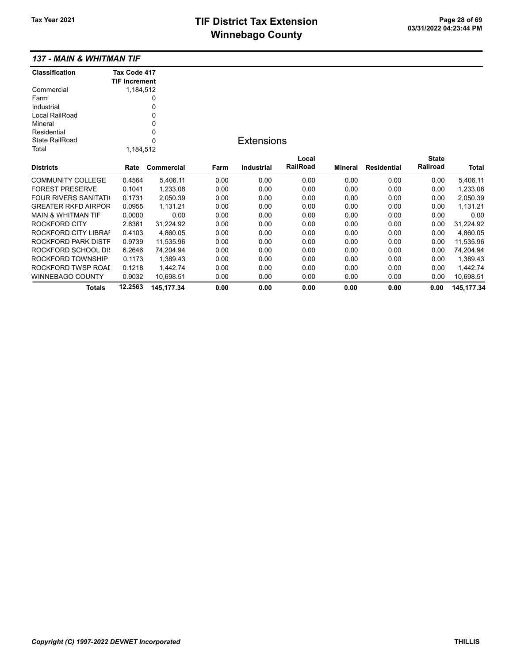## TIF District Tax Extension Page 28 of 69<br>03/31/2022 04:23:44 PM **Winnebago County**

|  |  |  | 137 - MAIN & WHITMAN TIF |
|--|--|--|--------------------------|
|--|--|--|--------------------------|

| <b>Classification</b>         | Tax Code 417<br><b>TIF Increment</b> |             |      |                   |          |                |                    |              |             |
|-------------------------------|--------------------------------------|-------------|------|-------------------|----------|----------------|--------------------|--------------|-------------|
| Commercial                    | 1,184,512                            |             |      |                   |          |                |                    |              |             |
| Farm                          |                                      | 0           |      |                   |          |                |                    |              |             |
| Industrial                    |                                      | 0           |      |                   |          |                |                    |              |             |
| Local RailRoad                |                                      | 0           |      |                   |          |                |                    |              |             |
| Mineral                       |                                      | 0           |      |                   |          |                |                    |              |             |
| Residential                   |                                      | 0           |      |                   |          |                |                    |              |             |
| <b>State RailRoad</b>         |                                      | $\Omega$    |      | <b>Extensions</b> |          |                |                    |              |             |
| Total                         | 1,184,512                            |             |      |                   |          |                |                    |              |             |
|                               |                                      |             |      |                   | Local    |                |                    | <b>State</b> |             |
| <b>Districts</b>              | Rate                                 | Commercial  | Farm | <b>Industrial</b> | RailRoad | <b>Mineral</b> | <b>Residential</b> | Railroad     | Total       |
| <b>COMMUNITY COLLEGE</b>      | 0.4564                               | 5,406.11    | 0.00 | 0.00              | 0.00     | 0.00           | 0.00               | 0.00         | 5,406.11    |
| <b>FOREST PRESERVE</b>        | 0.1041                               | 1,233.08    | 0.00 | 0.00              | 0.00     | 0.00           | 0.00               | 0.00         | 1,233.08    |
| <b>FOUR RIVERS SANITATI</b>   | 0.1731                               | 2,050.39    | 0.00 | 0.00              | 0.00     | 0.00           | 0.00               | 0.00         | 2,050.39    |
| <b>GREATER RKFD AIRPOR</b>    | 0.0955                               | 1,131.21    | 0.00 | 0.00              | 0.00     | 0.00           | 0.00               | 0.00         | 1,131.21    |
| <b>MAIN &amp; WHITMAN TIF</b> | 0.0000                               | 0.00        | 0.00 | 0.00              | 0.00     | 0.00           | 0.00               | 0.00         | 0.00        |
| ROCKFORD CITY                 | 2.6361                               | 31,224.92   | 0.00 | 0.00              | 0.00     | 0.00           | 0.00               | 0.00         | 31,224.92   |
| ROCKFORD CITY LIBRAI          | 0.4103                               | 4,860.05    | 0.00 | 0.00              | 0.00     | 0.00           | 0.00               | 0.00         | 4,860.05    |
| ROCKFORD PARK DISTF           | 0.9739                               | 11,535.96   | 0.00 | 0.00              | 0.00     | 0.00           | 0.00               | 0.00         | 11,535.96   |
| ROCKFORD SCHOOL DIS           | 6.2646                               | 74,204.94   | 0.00 | 0.00              | 0.00     | 0.00           | 0.00               | 0.00         | 74,204.94   |
| ROCKFORD TOWNSHIP             | 0.1173                               | 1,389.43    | 0.00 | 0.00              | 0.00     | 0.00           | 0.00               | 0.00         | 1,389.43    |
| ROCKFORD TWSP ROAL            | 0.1218                               | 1,442.74    | 0.00 | 0.00              | 0.00     | 0.00           | 0.00               | 0.00         | 1,442.74    |
| <b>WINNEBAGO COUNTY</b>       | 0.9032                               | 10,698.51   | 0.00 | 0.00              | 0.00     | 0.00           | 0.00               | 0.00         | 10,698.51   |
| Totals                        | 12.2563                              | 145, 177.34 | 0.00 | 0.00              | 0.00     | 0.00           | 0.00               | 0.00         | 145, 177.34 |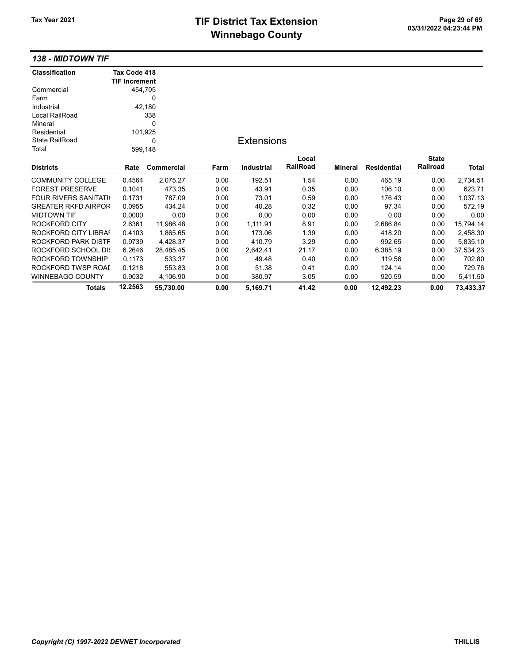# TIF District Tax Extension<br>
M's sales and Canada page 21 of 69<br>
M's sales and Canada page 11 **Winnebago County**

### 138 - MIDTOWN TIF

| <b>Classification</b>         | Tax Code 418         |            |      |                   |                 |                |                    |              |              |
|-------------------------------|----------------------|------------|------|-------------------|-----------------|----------------|--------------------|--------------|--------------|
|                               | <b>TIF Increment</b> |            |      |                   |                 |                |                    |              |              |
| Commercial                    | 454,705              |            |      |                   |                 |                |                    |              |              |
| Farm                          |                      | 0          |      |                   |                 |                |                    |              |              |
| Industrial                    |                      | 42,180     |      |                   |                 |                |                    |              |              |
| Local RailRoad                |                      | 338        |      |                   |                 |                |                    |              |              |
| Mineral                       |                      | 0          |      |                   |                 |                |                    |              |              |
| Residential                   | 101,925              |            |      |                   |                 |                |                    |              |              |
| <b>State RailRoad</b>         |                      | 0          |      | <b>Extensions</b> |                 |                |                    |              |              |
| Total                         | 599,148              |            |      |                   |                 |                |                    |              |              |
|                               |                      |            |      |                   | Local           |                |                    | <b>State</b> |              |
| <b>Districts</b>              | Rate                 | Commercial | Farm | <b>Industrial</b> | <b>RailRoad</b> | <b>Mineral</b> | <b>Residential</b> | Railroad     | <b>Total</b> |
| <b>COMMUNITY COLLEGE</b>      | 0.4564               | 2,075.27   | 0.00 | 192.51            | 1.54            | 0.00           | 465.19             | 0.00         | 2,734.51     |
| <b>FOREST PRESERVE</b>        | 0.1041               | 473.35     | 0.00 | 43.91             | 0.35            | 0.00           | 106.10             | 0.00         | 623.71       |
| <b>FOUR RIVERS SANITATION</b> | 0.1731               | 787.09     | 0.00 | 73.01             | 0.59            | 0.00           | 176.43             | 0.00         | 1,037.13     |
| <b>GREATER RKFD AIRPOR</b>    | 0.0955               | 434.24     | 0.00 | 40.28             | 0.32            | 0.00           | 97.34              | 0.00         | 572.19       |
| <b>MIDTOWN TIF</b>            | 0.0000               | 0.00       | 0.00 | 0.00              | 0.00            | 0.00           | 0.00               | 0.00         | 0.00         |
| ROCKFORD CITY                 | 2.6361               | 11,986.48  | 0.00 | 1,111.91          | 8.91            | 0.00           | 2,686.84           | 0.00         | 15,794.14    |
| ROCKFORD CITY LIBRAI          | 0.4103               | 1,865.65   | 0.00 | 173.06            | 1.39            | 0.00           | 418.20             | 0.00         | 2,458.30     |
| ROCKFORD PARK DISTF           | 0.9739               | 4,428.37   | 0.00 | 410.79            | 3.29            | 0.00           | 992.65             | 0.00         | 5,835.10     |
| ROCKFORD SCHOOL DIS           | 6.2646               | 28,485.45  | 0.00 | 2,642.41          | 21.17           | 0.00           | 6,385.19           | 0.00         | 37,534.23    |
| ROCKFORD TOWNSHIP             | 0.1173               | 533.37     | 0.00 | 49.48             | 0.40            | 0.00           | 119.56             | 0.00         | 702.80       |
| ROCKFORD TWSP ROAI            | 0.1218               | 553.83     | 0.00 | 51.38             | 0.41            | 0.00           | 124.14             | 0.00         | 729.76       |
| WINNEBAGO COUNTY              | 0.9032               | 4,106.90   | 0.00 | 380.97            | 3.05            | 0.00           | 920.59             | 0.00         | 5,411.50     |
| Totals                        | 12.2563              | 55,730.00  | 0.00 | 5,169.71          | 41.42           | 0.00           | 12,492.23          | 0.00         | 73,433.37    |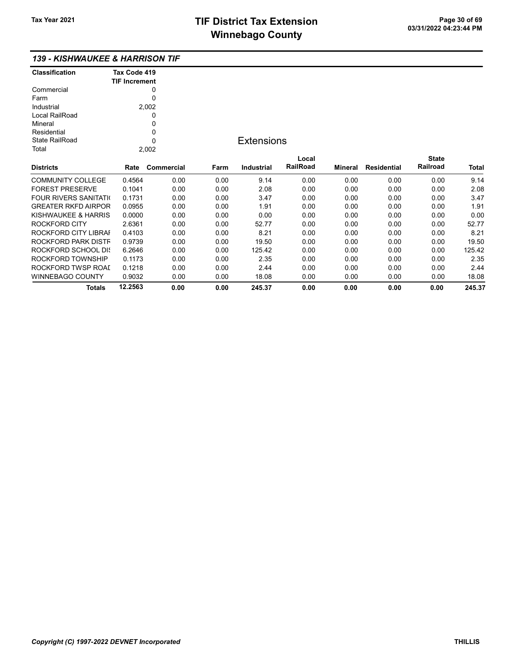#### 139 - KISHWAUKEE & HARRISON TIF

| <b>Classification</b> | Tax Code 419<br><b>TIF Increment</b> |  |
|-----------------------|--------------------------------------|--|
|                       |                                      |  |
| Commercial            |                                      |  |
| Farm                  |                                      |  |
| Industrial            | 2,002                                |  |
| Local RailRoad        |                                      |  |
| Mineral               |                                      |  |
| Residential           | Ω                                    |  |
| State RailRoad        |                                      |  |
| Total                 |                                      |  |

### **Extensions**

| <b>Districts</b>              | Rate    | Commercial | Farm | <b>Industrial</b> | Local<br><b>RailRoad</b> | Mineral | <b>Residential</b> | <b>State</b><br>Railroad | <b>Total</b> |
|-------------------------------|---------|------------|------|-------------------|--------------------------|---------|--------------------|--------------------------|--------------|
|                               |         |            |      |                   |                          |         |                    |                          |              |
| <b>COMMUNITY COLLEGE</b>      | 0.4564  | 0.00       | 0.00 | 9.14              | 0.00                     | 0.00    | 0.00               | 0.00                     | 9.14         |
| <b>FOREST PRESERVE</b>        | 0.1041  | 0.00       | 0.00 | 2.08              | 0.00                     | 0.00    | 0.00               | 0.00                     | 2.08         |
| <b>FOUR RIVERS SANITATION</b> | 0.1731  | 0.00       | 0.00 | 3.47              | 0.00                     | 0.00    | 0.00               | 0.00                     | 3.47         |
| <b>GREATER RKFD AIRPOR</b>    | 0.0955  | 0.00       | 0.00 | 1.91              | 0.00                     | 0.00    | 0.00               | 0.00                     | 1.91         |
| KISHWAUKEE & HARRIS           | 0.0000  | 0.00       | 0.00 | 0.00              | 0.00                     | 0.00    | 0.00               | 0.00                     | 0.00         |
| ROCKFORD CITY                 | 2.6361  | 0.00       | 0.00 | 52.77             | 0.00                     | 0.00    | 0.00               | 0.00                     | 52.77        |
| ROCKFORD CITY LIBRAI          | 0.4103  | 0.00       | 0.00 | 8.21              | 0.00                     | 0.00    | 0.00               | 0.00                     | 8.21         |
| ROCKFORD PARK DISTF           | 0.9739  | 0.00       | 0.00 | 19.50             | 0.00                     | 0.00    | 0.00               | 0.00                     | 19.50        |
| ROCKFORD SCHOOL DIS           | 6.2646  | 0.00       | 0.00 | 125.42            | 0.00                     | 0.00    | 0.00               | 0.00                     | 125.42       |
| ROCKFORD TOWNSHIP             | 0.1173  | 0.00       | 0.00 | 2.35              | 0.00                     | 0.00    | 0.00               | 0.00                     | 2.35         |
| ROCKFORD TWSP ROAL            | 0.1218  | 0.00       | 0.00 | 2.44              | 0.00                     | 0.00    | 0.00               | 0.00                     | 2.44         |
| WINNEBAGO COUNTY              | 0.9032  | 0.00       | 0.00 | 18.08             | 0.00                     | 0.00    | 0.00               | 0.00                     | 18.08        |
| <b>Totals</b>                 | 12.2563 | 0.00       | 0.00 | 245.37            | 0.00                     | 0.00    | 0.00               | 0.00                     | 245.37       |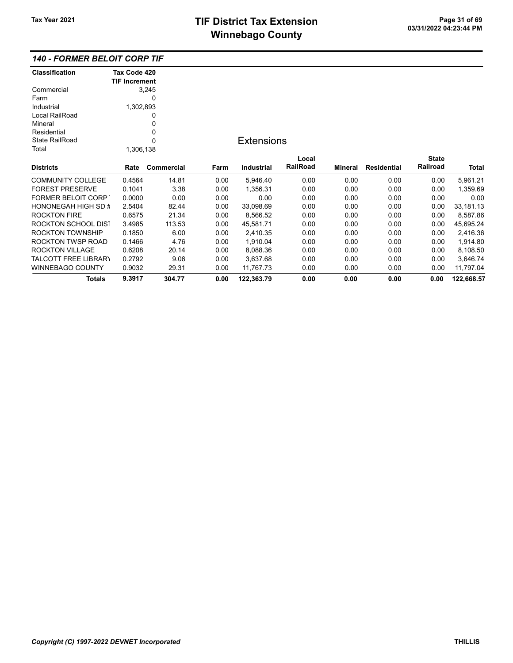### 140 - FORMER BELOIT CORP TIF

| <b>Classification</b>       | Tax Code 420         |            |      |                   |          |         |             |              |            |
|-----------------------------|----------------------|------------|------|-------------------|----------|---------|-------------|--------------|------------|
|                             | <b>TIF Increment</b> |            |      |                   |          |         |             |              |            |
| Commercial                  |                      | 3,245      |      |                   |          |         |             |              |            |
| Farm                        |                      | 0          |      |                   |          |         |             |              |            |
| Industrial                  | 1,302,893            |            |      |                   |          |         |             |              |            |
| Local RailRoad              |                      | 0          |      |                   |          |         |             |              |            |
| Mineral                     |                      | 0          |      |                   |          |         |             |              |            |
| Residential                 |                      | 0          |      |                   |          |         |             |              |            |
| <b>State RailRoad</b>       |                      | 0          |      | <b>Extensions</b> |          |         |             |              |            |
| Total                       | 1,306,138            |            |      |                   |          |         |             |              |            |
|                             |                      |            |      |                   | Local    |         |             | <b>State</b> |            |
| <b>Districts</b>            | Rate                 | Commercial | Farm | Industrial        | RailRoad | Mineral | Residential | Railroad     | Total      |
| <b>COMMUNITY COLLEGE</b>    | 0.4564               | 14.81      | 0.00 | 5,946.40          | 0.00     | 0.00    | 0.00        | 0.00         | 5,961.21   |
| <b>FOREST PRESERVE</b>      | 0.1041               | 3.38       | 0.00 | 1,356.31          | 0.00     | 0.00    | 0.00        | 0.00         | 1,359.69   |
| <b>FORMER BELOIT CORP</b>   | 0.0000               | 0.00       | 0.00 | 0.00              | 0.00     | 0.00    | 0.00        | 0.00         | 0.00       |
| HONONEGAH HIGH SD #         | 2.5404               | 82.44      | 0.00 | 33,098.69         | 0.00     | 0.00    | 0.00        | 0.00         | 33,181.13  |
| <b>ROCKTON FIRE</b>         | 0.6575               | 21.34      | 0.00 | 8,566.52          | 0.00     | 0.00    | 0.00        | 0.00         | 8,587.86   |
| <b>ROCKTON SCHOOL DIST</b>  | 3.4985               | 113.53     | 0.00 | 45,581.71         | 0.00     | 0.00    | 0.00        | 0.00         | 45,695.24  |
| ROCKTON TOWNSHIP            | 0.1850               | 6.00       | 0.00 | 2,410.35          | 0.00     | 0.00    | 0.00        | 0.00         | 2,416.36   |
| ROCKTON TWSP ROAD           | 0.1466               | 4.76       | 0.00 | 1,910.04          | 0.00     | 0.00    | 0.00        | 0.00         | 1,914.80   |
| <b>ROCKTON VILLAGE</b>      | 0.6208               | 20.14      | 0.00 | 8,088.36          | 0.00     | 0.00    | 0.00        | 0.00         | 8,108.50   |
| <b>TALCOTT FREE LIBRARY</b> | 0.2792               | 9.06       | 0.00 | 3,637.68          | 0.00     | 0.00    | 0.00        | 0.00         | 3,646.74   |
| <b>WINNEBAGO COUNTY</b>     | 0.9032               | 29.31      | 0.00 | 11,767.73         | 0.00     | 0.00    | 0.00        | 0.00         | 11,797.04  |
| <b>Totals</b>               | 9.3917               | 304.77     | 0.00 | 122,363.79        | 0.00     | 0.00    | 0.00        | 0.00         | 122,668.57 |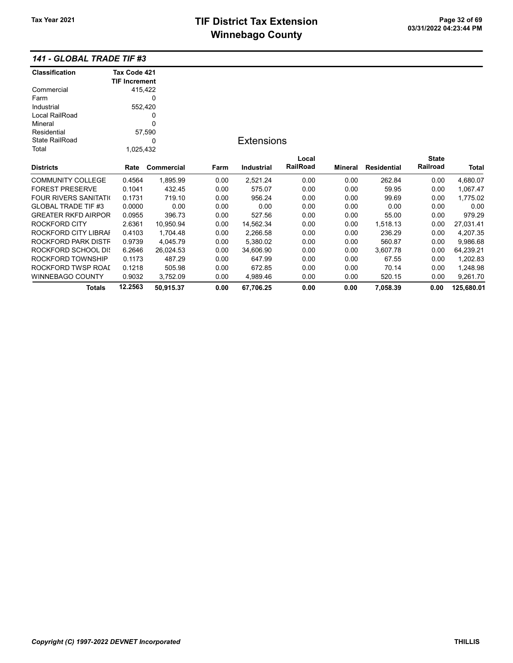### 141 - GLOBAL TRADE TIF #3

| <b>Classification</b>       | Tax Code 421         |            |      |                   |                 |         |                    |              |            |
|-----------------------------|----------------------|------------|------|-------------------|-----------------|---------|--------------------|--------------|------------|
|                             | <b>TIF Increment</b> |            |      |                   |                 |         |                    |              |            |
| Commercial                  | 415,422              |            |      |                   |                 |         |                    |              |            |
| Farm                        |                      | 0          |      |                   |                 |         |                    |              |            |
| Industrial                  | 552,420              |            |      |                   |                 |         |                    |              |            |
| Local RailRoad              |                      | 0          |      |                   |                 |         |                    |              |            |
| Mineral                     |                      | 0          |      |                   |                 |         |                    |              |            |
| Residential                 |                      | 57,590     |      |                   |                 |         |                    |              |            |
| <b>State RailRoad</b>       |                      | 0          |      | <b>Extensions</b> |                 |         |                    |              |            |
| Total                       | 1,025,432            |            |      |                   |                 |         |                    |              |            |
|                             |                      |            |      |                   | Local           |         |                    | <b>State</b> |            |
| <b>Districts</b>            | Rate                 | Commercial | Farm | Industrial        | <b>RailRoad</b> | Mineral | <b>Residential</b> | Railroad     | Total      |
| <b>COMMUNITY COLLEGE</b>    | 0.4564               | 1,895.99   | 0.00 | 2,521.24          | 0.00            | 0.00    | 262.84             | 0.00         | 4,680.07   |
| <b>FOREST PRESERVE</b>      | 0.1041               | 432.45     | 0.00 | 575.07            | 0.00            | 0.00    | 59.95              | 0.00         | 1,067.47   |
| <b>FOUR RIVERS SANITATI</b> | 0.1731               | 719.10     | 0.00 | 956.24            | 0.00            | 0.00    | 99.69              | 0.00         | 1,775.02   |
| <b>GLOBAL TRADE TIF #3</b>  | 0.0000               | 0.00       | 0.00 | 0.00              | 0.00            | 0.00    | 0.00               | 0.00         | 0.00       |
| <b>GREATER RKFD AIRPOR</b>  | 0.0955               | 396.73     | 0.00 | 527.56            | 0.00            | 0.00    | 55.00              | 0.00         | 979.29     |
| ROCKFORD CITY               | 2.6361               | 10,950.94  | 0.00 | 14,562.34         | 0.00            | 0.00    | 1,518.13           | 0.00         | 27,031.41  |
| ROCKFORD CITY LIBRAI        | 0.4103               | 1,704.48   | 0.00 | 2,266.58          | 0.00            | 0.00    | 236.29             | 0.00         | 4,207.35   |
| ROCKFORD PARK DISTF         | 0.9739               | 4,045.79   | 0.00 | 5,380.02          | 0.00            | 0.00    | 560.87             | 0.00         | 9,986.68   |
| ROCKFORD SCHOOL DIS         | 6.2646               | 26,024.53  | 0.00 | 34,606.90         | 0.00            | 0.00    | 3,607.78           | 0.00         | 64,239.21  |
| ROCKFORD TOWNSHIP           | 0.1173               | 487.29     | 0.00 | 647.99            | 0.00            | 0.00    | 67.55              | 0.00         | 1,202.83   |
| ROCKFORD TWSP ROAI          | 0.1218               | 505.98     | 0.00 | 672.85            | 0.00            | 0.00    | 70.14              | 0.00         | 1,248.98   |
| <b>WINNEBAGO COUNTY</b>     | 0.9032               | 3,752.09   | 0.00 | 4,989.46          | 0.00            | 0.00    | 520.15             | 0.00         | 9,261.70   |
| <b>Totals</b>               | 12.2563              | 50,915.37  | 0.00 | 67,706.25         | 0.00            | 0.00    | 7,058.39           | 0.00         | 125,680.01 |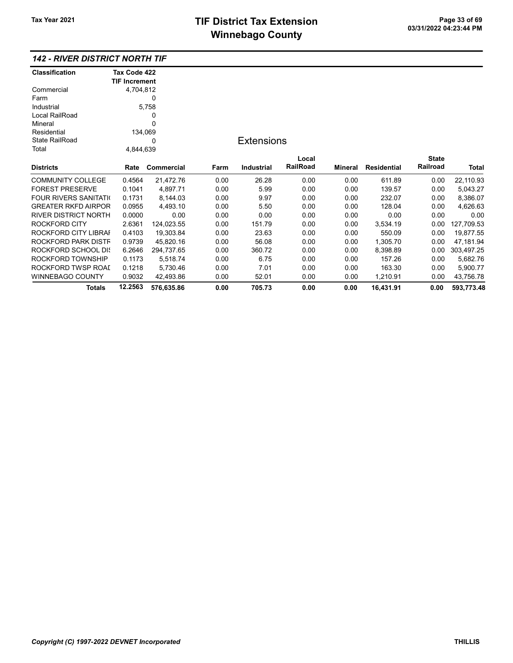### 142 - RIVER DISTRICT NORTH TIF

| <b>Classification</b>       | Tax Code 422         |            |      |                   |          |         |                    |              |              |
|-----------------------------|----------------------|------------|------|-------------------|----------|---------|--------------------|--------------|--------------|
|                             | <b>TIF Increment</b> |            |      |                   |          |         |                    |              |              |
| Commercial                  | 4,704,812            |            |      |                   |          |         |                    |              |              |
| Farm                        |                      | 0          |      |                   |          |         |                    |              |              |
| Industrial                  |                      | 5,758      |      |                   |          |         |                    |              |              |
| Local RailRoad              |                      | 0          |      |                   |          |         |                    |              |              |
| Mineral                     |                      | 0          |      |                   |          |         |                    |              |              |
| Residential                 | 134,069              |            |      |                   |          |         |                    |              |              |
| <b>State RailRoad</b>       |                      | 0          |      | <b>Extensions</b> |          |         |                    |              |              |
| Total                       | 4,844,639            |            |      |                   |          |         |                    |              |              |
|                             |                      |            |      |                   | Local    |         |                    | <b>State</b> |              |
| <b>Districts</b>            | Rate                 | Commercial | Farm | <b>Industrial</b> | RailRoad | Mineral | <b>Residential</b> | Railroad     | <b>Total</b> |
| <b>COMMUNITY COLLEGE</b>    | 0.4564               | 21,472.76  | 0.00 | 26.28             | 0.00     | 0.00    | 611.89             | 0.00         | 22,110.93    |
| <b>FOREST PRESERVE</b>      | 0.1041               | 4,897.71   | 0.00 | 5.99              | 0.00     | 0.00    | 139.57             | 0.00         | 5,043.27     |
| FOUR RIVERS SANITATI(       | 0.1731               | 8,144.03   | 0.00 | 9.97              | 0.00     | 0.00    | 232.07             | 0.00         | 8,386.07     |
| <b>GREATER RKFD AIRPOR</b>  | 0.0955               | 4,493.10   | 0.00 | 5.50              | 0.00     | 0.00    | 128.04             | 0.00         | 4,626.63     |
| <b>RIVER DISTRICT NORTH</b> | 0.0000               | 0.00       | 0.00 | 0.00              | 0.00     | 0.00    | 0.00               | 0.00         | 0.00         |
| ROCKFORD CITY               | 2.6361               | 124,023.55 | 0.00 | 151.79            | 0.00     | 0.00    | 3,534.19           | 0.00         | 127,709.53   |
| ROCKFORD CITY LIBRAI        | 0.4103               | 19,303.84  | 0.00 | 23.63             | 0.00     | 0.00    | 550.09             | 0.00         | 19,877.55    |
| ROCKFORD PARK DISTF         | 0.9739               | 45,820.16  | 0.00 | 56.08             | 0.00     | 0.00    | 1.305.70           | 0.00         | 47,181.94    |
| ROCKFORD SCHOOL DIS         | 6.2646               | 294,737.65 | 0.00 | 360.72            | 0.00     | 0.00    | 8,398.89           | 0.00         | 303,497.25   |
| ROCKFORD TOWNSHIP           | 0.1173               | 5,518.74   | 0.00 | 6.75              | 0.00     | 0.00    | 157.26             | 0.00         | 5,682.76     |
| ROCKFORD TWSP ROAI          | 0.1218               | 5,730.46   | 0.00 | 7.01              | 0.00     | 0.00    | 163.30             | 0.00         | 5,900.77     |
| WINNEBAGO COUNTY            | 0.9032               | 42,493.86  | 0.00 | 52.01             | 0.00     | 0.00    | 1,210.91           | 0.00         | 43,756.78    |
| Totals                      | 12.2563              | 576,635.86 | 0.00 | 705.73            | 0.00     | 0.00    | 16,431.91          | 0.00         | 593,773.48   |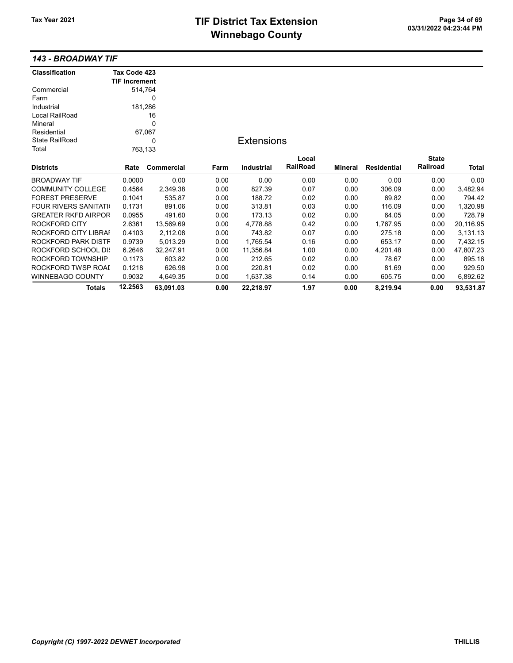# TIF District Tax Extension<br>
Mission 200 at 23:44 PM **Winnebago County**

#### 143 - BROADWAY TIF

| <b>Classification</b>       | Tax Code 423         |            |      |                   |          |                |                    |              |           |
|-----------------------------|----------------------|------------|------|-------------------|----------|----------------|--------------------|--------------|-----------|
|                             | <b>TIF Increment</b> |            |      |                   |          |                |                    |              |           |
| Commercial                  | 514,764              |            |      |                   |          |                |                    |              |           |
| Farm                        |                      | 0          |      |                   |          |                |                    |              |           |
| Industrial                  | 181,286              |            |      |                   |          |                |                    |              |           |
| Local RailRoad              |                      | 16         |      |                   |          |                |                    |              |           |
| Mineral                     |                      | 0          |      |                   |          |                |                    |              |           |
| Residential                 |                      | 67,067     |      |                   |          |                |                    |              |           |
| <b>State RailRoad</b>       |                      | 0          |      | <b>Extensions</b> |          |                |                    |              |           |
| Total                       | 763,133              |            |      |                   |          |                |                    |              |           |
|                             |                      |            |      |                   | Local    |                |                    | <b>State</b> |           |
| <b>Districts</b>            | Rate                 | Commercial | Farm | <b>Industrial</b> | RailRoad | <b>Mineral</b> | <b>Residential</b> | Railroad     | Total     |
| <b>BROADWAY TIF</b>         | 0.0000               | 0.00       | 0.00 | 0.00              | 0.00     | 0.00           | 0.00               | 0.00         | 0.00      |
| <b>COMMUNITY COLLEGE</b>    | 0.4564               | 2,349.38   | 0.00 | 827.39            | 0.07     | 0.00           | 306.09             | 0.00         | 3,482.94  |
| <b>FOREST PRESERVE</b>      | 0.1041               | 535.87     | 0.00 | 188.72            | 0.02     | 0.00           | 69.82              | 0.00         | 794.42    |
| <b>FOUR RIVERS SANITATI</b> | 0.1731               | 891.06     | 0.00 | 313.81            | 0.03     | 0.00           | 116.09             | 0.00         | 1,320.98  |
| <b>GREATER RKFD AIRPOR</b>  | 0.0955               | 491.60     | 0.00 | 173.13            | 0.02     | 0.00           | 64.05              | 0.00         | 728.79    |
| ROCKFORD CITY               | 2.6361               | 13,569.69  | 0.00 | 4,778.88          | 0.42     | 0.00           | 1,767.95           | 0.00         | 20,116.95 |
| ROCKFORD CITY LIBRAI        | 0.4103               | 2,112.08   | 0.00 | 743.82            | 0.07     | 0.00           | 275.18             | 0.00         | 3,131.13  |
| ROCKFORD PARK DISTF         | 0.9739               | 5,013.29   | 0.00 | 1,765.54          | 0.16     | 0.00           | 653.17             | 0.00         | 7,432.15  |
| ROCKFORD SCHOOL DIS         | 6.2646               | 32,247.91  | 0.00 | 11,356.84         | 1.00     | 0.00           | 4,201.48           | 0.00         | 47,807.23 |
| ROCKFORD TOWNSHIP           | 0.1173               | 603.82     | 0.00 | 212.65            | 0.02     | 0.00           | 78.67              | 0.00         | 895.16    |
| ROCKFORD TWSP ROAI          | 0.1218               | 626.98     | 0.00 | 220.81            | 0.02     | 0.00           | 81.69              | 0.00         | 929.50    |
| WINNEBAGO COUNTY            | 0.9032               | 4,649.35   | 0.00 | 1,637.38          | 0.14     | 0.00           | 605.75             | 0.00         | 6,892.62  |
| <b>Totals</b>               | 12.2563              | 63,091.03  | 0.00 | 22,218.97         | 1.97     | 0.00           | 8,219.94           | 0.00         | 93,531.87 |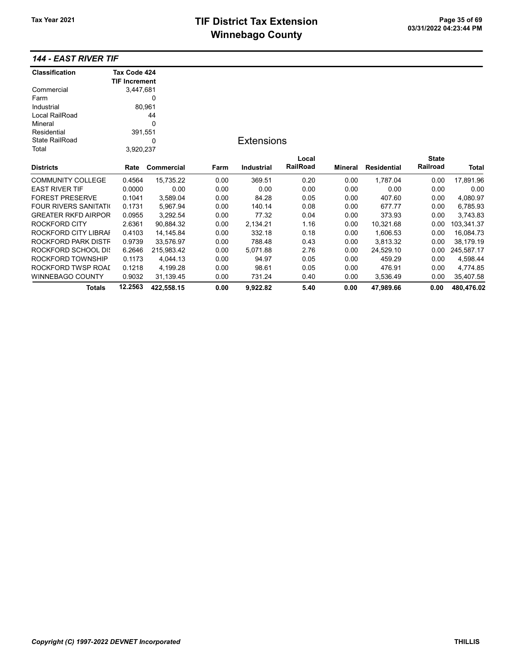# TIF District Tax Extension<br>
M's sales and Canada page 11 of 03/31/2022 04:23:44 PM **Winnebago County**

### 144 - EAST RIVER TIF

| <b>Classification</b>       | Tax Code 424         |            |      |                   |          |                |                    |                 |            |
|-----------------------------|----------------------|------------|------|-------------------|----------|----------------|--------------------|-----------------|------------|
|                             | <b>TIF Increment</b> |            |      |                   |          |                |                    |                 |            |
| Commercial                  | 3,447,681            |            |      |                   |          |                |                    |                 |            |
| Farm                        |                      | 0          |      |                   |          |                |                    |                 |            |
| Industrial                  |                      | 80,961     |      |                   |          |                |                    |                 |            |
| Local RailRoad              |                      | 44         |      |                   |          |                |                    |                 |            |
| Mineral                     |                      | 0          |      |                   |          |                |                    |                 |            |
| Residential                 | 391,551              |            |      |                   |          |                |                    |                 |            |
| <b>State RailRoad</b>       |                      | 0          |      | <b>Extensions</b> |          |                |                    |                 |            |
| Total                       | 3,920,237            |            |      |                   |          |                |                    |                 |            |
|                             |                      |            |      |                   | Local    |                |                    | <b>State</b>    |            |
| <b>Districts</b>            | Rate                 | Commercial | Farm | <b>Industrial</b> | RailRoad | <b>Mineral</b> | <b>Residential</b> | <b>Railroad</b> | Total      |
| <b>COMMUNITY COLLEGE</b>    | 0.4564               | 15,735.22  | 0.00 | 369.51            | 0.20     | 0.00           | 1,787.04           | 0.00            | 17,891.96  |
| <b>EAST RIVER TIF</b>       | 0.0000               | 0.00       | 0.00 | 0.00              | 0.00     | 0.00           | 0.00               | 0.00            | 0.00       |
| <b>FOREST PRESERVE</b>      | 0.1041               | 3,589.04   | 0.00 | 84.28             | 0.05     | 0.00           | 407.60             | 0.00            | 4,080.97   |
| <b>FOUR RIVERS SANITATI</b> | 0.1731               | 5,967.94   | 0.00 | 140.14            | 0.08     | 0.00           | 677.77             | 0.00            | 6,785.93   |
| <b>GREATER RKFD AIRPOR</b>  | 0.0955               | 3,292.54   | 0.00 | 77.32             | 0.04     | 0.00           | 373.93             | 0.00            | 3,743.83   |
| ROCKFORD CITY               | 2.6361               | 90,884.32  | 0.00 | 2,134.21          | 1.16     | 0.00           | 10,321.68          | 0.00            | 103,341.37 |
| ROCKFORD CITY LIBRAI        | 0.4103               | 14,145.84  | 0.00 | 332.18            | 0.18     | 0.00           | 1,606.53           | 0.00            | 16,084.73  |
| ROCKFORD PARK DISTF         | 0.9739               | 33,576.97  | 0.00 | 788.48            | 0.43     | 0.00           | 3,813.32           | 0.00            | 38,179.19  |
| ROCKFORD SCHOOL DIS         | 6.2646               | 215,983.42 | 0.00 | 5,071.88          | 2.76     | 0.00           | 24,529.10          | 0.00            | 245,587.17 |
| ROCKFORD TOWNSHIP           | 0.1173               | 4,044.13   | 0.00 | 94.97             | 0.05     | 0.00           | 459.29             | 0.00            | 4,598.44   |
| ROCKFORD TWSP ROAL          | 0.1218               | 4,199.28   | 0.00 | 98.61             | 0.05     | 0.00           | 476.91             | 0.00            | 4,774.85   |
| <b>WINNEBAGO COUNTY</b>     | 0.9032               | 31,139.45  | 0.00 | 731.24            | 0.40     | 0.00           | 3,536.49           | 0.00            | 35,407.58  |
| <b>Totals</b>               | 12.2563              | 422,558.15 | 0.00 | 9.922.82          | 5.40     | 0.00           | 47,989.66          | 0.00            | 480,476.02 |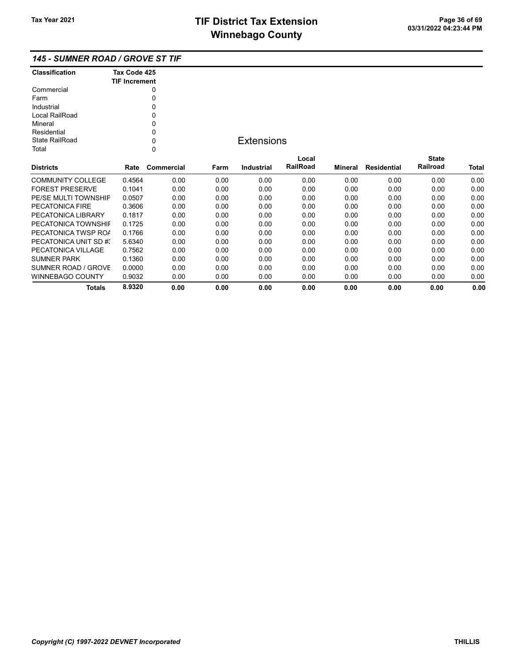### 145 - SUMNER ROAD / GROVE ST TIF

| <b>Classification</b> | Tax Code 425<br><b>TIF Increment</b> |
|-----------------------|--------------------------------------|
| Commercial            |                                      |
| Farm                  |                                      |
| Industrial            | ŋ                                    |
| Local RailRoad        | ŋ                                    |
| Mineral               | ŋ                                    |
| Residential           | ŋ                                    |
| State RailRoad        | ŋ                                    |
| Total                 |                                      |

### **Extensions**

| <b>Districts</b>       | Rate   | Commercial | Farm | Industrial | Local<br><b>RailRoad</b> | Mineral | Residential | <b>State</b><br>Railroad | <b>Total</b> |
|------------------------|--------|------------|------|------------|--------------------------|---------|-------------|--------------------------|--------------|
|                        |        |            |      |            |                          |         |             |                          |              |
| COMMUNITY COLLEGE      | 0.4564 | 0.00       | 0.00 | 0.00       | 0.00                     | 0.00    | 0.00        | 0.00                     | 0.00         |
| <b>FOREST PRESERVE</b> | 0.1041 | 0.00       | 0.00 | 0.00       | 0.00                     | 0.00    | 0.00        | 0.00                     | 0.00         |
| PE/SE MULTI TOWNSHIF   | 0.0507 | 0.00       | 0.00 | 0.00       | 0.00                     | 0.00    | 0.00        | 0.00                     | 0.00         |
| PECATONICA FIRE        | 0.3606 | 0.00       | 0.00 | 0.00       | 0.00                     | 0.00    | 0.00        | 0.00                     | 0.00         |
| PECATONICA LIBRARY     | 0.1817 | 0.00       | 0.00 | 0.00       | 0.00                     | 0.00    | 0.00        | 0.00                     | 0.00         |
| PECATONICA TOWNSHIL    | 0.1725 | 0.00       | 0.00 | 0.00       | 0.00                     | 0.00    | 0.00        | 0.00                     | 0.00         |
| PECATONICA TWSP ROA    | 0.1766 | 0.00       | 0.00 | 0.00       | 0.00                     | 0.00    | 0.00        | 0.00                     | 0.00         |
| PECATONICA UNIT SD #3  | 5.6340 | 0.00       | 0.00 | 0.00       | 0.00                     | 0.00    | 0.00        | 0.00                     | 0.00         |
| PECATONICA VILLAGE     | 0.7562 | 0.00       | 0.00 | 0.00       | 0.00                     | 0.00    | 0.00        | 0.00                     | 0.00         |
| <b>SUMNER PARK</b>     | 0.1360 | 0.00       | 0.00 | 0.00       | 0.00                     | 0.00    | 0.00        | 0.00                     | 0.00         |
| SUMNER ROAD / GROVE    | 0.0000 | 0.00       | 0.00 | 0.00       | 0.00                     | 0.00    | 0.00        | 0.00                     | 0.00         |
| WINNEBAGO COUNTY       | 0.9032 | 0.00       | 0.00 | 0.00       | 0.00                     | 0.00    | 0.00        | 0.00                     | 0.00         |
| Totals                 | 8.9320 | 0.00       | 0.00 | 0.00       | 0.00                     | 0.00    | 0.00        | 0.00                     | 0.00         |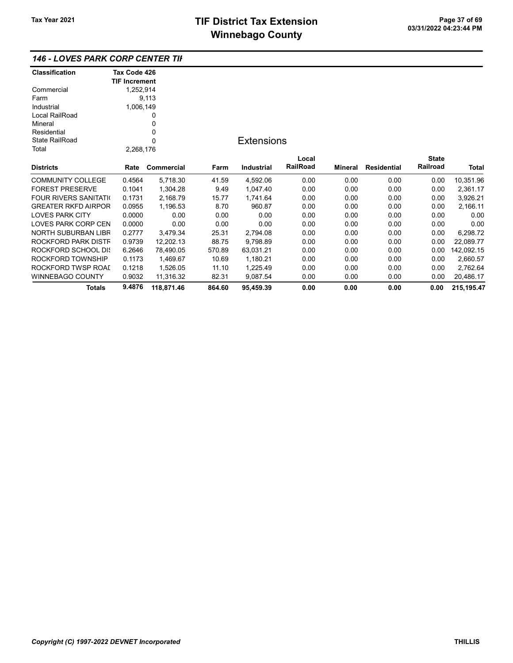### 146 - LOVES PARK CORP CENTER TIF

| <b>Classification</b>       | Tax Code 426         |             |        |                   |          |                |             |              |              |
|-----------------------------|----------------------|-------------|--------|-------------------|----------|----------------|-------------|--------------|--------------|
|                             | <b>TIF Increment</b> |             |        |                   |          |                |             |              |              |
| Commercial                  | 1,252,914            |             |        |                   |          |                |             |              |              |
| Farm                        |                      | 9,113       |        |                   |          |                |             |              |              |
| Industrial                  | 1,006,149            |             |        |                   |          |                |             |              |              |
| Local RailRoad              |                      | 0           |        |                   |          |                |             |              |              |
| Mineral                     |                      | 0           |        |                   |          |                |             |              |              |
| Residential                 |                      | $\mathbf 0$ |        |                   |          |                |             |              |              |
| <b>State RailRoad</b>       |                      | $\mathbf 0$ |        | <b>Extensions</b> |          |                |             |              |              |
| Total                       | 2,268,176            |             |        |                   |          |                |             |              |              |
|                             |                      |             |        |                   | Local    |                |             | <b>State</b> |              |
| <b>Districts</b>            | Rate                 | Commercial  | Farm   | <b>Industrial</b> | RailRoad | <b>Mineral</b> | Residential | Railroad     | <b>Total</b> |
| <b>COMMUNITY COLLEGE</b>    | 0.4564               | 5,718.30    | 41.59  | 4,592.06          | 0.00     | 0.00           | 0.00        | 0.00         | 10,351.96    |
| <b>FOREST PRESERVE</b>      | 0.1041               | 1,304.28    | 9.49   | 1,047.40          | 0.00     | 0.00           | 0.00        | 0.00         | 2,361.17     |
| <b>FOUR RIVERS SANITATI</b> | 0.1731               | 2,168.79    | 15.77  | 1,741.64          | 0.00     | 0.00           | 0.00        | 0.00         | 3,926.21     |
| <b>GREATER RKFD AIRPOR</b>  | 0.0955               | 1,196.53    | 8.70   | 960.87            | 0.00     | 0.00           | 0.00        | 0.00         | 2,166.11     |
| <b>LOVES PARK CITY</b>      | 0.0000               | 0.00        | 0.00   | 0.00              | 0.00     | 0.00           | 0.00        | 0.00         | 0.00         |
| LOVES PARK CORP CEN         | 0.0000               | 0.00        | 0.00   | 0.00              | 0.00     | 0.00           | 0.00        | 0.00         | 0.00         |
| NORTH SUBURBAN LIBR         | 0.2777               | 3,479.34    | 25.31  | 2,794.08          | 0.00     | 0.00           | 0.00        | 0.00         | 6,298.72     |
| ROCKFORD PARK DISTF         | 0.9739               | 12,202.13   | 88.75  | 9,798.89          | 0.00     | 0.00           | 0.00        | 0.00         | 22,089.77    |
| ROCKFORD SCHOOL DIS         | 6.2646               | 78,490.05   | 570.89 | 63,031.21         | 0.00     | 0.00           | 0.00        | 0.00         | 142,092.15   |
| ROCKFORD TOWNSHIP           | 0.1173               | 1,469.67    | 10.69  | 1,180.21          | 0.00     | 0.00           | 0.00        | 0.00         | 2,660.57     |
| ROCKFORD TWSP ROAI          | 0.1218               | 1,526.05    | 11.10  | 1,225.49          | 0.00     | 0.00           | 0.00        | 0.00         | 2,762.64     |
| WINNEBAGO COUNTY            | 0.9032               | 11,316.32   | 82.31  | 9,087.54          | 0.00     | 0.00           | 0.00        | 0.00         | 20,486.17    |
| <b>Totals</b>               | 9.4876               | 118,871.46  | 864.60 | 95,459.39         | 0.00     | 0.00           | 0.00        | 0.00         | 215, 195.47  |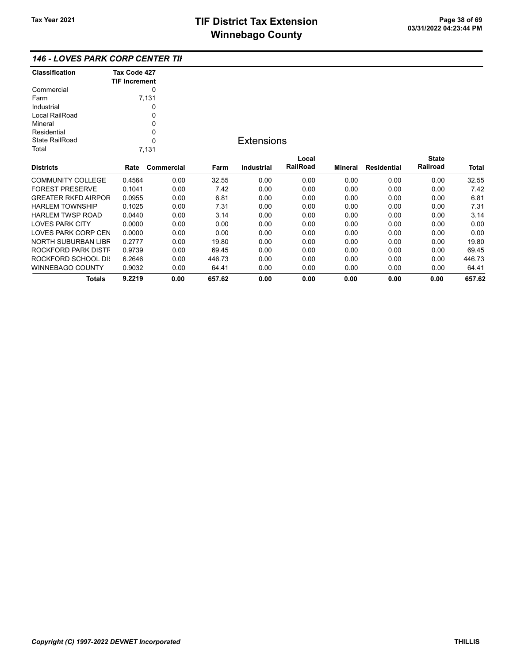| <b>Classification</b> | Tax Code 427<br><b>TIF Increment</b> |
|-----------------------|--------------------------------------|
| Commercial            | 0                                    |
| Farm                  | 7,131                                |
| Industrial            |                                      |
| Local RailRoad        |                                      |
| Mineral               | U                                    |
| Residential           | O                                    |
| State RailRoad        | በ                                    |
| Total                 | 7,131                                |
| <b>Districts</b>      | Rate Commercial                      |
|                       | - --- -                              |

## **Extensions**

| <b>Districts</b>           | Rate   | Commercial | Farm   | Industrial | Local<br><b>RailRoad</b> | Mineral | Residential | <b>State</b><br>Railroad | <b>Total</b> |
|----------------------------|--------|------------|--------|------------|--------------------------|---------|-------------|--------------------------|--------------|
| <b>COMMUNITY COLLEGE</b>   | 0.4564 | 0.00       | 32.55  | 0.00       | 0.00                     | 0.00    | 0.00        | 0.00                     | 32.55        |
| <b>FOREST PRESERVE</b>     | 0.1041 | 0.00       | 7.42   | 0.00       | 0.00                     | 0.00    | 0.00        | 0.00                     | 7.42         |
| <b>GREATER RKFD AIRPOR</b> | 0.0955 | 0.00       | 6.81   | 0.00       | 0.00                     | 0.00    | 0.00        | 0.00                     | 6.81         |
| <b>HARLEM TOWNSHIP</b>     | 0.1025 | 0.00       | 7.31   | 0.00       | 0.00                     | 0.00    | 0.00        | 0.00                     | 7.31         |
| HARI FM TWSP ROAD          | 0.0440 | 0.00       | 3.14   | 0.00       | 0.00                     | 0.00    | 0.00        | 0.00                     | 3.14         |
| <b>LOVES PARK CITY</b>     | 0.0000 | 0.00       | 0.00   | 0.00       | 0.00                     | 0.00    | 0.00        | 0.00                     | 0.00         |
| LOVES PARK CORP CEN        | 0.0000 | 0.00       | 0.00   | 0.00       | 0.00                     | 0.00    | 0.00        | 0.00                     | 0.00         |
| NORTH SUBURBAN LIBR        | 0.2777 | 0.00       | 19.80  | 0.00       | 0.00                     | 0.00    | 0.00        | 0.00                     | 19.80        |
| ROCKFORD PARK DISTF        | 0.9739 | 0.00       | 69.45  | 0.00       | 0.00                     | 0.00    | 0.00        | 0.00                     | 69.45        |
| ROCKFORD SCHOOL DIS        | 6.2646 | 0.00       | 446.73 | 0.00       | 0.00                     | 0.00    | 0.00        | 0.00                     | 446.73       |
| WINNEBAGO COUNTY           | 0.9032 | 0.00       | 64.41  | 0.00       | 0.00                     | 0.00    | 0.00        | 0.00                     | 64.41        |
| Totals                     | 9.2219 | 0.00       | 657.62 | 0.00       | 0.00                     | 0.00    | 0.00        | 0.00                     | 657.62       |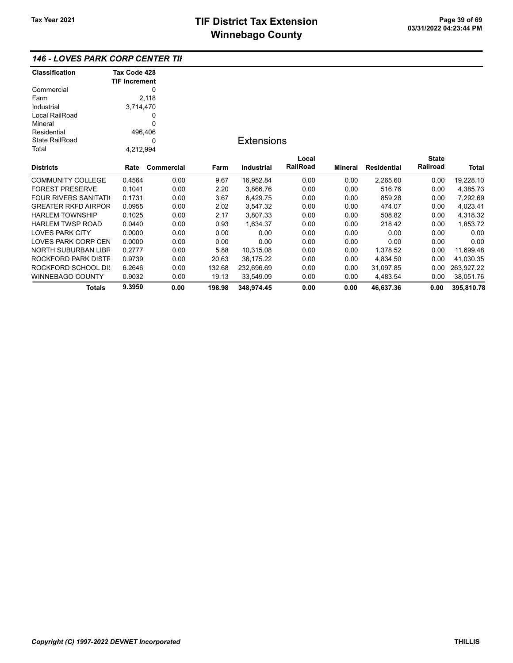### 146 - LOVES PARK CORP CENTER TIF

| <b>Classification</b>         | Tax Code 428         |            |        |                   |          |         |                    |                 |            |
|-------------------------------|----------------------|------------|--------|-------------------|----------|---------|--------------------|-----------------|------------|
|                               | <b>TIF Increment</b> |            |        |                   |          |         |                    |                 |            |
| Commercial                    |                      | 0          |        |                   |          |         |                    |                 |            |
| Farm                          |                      | 2,118      |        |                   |          |         |                    |                 |            |
| Industrial                    | 3,714,470            |            |        |                   |          |         |                    |                 |            |
| Local RailRoad                |                      | 0          |        |                   |          |         |                    |                 |            |
| Mineral                       |                      | 0          |        |                   |          |         |                    |                 |            |
| Residential                   | 496,406              |            |        |                   |          |         |                    |                 |            |
| <b>State RailRoad</b>         |                      | 0          |        | <b>Extensions</b> |          |         |                    |                 |            |
| Total                         | 4,212,994            |            |        |                   |          |         |                    |                 |            |
|                               |                      |            |        |                   | Local    |         |                    | <b>State</b>    |            |
| <b>Districts</b>              | Rate                 | Commercial | Farm   | <b>Industrial</b> | RailRoad | Mineral | <b>Residential</b> | <b>Railroad</b> | Total      |
| <b>COMMUNITY COLLEGE</b>      | 0.4564               | 0.00       | 9.67   | 16,952.84         | 0.00     | 0.00    | 2,265.60           | 0.00            | 19,228.10  |
| <b>FOREST PRESERVE</b>        | 0.1041               | 0.00       | 2.20   | 3,866.76          | 0.00     | 0.00    | 516.76             | 0.00            | 4,385.73   |
| <b>FOUR RIVERS SANITATION</b> | 0.1731               | 0.00       | 3.67   | 6,429.75          | 0.00     | 0.00    | 859.28             | 0.00            | 7,292.69   |
| <b>GREATER RKFD AIRPOR</b>    | 0.0955               | 0.00       | 2.02   | 3,547.32          | 0.00     | 0.00    | 474.07             | 0.00            | 4,023.41   |
| <b>HARLEM TOWNSHIP</b>        | 0.1025               | 0.00       | 2.17   | 3,807.33          | 0.00     | 0.00    | 508.82             | 0.00            | 4,318.32   |
| <b>HARLEM TWSP ROAD</b>       | 0.0440               | 0.00       | 0.93   | 1,634.37          | 0.00     | 0.00    | 218.42             | 0.00            | 1,853.72   |
| <b>LOVES PARK CITY</b>        | 0.0000               | 0.00       | 0.00   | 0.00              | 0.00     | 0.00    | 0.00               | 0.00            | 0.00       |
| LOVES PARK CORP CEN           | 0.0000               | 0.00       | 0.00   | 0.00              | 0.00     | 0.00    | 0.00               | 0.00            | 0.00       |
| NORTH SUBURBAN LIBR           | 0.2777               | 0.00       | 5.88   | 10,315.08         | 0.00     | 0.00    | 1,378.52           | 0.00            | 11,699.48  |
| ROCKFORD PARK DISTF           | 0.9739               | 0.00       | 20.63  | 36,175.22         | 0.00     | 0.00    | 4,834.50           | 0.00            | 41,030.35  |
| ROCKFORD SCHOOL DIS           | 6.2646               | 0.00       | 132.68 | 232,696.69        | 0.00     | 0.00    | 31,097.85          | 0.00            | 263,927.22 |
| <b>WINNEBAGO COUNTY</b>       | 0.9032               | 0.00       | 19.13  | 33,549.09         | 0.00     | 0.00    | 4,483.54           | 0.00            | 38,051.76  |
| <b>Totals</b>                 | 9.3950               | 0.00       | 198.98 | 348,974.45        | 0.00     | 0.00    | 46,637.36          | 0.00            | 395,810.78 |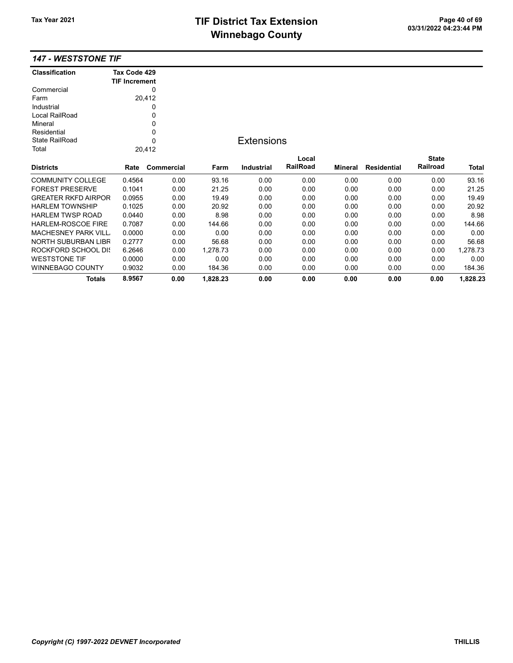## TIF District Tax Extension<br>
Mission 2009 14:23:44 PM **Winnebago County**

#### 147 - WESTSTONE TIF

| <b>Classification</b>      | Tax Code 429<br><b>TIF Increment</b> |             |          |                   |          |         |                    |              |          |
|----------------------------|--------------------------------------|-------------|----------|-------------------|----------|---------|--------------------|--------------|----------|
| Commercial                 |                                      | 0           |          |                   |          |         |                    |              |          |
| Farm                       |                                      | 20,412      |          |                   |          |         |                    |              |          |
| Industrial                 |                                      | 0           |          |                   |          |         |                    |              |          |
| Local RailRoad             |                                      | 0           |          |                   |          |         |                    |              |          |
| Mineral                    |                                      | 0           |          |                   |          |         |                    |              |          |
| Residential                |                                      | 0           |          |                   |          |         |                    |              |          |
| State RailRoad             |                                      | $\mathbf 0$ |          | <b>Extensions</b> |          |         |                    |              |          |
| Total                      |                                      | 20,412      |          |                   |          |         |                    |              |          |
|                            |                                      |             |          |                   | Local    |         |                    | <b>State</b> |          |
| <b>Districts</b>           | Rate                                 | Commercial  | Farm     | Industrial        | RailRoad | Mineral | <b>Residential</b> | Railroad     | Total    |
| <b>COMMUNITY COLLEGE</b>   | 0.4564                               | 0.00        | 93.16    | 0.00              | 0.00     | 0.00    | 0.00               | 0.00         | 93.16    |
| <b>FOREST PRESERVE</b>     | 0.1041                               | 0.00        | 21.25    | 0.00              | 0.00     | 0.00    | 0.00               | 0.00         | 21.25    |
| <b>GREATER RKFD AIRPOR</b> | 0.0955                               | 0.00        | 19.49    | 0.00              | 0.00     | 0.00    | 0.00               | 0.00         | 19.49    |
| <b>HARLEM TOWNSHIP</b>     | 0.1025                               | 0.00        | 20.92    | 0.00              | 0.00     | 0.00    | 0.00               | 0.00         | 20.92    |
| <b>HARLEM TWSP ROAD</b>    | 0.0440                               | 0.00        | 8.98     | 0.00              | 0.00     | 0.00    | 0.00               | 0.00         | 8.98     |
| <b>HARLEM-ROSCOE FIRE</b>  | 0.7087                               | 0.00        | 144.66   | 0.00              | 0.00     | 0.00    | 0.00               | 0.00         | 144.66   |
| <b>MACHESNEY PARK VILL</b> | 0.0000                               | 0.00        | 0.00     | 0.00              | 0.00     | 0.00    | 0.00               | 0.00         | 0.00     |
| NORTH SUBURBAN LIBR        | 0.2777                               | 0.00        | 56.68    | 0.00              | 0.00     | 0.00    | 0.00               | 0.00         | 56.68    |
| <b>ROCKFORD SCHOOL DIS</b> | 6.2646                               | 0.00        | 1,278.73 | 0.00              | 0.00     | 0.00    | 0.00               | 0.00         | 1,278.73 |
| <b>WESTSTONE TIF</b>       | 0.0000                               | 0.00        | 0.00     | 0.00              | 0.00     | 0.00    | 0.00               | 0.00         | 0.00     |
| WINNEBAGO COUNTY           | 0.9032                               | 0.00        | 184.36   | 0.00              | 0.00     | 0.00    | 0.00               | 0.00         | 184.36   |
| <b>Totals</b>              | 8.9567                               | 0.00        | 1,828.23 | 0.00              | 0.00     | 0.00    | 0.00               | 0.00         | 1,828.23 |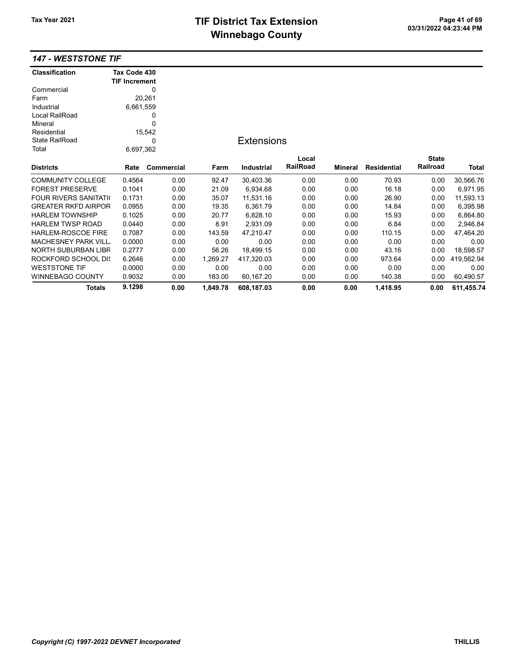# TIF District Tax Extension<br>
M's sales and Ostandal Computer of 03/31/2022 04:23:44 PM **Winnebago County**

### 147 - WESTSTONE TIF

| <b>Classification</b>         | Tax Code 430         |            |          |                   |                 |                |                    |                 |              |
|-------------------------------|----------------------|------------|----------|-------------------|-----------------|----------------|--------------------|-----------------|--------------|
|                               | <b>TIF Increment</b> |            |          |                   |                 |                |                    |                 |              |
| Commercial                    |                      | 0          |          |                   |                 |                |                    |                 |              |
| Farm                          |                      | 20,261     |          |                   |                 |                |                    |                 |              |
| Industrial                    | 6,661,559            |            |          |                   |                 |                |                    |                 |              |
| Local RailRoad                |                      | 0          |          |                   |                 |                |                    |                 |              |
| Mineral                       |                      | 0          |          |                   |                 |                |                    |                 |              |
| Residential                   |                      | 15,542     |          |                   |                 |                |                    |                 |              |
| <b>State RailRoad</b>         |                      | 0          |          | <b>Extensions</b> |                 |                |                    |                 |              |
| Total                         | 6,697,362            |            |          |                   |                 |                |                    |                 |              |
|                               |                      |            |          |                   | Local           |                |                    | <b>State</b>    |              |
| <b>Districts</b>              | Rate                 | Commercial | Farm     | <b>Industrial</b> | <b>RailRoad</b> | <b>Mineral</b> | <b>Residential</b> | <b>Railroad</b> | <b>Total</b> |
| <b>COMMUNITY COLLEGE</b>      | 0.4564               | 0.00       | 92.47    | 30,403.36         | 0.00            | 0.00           | 70.93              | 0.00            | 30,566.76    |
| <b>FOREST PRESERVE</b>        | 0.1041               | 0.00       | 21.09    | 6,934.68          | 0.00            | 0.00           | 16.18              | 0.00            | 6,971.95     |
| <b>FOUR RIVERS SANITATION</b> | 0.1731               | 0.00       | 35.07    | 11,531.16         | 0.00            | 0.00           | 26.90              | 0.00            | 11,593.13    |
| <b>GREATER RKFD AIRPOR</b>    | 0.0955               | 0.00       | 19.35    | 6,361.79          | 0.00            | 0.00           | 14.84              | 0.00            | 6,395.98     |
| <b>HARLEM TOWNSHIP</b>        | 0.1025               | 0.00       | 20.77    | 6,828.10          | 0.00            | 0.00           | 15.93              | 0.00            | 6,864.80     |
| <b>HARLEM TWSP ROAD</b>       | 0.0440               | 0.00       | 8.91     | 2,931.09          | 0.00            | 0.00           | 6.84               | 0.00            | 2,946.84     |
| HARLEM-ROSCOE FIRE            | 0.7087               | 0.00       | 143.59   | 47,210.47         | 0.00            | 0.00           | 110.15             | 0.00            | 47,464.20    |
| <b>MACHESNEY PARK VILL</b>    | 0.0000               | 0.00       | 0.00     | 0.00              | 0.00            | 0.00           | 0.00               | 0.00            | 0.00         |
| NORTH SUBURBAN LIBR           | 0.2777               | 0.00       | 56.26    | 18,499.15         | 0.00            | 0.00           | 43.16              | 0.00            | 18,598.57    |
| <b>ROCKFORD SCHOOL DIS</b>    | 6.2646               | 0.00       | 1.269.27 | 417,320.03        | 0.00            | 0.00           | 973.64             | 0.00            | 419,562.94   |
| <b>WESTSTONE TIF</b>          | 0.0000               | 0.00       | 0.00     | 0.00              | 0.00            | 0.00           | 0.00               | 0.00            | 0.00         |
| <b>WINNEBAGO COUNTY</b>       | 0.9032               | 0.00       | 183.00   | 60,167.20         | 0.00            | 0.00           | 140.38             | 0.00            | 60,490.57    |
| Totals                        | 9.1298               | 0.00       | 1,849.78 | 608.187.03        | 0.00            | 0.00           | 1,418.95           | 0.00            | 611,455.74   |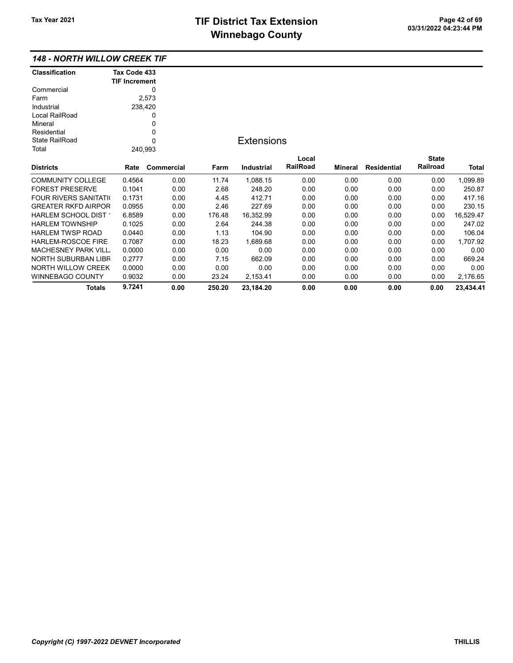### 148 - NORTH WILLOW CREEK TIF

| <b>Classification</b>       | Tax Code 433         |            |        |                   |          |         |                    |              |           |
|-----------------------------|----------------------|------------|--------|-------------------|----------|---------|--------------------|--------------|-----------|
|                             | <b>TIF Increment</b> |            |        |                   |          |         |                    |              |           |
| Commercial                  |                      | 0          |        |                   |          |         |                    |              |           |
| Farm                        |                      | 2,573      |        |                   |          |         |                    |              |           |
| Industrial                  | 238,420              |            |        |                   |          |         |                    |              |           |
| Local RailRoad              |                      | 0          |        |                   |          |         |                    |              |           |
| Mineral                     |                      | 0          |        |                   |          |         |                    |              |           |
| Residential                 |                      | 0          |        |                   |          |         |                    |              |           |
| <b>State RailRoad</b>       |                      | 0          |        | <b>Extensions</b> |          |         |                    |              |           |
| Total                       | 240,993              |            |        |                   |          |         |                    |              |           |
|                             |                      |            |        |                   | Local    |         |                    | <b>State</b> |           |
| <b>Districts</b>            | Rate                 | Commercial | Farm   | <b>Industrial</b> | RailRoad | Mineral | <b>Residential</b> | Railroad     | Total     |
| <b>COMMUNITY COLLEGE</b>    | 0.4564               | 0.00       | 11.74  | 1,088.15          | 0.00     | 0.00    | 0.00               | 0.00         | 1,099.89  |
| <b>FOREST PRESERVE</b>      | 0.1041               | 0.00       | 2.68   | 248.20            | 0.00     | 0.00    | 0.00               | 0.00         | 250.87    |
| <b>FOUR RIVERS SANITATI</b> | 0.1731               | 0.00       | 4.45   | 412.71            | 0.00     | 0.00    | 0.00               | 0.00         | 417.16    |
| <b>GREATER RKFD AIRPOR</b>  | 0.0955               | 0.00       | 2.46   | 227.69            | 0.00     | 0.00    | 0.00               | 0.00         | 230.15    |
| HARLEM SCHOOL DIST          | 6.8589               | 0.00       | 176.48 | 16,352.99         | 0.00     | 0.00    | 0.00               | 0.00         | 16,529.47 |
| <b>HARLEM TOWNSHIP</b>      | 0.1025               | 0.00       | 2.64   | 244.38            | 0.00     | 0.00    | 0.00               | 0.00         | 247.02    |
| <b>HARLEM TWSP ROAD</b>     | 0.0440               | 0.00       | 1.13   | 104.90            | 0.00     | 0.00    | 0.00               | 0.00         | 106.04    |
| <b>HARLEM-ROSCOE FIRE</b>   | 0.7087               | 0.00       | 18.23  | 1,689.68          | 0.00     | 0.00    | 0.00               | 0.00         | 1,707.92  |
| <b>MACHESNEY PARK VILL</b>  | 0.0000               | 0.00       | 0.00   | 0.00              | 0.00     | 0.00    | 0.00               | 0.00         | 0.00      |
| <b>NORTH SUBURBAN LIBR</b>  | 0.2777               | 0.00       | 7.15   | 662.09            | 0.00     | 0.00    | 0.00               | 0.00         | 669.24    |
| <b>NORTH WILLOW CREEK</b>   | 0.0000               | 0.00       | 0.00   | 0.00              | 0.00     | 0.00    | 0.00               | 0.00         | 0.00      |
| WINNEBAGO COUNTY            | 0.9032               | 0.00       | 23.24  | 2,153.41          | 0.00     | 0.00    | 0.00               | 0.00         | 2,176.65  |
| <b>Totals</b>               | 9.7241               | 0.00       | 250.20 | 23,184.20         | 0.00     | 0.00    | 0.00               | 0.00         | 23,434.41 |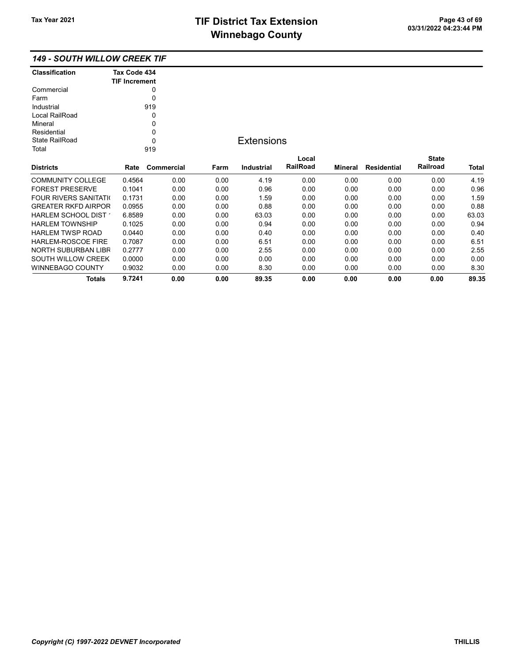Totals 9.7241 0.00 0.00 89.35 0.00 0.00 0.00 0.00 89.35

### 149 - SOUTH WILLOW CREEK TIF

| <b>Classification</b>       | Tax Code 434         |            |      |                   |                 |         |                    |              |              |
|-----------------------------|----------------------|------------|------|-------------------|-----------------|---------|--------------------|--------------|--------------|
|                             | <b>TIF Increment</b> |            |      |                   |                 |         |                    |              |              |
| Commercial                  |                      | 0          |      |                   |                 |         |                    |              |              |
| Farm                        |                      | $\Omega$   |      |                   |                 |         |                    |              |              |
| Industrial                  |                      | 919        |      |                   |                 |         |                    |              |              |
| Local RailRoad              |                      | 0          |      |                   |                 |         |                    |              |              |
| Mineral                     |                      | 0          |      |                   |                 |         |                    |              |              |
| Residential                 |                      | 0          |      |                   |                 |         |                    |              |              |
| <b>State RailRoad</b>       |                      | 0          |      | <b>Extensions</b> |                 |         |                    |              |              |
| Total                       |                      | 919        |      |                   |                 |         |                    |              |              |
|                             |                      |            |      |                   | Local           |         |                    | <b>State</b> |              |
| <b>Districts</b>            | Rate                 | Commercial | Farm | <b>Industrial</b> | <b>RailRoad</b> | Mineral | <b>Residential</b> | Railroad     | <b>Total</b> |
| <b>COMMUNITY COLLEGE</b>    | 0.4564               | 0.00       | 0.00 | 4.19              | 0.00            | 0.00    | 0.00               | 0.00         | 4.19         |
| <b>FOREST PRESERVE</b>      | 0.1041               | 0.00       | 0.00 | 0.96              | 0.00            | 0.00    | 0.00               | 0.00         | 0.96         |
| <b>FOUR RIVERS SANITATI</b> | 0.1731               | 0.00       | 0.00 | 1.59              | 0.00            | 0.00    | 0.00               | 0.00         | 1.59         |
| <b>GREATER RKFD AIRPOR</b>  | 0.0955               | 0.00       | 0.00 | 0.88              | 0.00            | 0.00    | 0.00               | 0.00         | 0.88         |
| HARLEM SCHOOL DIST          | 6.8589               | 0.00       | 0.00 | 63.03             | 0.00            | 0.00    | 0.00               | 0.00         | 63.03        |
| <b>HARLEM TOWNSHIP</b>      | 0.1025               | 0.00       | 0.00 | 0.94              | 0.00            | 0.00    | 0.00               | 0.00         | 0.94         |
| <b>HARLEM TWSP ROAD</b>     | 0.0440               | 0.00       | 0.00 | 0.40              | 0.00            | 0.00    | 0.00               | 0.00         | 0.40         |
| <b>HARLEM-ROSCOE FIRE</b>   | 0.7087               | 0.00       | 0.00 | 6.51              | 0.00            | 0.00    | 0.00               | 0.00         | 6.51         |
| NORTH SUBURBAN LIBR         | 0.2777               | 0.00       | 0.00 | 2.55              | 0.00            | 0.00    | 0.00               | 0.00         | 2.55         |
| SOUTH WILLOW CREEK          | 0.0000               | 0.00       | 0.00 | 0.00              | 0.00            | 0.00    | 0.00               | 0.00         | 0.00         |
| <b>WINNEBAGO COUNTY</b>     | 0.9032               | 0.00       | 0.00 | 8.30              | 0.00            | 0.00    | 0.00               | 0.00         | 8.30         |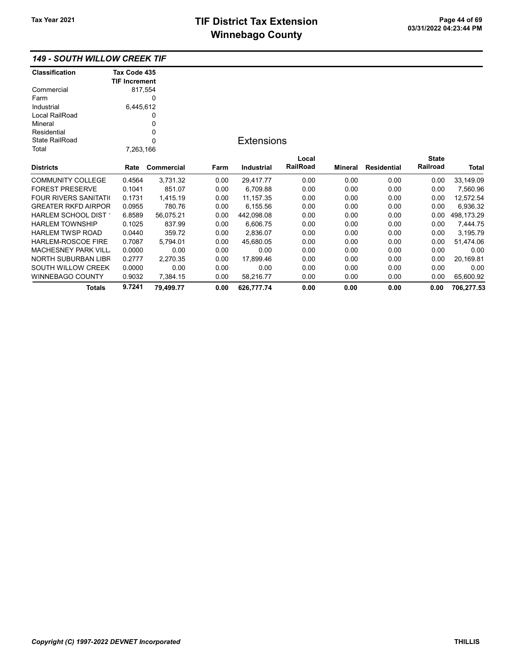### 149 - SOUTH WILLOW CREEK TIF

| <b>Classification</b>         | Tax Code 435         |            |      |                   |          |         |                    |              |            |
|-------------------------------|----------------------|------------|------|-------------------|----------|---------|--------------------|--------------|------------|
|                               | <b>TIF Increment</b> |            |      |                   |          |         |                    |              |            |
| Commercial                    |                      | 817,554    |      |                   |          |         |                    |              |            |
| Farm                          |                      | 0          |      |                   |          |         |                    |              |            |
| Industrial                    | 6,445,612            |            |      |                   |          |         |                    |              |            |
| Local RailRoad                |                      | 0          |      |                   |          |         |                    |              |            |
| Mineral                       |                      | 0          |      |                   |          |         |                    |              |            |
| Residential                   |                      | 0          |      |                   |          |         |                    |              |            |
| <b>State RailRoad</b>         |                      | 0          |      | <b>Extensions</b> |          |         |                    |              |            |
| Total                         | 7,263,166            |            |      |                   |          |         |                    |              |            |
|                               |                      |            |      |                   | Local    |         |                    | <b>State</b> |            |
| <b>Districts</b>              | Rate                 | Commercial | Farm | <b>Industrial</b> | RailRoad | Mineral | <b>Residential</b> | Railroad     | Total      |
| <b>COMMUNITY COLLEGE</b>      | 0.4564               | 3,731.32   | 0.00 | 29,417.77         | 0.00     | 0.00    | 0.00               | 0.00         | 33,149.09  |
| <b>FOREST PRESERVE</b>        | 0.1041               | 851.07     | 0.00 | 6,709.88          | 0.00     | 0.00    | 0.00               | 0.00         | 7,560.96   |
| <b>FOUR RIVERS SANITATION</b> | 0.1731               | 1,415.19   | 0.00 | 11, 157.35        | 0.00     | 0.00    | 0.00               | 0.00         | 12,572.54  |
| <b>GREATER RKFD AIRPOR</b>    | 0.0955               | 780.76     | 0.00 | 6,155.56          | 0.00     | 0.00    | 0.00               | 0.00         | 6,936.32   |
| HARLEM SCHOOL DIST            | 6.8589               | 56,075.21  | 0.00 | 442,098.08        | 0.00     | 0.00    | 0.00               | 0.00         | 498,173.29 |
| <b>HARLEM TOWNSHIP</b>        | 0.1025               | 837.99     | 0.00 | 6,606.75          | 0.00     | 0.00    | 0.00               | 0.00         | 7,444.75   |
| <b>HARLEM TWSP ROAD</b>       | 0.0440               | 359.72     | 0.00 | 2,836.07          | 0.00     | 0.00    | 0.00               | 0.00         | 3,195.79   |
| <b>HARLEM-ROSCOE FIRE</b>     | 0.7087               | 5.794.01   | 0.00 | 45,680.05         | 0.00     | 0.00    | 0.00               | 0.00         | 51,474.06  |
| <b>MACHESNEY PARK VILL</b>    | 0.0000               | 0.00       | 0.00 | 0.00              | 0.00     | 0.00    | 0.00               | 0.00         | 0.00       |
| NORTH SUBURBAN LIBR           | 0.2777               | 2,270.35   | 0.00 | 17,899.46         | 0.00     | 0.00    | 0.00               | 0.00         | 20,169.81  |
| SOUTH WILLOW CREEK            | 0.0000               | 0.00       | 0.00 | 0.00              | 0.00     | 0.00    | 0.00               | 0.00         | 0.00       |
| <b>WINNEBAGO COUNTY</b>       | 0.9032               | 7,384.15   | 0.00 | 58,216.77         | 0.00     | 0.00    | 0.00               | 0.00         | 65,600.92  |
| <b>Totals</b>                 | 9.7241               | 79,499.77  | 0.00 | 626,777.74        | 0.00     | 0.00    | 0.00               | 0.00         | 706,277.53 |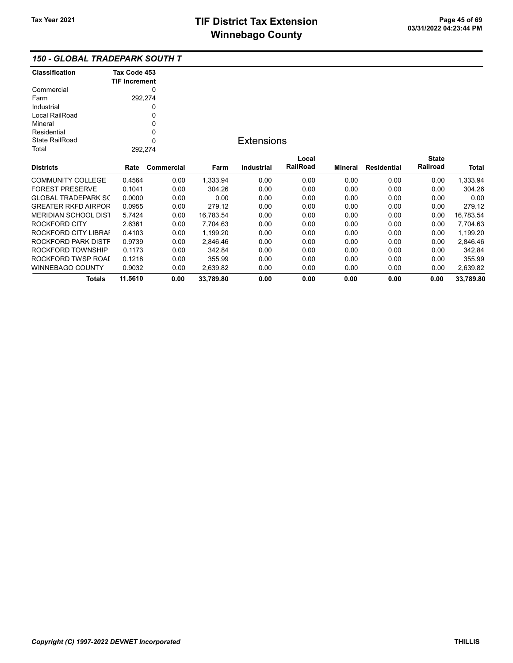### 150 - GLOBAL TRADEPARK SOUTH T

| <b>Classification</b> | Tax Code 453<br><b>TIF Increment</b> |
|-----------------------|--------------------------------------|
| Commercial            |                                      |
| Farm                  | 292,274                              |
| Industrial            | Ω                                    |
| Local RailRoad        | Ω                                    |
| Mineral               | 0                                    |
| Residential           | 0                                    |
| State RailRoad        | 0                                    |
| Total                 | 292,274                              |
| Diatriata             | Data<br><b>Camusavai</b>             |

## **Extensions**

| <b>Districts</b>           | Rate    | Commercial | Farm      | Industrial | Local<br><b>RailRoad</b> | Mineral | Residential | <b>State</b><br>Railroad | <b>Total</b> |
|----------------------------|---------|------------|-----------|------------|--------------------------|---------|-------------|--------------------------|--------------|
| COMMUNITY COLLEGE          | 0.4564  | 0.00       | 1.333.94  | 0.00       | 0.00                     | 0.00    | 0.00        | 0.00                     | 1.333.94     |
| <b>FOREST PRESERVE</b>     | 0.1041  | 0.00       | 304.26    | 0.00       | 0.00                     | 0.00    | 0.00        | 0.00                     | 304.26       |
| <b>GLOBAL TRADEPARK SC</b> | 0.0000  | 0.00       | 0.00      | 0.00       | 0.00                     | 0.00    | 0.00        | 0.00                     | 0.00         |
| <b>GREATER RKFD AIRPOR</b> | 0.0955  | 0.00       | 279.12    | 0.00       | 0.00                     | 0.00    | 0.00        | 0.00                     | 279.12       |
| MERIDIAN SCHOOL DIST       | 5.7424  | 0.00       | 16.783.54 | 0.00       | 0.00                     | 0.00    | 0.00        | 0.00                     | 16.783.54    |
| ROCKFORD CITY              | 2.6361  | 0.00       | 7.704.63  | 0.00       | 0.00                     | 0.00    | 0.00        | 0.00                     | 7.704.63     |
| ROCKFORD CITY LIBRAI       | 0.4103  | 0.00       | 1.199.20  | 0.00       | 0.00                     | 0.00    | 0.00        | 0.00                     | 1.199.20     |
| ROCKFORD PARK DISTF        | 0.9739  | 0.00       | 2.846.46  | 0.00       | 0.00                     | 0.00    | 0.00        | 0.00                     | 2.846.46     |
| ROCKFORD TOWNSHIP          | 0.1173  | 0.00       | 342.84    | 0.00       | 0.00                     | 0.00    | 0.00        | 0.00                     | 342.84       |
| ROCKFORD TWSP ROAL         | 0.1218  | 0.00       | 355.99    | 0.00       | 0.00                     | 0.00    | 0.00        | 0.00                     | 355.99       |
| WINNEBAGO COUNTY           | 0.9032  | 0.00       | 2.639.82  | 0.00       | 0.00                     | 0.00    | 0.00        | 0.00                     | 2,639.82     |
| <b>Totals</b>              | 11.5610 | 0.00       | 33.789.80 | 0.00       | 0.00                     | 0.00    | 0.00        | 0.00                     | 33.789.80    |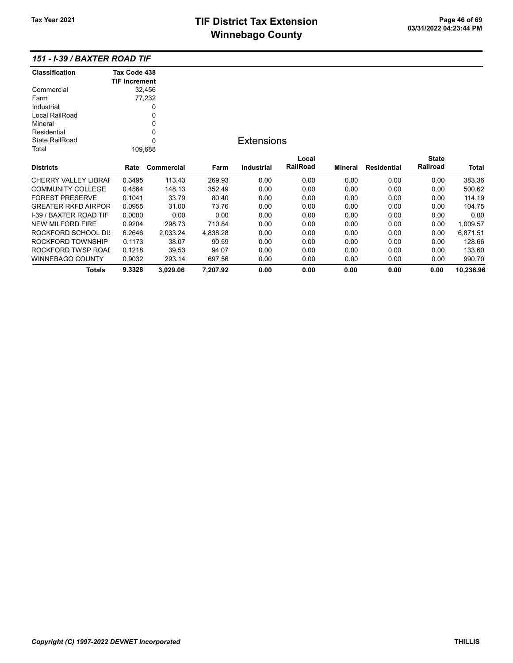# TIF District Tax Extension<br>
M's sales and Ostandal Computer of 03/31/2022 04:23:44 PM **Winnebago County**

| <b>Classification</b>         | Tax Code 438         |            |          |                   |          |                |                    |              |           |
|-------------------------------|----------------------|------------|----------|-------------------|----------|----------------|--------------------|--------------|-----------|
|                               | <b>TIF Increment</b> |            |          |                   |          |                |                    |              |           |
| Commercial                    |                      | 32,456     |          |                   |          |                |                    |              |           |
| Farm                          |                      | 77,232     |          |                   |          |                |                    |              |           |
| Industrial                    |                      | 0          |          |                   |          |                |                    |              |           |
| Local RailRoad                |                      | 0          |          |                   |          |                |                    |              |           |
| Mineral                       |                      | 0          |          |                   |          |                |                    |              |           |
| Residential                   |                      | 0          |          |                   |          |                |                    |              |           |
| <b>State RailRoad</b>         |                      | $\Omega$   |          | <b>Extensions</b> |          |                |                    |              |           |
| Total                         |                      | 109,688    |          |                   |          |                |                    |              |           |
|                               |                      |            |          |                   | Local    |                |                    | <b>State</b> |           |
| <b>Districts</b>              | Rate                 | Commercial | Farm     | Industrial        | RailRoad | <b>Mineral</b> | <b>Residential</b> | Railroad     | Total     |
| <b>CHERRY VALLEY LIBRAF</b>   | 0.3495               | 113.43     | 269.93   | 0.00              | 0.00     | 0.00           | 0.00               | 0.00         | 383.36    |
| <b>COMMUNITY COLLEGE</b>      | 0.4564               | 148.13     | 352.49   | 0.00              | 0.00     | 0.00           | 0.00               | 0.00         | 500.62    |
| <b>FOREST PRESERVE</b>        | 0.1041               | 33.79      | 80.40    | 0.00              | 0.00     | 0.00           | 0.00               | 0.00         | 114.19    |
| <b>GREATER RKFD AIRPOR</b>    | 0.0955               | 31.00      | 73.76    | 0.00              | 0.00     | 0.00           | 0.00               | 0.00         | 104.75    |
| <b>I-39 / BAXTER ROAD TIF</b> | 0.0000               | 0.00       | 0.00     | 0.00              | 0.00     | 0.00           | 0.00               | 0.00         | 0.00      |
| <b>NEW MILFORD FIRE</b>       | 0.9204               | 298.73     | 710.84   | 0.00              | 0.00     | 0.00           | 0.00               | 0.00         | 1,009.57  |
| ROCKFORD SCHOOL DIS           | 6.2646               | 2,033.24   | 4,838.28 | 0.00              | 0.00     | 0.00           | 0.00               | 0.00         | 6,871.51  |
| ROCKFORD TOWNSHIP             | 0.1173               | 38.07      | 90.59    | 0.00              | 0.00     | 0.00           | 0.00               | 0.00         | 128.66    |
| ROCKFORD TWSP ROAI            | 0.1218               | 39.53      | 94.07    | 0.00              | 0.00     | 0.00           | 0.00               | 0.00         | 133.60    |
| <b>WINNEBAGO COUNTY</b>       | 0.9032               | 293.14     | 697.56   | 0.00              | 0.00     | 0.00           | 0.00               | 0.00         | 990.70    |
| <b>Totals</b>                 | 9.3328               | 3,029.06   | 7,207.92 | 0.00              | 0.00     | 0.00           | 0.00               | 0.00         | 10,236.96 |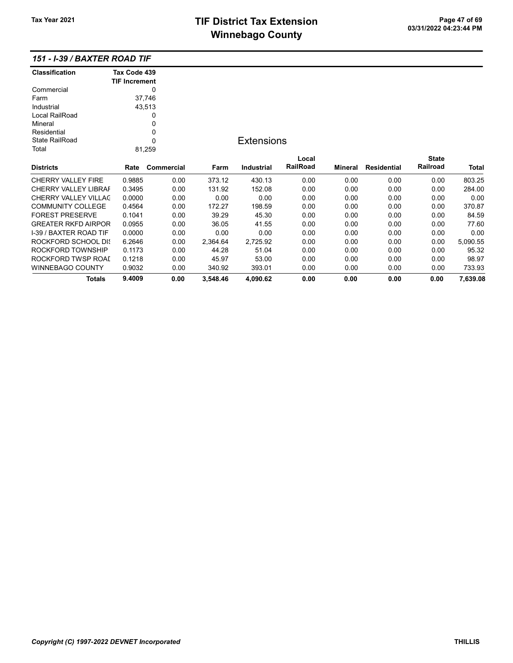# TIF District Tax Extension<br>
Mission 200 at 200 million Page 47 of 69<br>
Mission Page 200 million Page 200 million Page 47 of 69 **Winnebago County**

| <b>Classification</b>         | Tax Code 439         |            |          |                   |          |                |                    |              |          |
|-------------------------------|----------------------|------------|----------|-------------------|----------|----------------|--------------------|--------------|----------|
|                               | <b>TIF Increment</b> |            |          |                   |          |                |                    |              |          |
| Commercial                    |                      | 0          |          |                   |          |                |                    |              |          |
| Farm                          |                      | 37,746     |          |                   |          |                |                    |              |          |
| Industrial                    |                      | 43,513     |          |                   |          |                |                    |              |          |
| Local RailRoad                |                      | 0          |          |                   |          |                |                    |              |          |
| Mineral                       |                      | 0          |          |                   |          |                |                    |              |          |
| Residential                   |                      | 0          |          |                   |          |                |                    |              |          |
| <b>State RailRoad</b>         |                      | 0          |          | <b>Extensions</b> |          |                |                    |              |          |
| Total                         |                      | 81,259     |          |                   |          |                |                    |              |          |
|                               |                      |            |          |                   | Local    |                |                    | <b>State</b> |          |
| <b>Districts</b>              | Rate                 | Commercial | Farm     | Industrial        | RailRoad | <b>Mineral</b> | <b>Residential</b> | Railroad     | Total    |
| <b>CHERRY VALLEY FIRE</b>     | 0.9885               | 0.00       | 373.12   | 430.13            | 0.00     | 0.00           | 0.00               | 0.00         | 803.25   |
| <b>CHERRY VALLEY LIBRAF</b>   | 0.3495               | 0.00       | 131.92   | 152.08            | 0.00     | 0.00           | 0.00               | 0.00         | 284.00   |
| CHERRY VALLEY VILLAC          | 0.0000               | 0.00       | 0.00     | 0.00              | 0.00     | 0.00           | 0.00               | 0.00         | 0.00     |
| <b>COMMUNITY COLLEGE</b>      | 0.4564               | 0.00       | 172.27   | 198.59            | 0.00     | 0.00           | 0.00               | 0.00         | 370.87   |
| <b>FOREST PRESERVE</b>        | 0.1041               | 0.00       | 39.29    | 45.30             | 0.00     | 0.00           | 0.00               | 0.00         | 84.59    |
| <b>GREATER RKFD AIRPOR</b>    | 0.0955               | 0.00       | 36.05    | 41.55             | 0.00     | 0.00           | 0.00               | 0.00         | 77.60    |
| <b>I-39 / BAXTER ROAD TIF</b> | 0.0000               | 0.00       | 0.00     | 0.00              | 0.00     | 0.00           | 0.00               | 0.00         | 0.00     |
| ROCKFORD SCHOOL DIS           | 6.2646               | 0.00       | 2,364.64 | 2,725.92          | 0.00     | 0.00           | 0.00               | 0.00         | 5,090.55 |
| ROCKFORD TOWNSHIP             | 0.1173               | 0.00       | 44.28    | 51.04             | 0.00     | 0.00           | 0.00               | 0.00         | 95.32    |
| ROCKFORD TWSP ROAI            | 0.1218               | 0.00       | 45.97    | 53.00             | 0.00     | 0.00           | 0.00               | 0.00         | 98.97    |
| <b>WINNEBAGO COUNTY</b>       | 0.9032               | 0.00       | 340.92   | 393.01            | 0.00     | 0.00           | 0.00               | 0.00         | 733.93   |
| <b>Totals</b>                 | 9.4009               | 0.00       | 3,548.46 | 4,090.62          | 0.00     | 0.00           | 0.00               | 0.00         | 7,639.08 |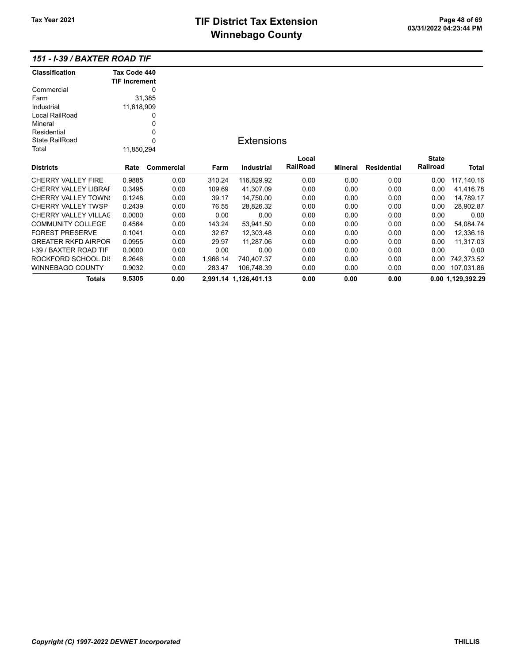# TIF District Tax Extension<br>
M's sales and Ostandal Computer of 03/31/2022 04:23:44 PM **Winnebago County**

| <b>Classification</b>         | Tax Code 440         |            |          |                       |          |         |                    |              |                   |
|-------------------------------|----------------------|------------|----------|-----------------------|----------|---------|--------------------|--------------|-------------------|
|                               | <b>TIF Increment</b> |            |          |                       |          |         |                    |              |                   |
| Commercial                    |                      | 0          |          |                       |          |         |                    |              |                   |
| Farm                          |                      | 31,385     |          |                       |          |         |                    |              |                   |
| Industrial                    | 11,818,909           |            |          |                       |          |         |                    |              |                   |
| Local RailRoad                |                      | 0          |          |                       |          |         |                    |              |                   |
| Mineral                       |                      | 0          |          |                       |          |         |                    |              |                   |
| Residential                   |                      | 0          |          |                       |          |         |                    |              |                   |
| State RailRoad                |                      | 0          |          | <b>Extensions</b>     |          |         |                    |              |                   |
| Total                         | 11,850,294           |            |          |                       |          |         |                    |              |                   |
|                               |                      |            |          |                       | Local    |         |                    | <b>State</b> |                   |
| <b>Districts</b>              | Rate                 | Commercial | Farm     | Industrial            | RailRoad | Mineral | <b>Residential</b> | Railroad     | Total             |
| <b>CHERRY VALLEY FIRE</b>     | 0.9885               | 0.00       | 310.24   | 116,829.92            | 0.00     | 0.00    | 0.00               | 0.00         | 117,140.16        |
| CHERRY VALLEY LIBRAF          | 0.3495               | 0.00       | 109.69   | 41,307.09             | 0.00     | 0.00    | 0.00               | 0.00         | 41,416.78         |
| <b>CHERRY VALLEY TOWN:</b>    | 0.1248               | 0.00       | 39.17    | 14,750.00             | 0.00     | 0.00    | 0.00               | 0.00         | 14,789.17         |
| <b>CHERRY VALLEY TWSP</b>     | 0.2439               | 0.00       | 76.55    | 28,826.32             | 0.00     | 0.00    | 0.00               | 0.00         | 28,902.87         |
| CHERRY VALLEY VILLAC          | 0.0000               | 0.00       | 0.00     | 0.00                  | 0.00     | 0.00    | 0.00               | 0.00         | 0.00              |
| <b>COMMUNITY COLLEGE</b>      | 0.4564               | 0.00       | 143.24   | 53,941.50             | 0.00     | 0.00    | 0.00               | 0.00         | 54,084.74         |
| <b>FOREST PRESERVE</b>        | 0.1041               | 0.00       | 32.67    | 12,303.48             | 0.00     | 0.00    | 0.00               | 0.00         | 12,336.16         |
| <b>GREATER RKFD AIRPOR</b>    | 0.0955               | 0.00       | 29.97    | 11,287.06             | 0.00     | 0.00    | 0.00               | 0.00         | 11,317.03         |
| <b>I-39 / BAXTER ROAD TIF</b> | 0.0000               | 0.00       | 0.00     | 0.00                  | 0.00     | 0.00    | 0.00               | 0.00         | 0.00              |
| ROCKFORD SCHOOL DIS           | 6.2646               | 0.00       | 1,966.14 | 740,407.37            | 0.00     | 0.00    | 0.00               | 0.00         | 742,373.52        |
| WINNEBAGO COUNTY              | 0.9032               | 0.00       | 283.47   | 106,748.39            | 0.00     | 0.00    | 0.00               | 0.00         | 107,031.86        |
| Totals                        | 9.5305               | 0.00       |          | 2,991.14 1,126,401.13 | 0.00     | 0.00    | 0.00               |              | 0.00 1.129,392.29 |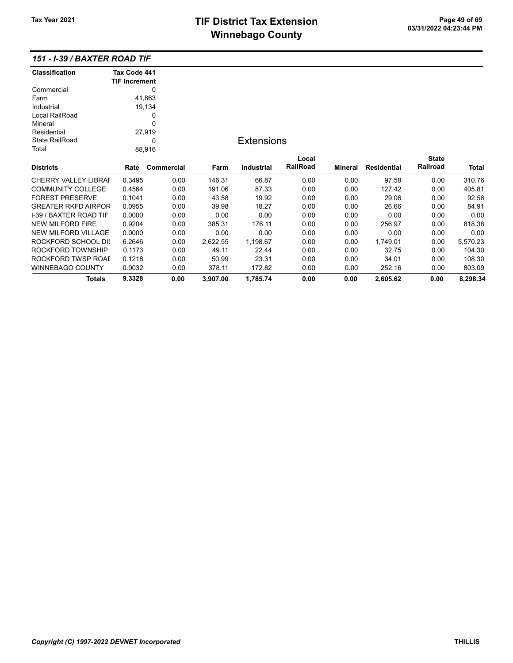| <b>Classification</b>         | Tax Code 441         |            |          |                   |          |         |                    |              |          |
|-------------------------------|----------------------|------------|----------|-------------------|----------|---------|--------------------|--------------|----------|
|                               | <b>TIF Increment</b> |            |          |                   |          |         |                    |              |          |
| Commercial                    |                      | 0          |          |                   |          |         |                    |              |          |
| Farm                          |                      | 41,863     |          |                   |          |         |                    |              |          |
| Industrial                    |                      | 19,134     |          |                   |          |         |                    |              |          |
| Local RailRoad                |                      | 0          |          |                   |          |         |                    |              |          |
| Mineral                       |                      | 0          |          |                   |          |         |                    |              |          |
| Residential                   |                      | 27,919     |          |                   |          |         |                    |              |          |
| <b>State RailRoad</b>         |                      | 0          |          | <b>Extensions</b> |          |         |                    |              |          |
| Total                         |                      | 88,916     |          |                   |          |         |                    |              |          |
|                               |                      |            |          |                   | Local    |         |                    | <b>State</b> |          |
| <b>Districts</b>              | Rate                 | Commercial | Farm     | Industrial        | RailRoad | Mineral | <b>Residential</b> | Railroad     | Total    |
| <b>CHERRY VALLEY LIBRAF</b>   | 0.3495               | 0.00       | 146.31   | 66.87             | 0.00     | 0.00    | 97.58              | 0.00         | 310.76   |
| <b>COMMUNITY COLLEGE</b>      | 0.4564               | 0.00       | 191.06   | 87.33             | 0.00     | 0.00    | 127.42             | 0.00         | 405.81   |
| <b>FOREST PRESERVE</b>        | 0.1041               | 0.00       | 43.58    | 19.92             | 0.00     | 0.00    | 29.06              | 0.00         | 92.56    |
| <b>GREATER RKFD AIRPOR</b>    | 0.0955               | 0.00       | 39.98    | 18.27             | 0.00     | 0.00    | 26.66              | 0.00         | 84.91    |
| <b>I-39 / BAXTER ROAD TIF</b> | 0.0000               | 0.00       | 0.00     | 0.00              | 0.00     | 0.00    | 0.00               | 0.00         | 0.00     |
| <b>NEW MILFORD FIRE</b>       | 0.9204               | 0.00       | 385.31   | 176.11            | 0.00     | 0.00    | 256.97             | 0.00         | 818.38   |
| <b>NEW MILFORD VILLAGE</b>    | 0.0000               | 0.00       | 0.00     | 0.00              | 0.00     | 0.00    | 0.00               | 0.00         | 0.00     |
| ROCKFORD SCHOOL DIS           | 6.2646               | 0.00       | 2,622.55 | 1,198.67          | 0.00     | 0.00    | 1,749.01           | 0.00         | 5,570.23 |
| ROCKFORD TOWNSHIP             | 0.1173               | 0.00       | 49.11    | 22.44             | 0.00     | 0.00    | 32.75              | 0.00         | 104.30   |
| ROCKFORD TWSP ROAI            | 0.1218               | 0.00       | 50.99    | 23.31             | 0.00     | 0.00    | 34.01              | 0.00         | 108.30   |
| <b>WINNEBAGO COUNTY</b>       | 0.9032               | 0.00       | 378.11   | 172.82            | 0.00     | 0.00    | 252.16             | 0.00         | 803.09   |
| <b>Totals</b>                 | 9.3328               | 0.00       | 3,907.00 | 1,785.74          | 0.00     | 0.00    | 2,605.62           | 0.00         | 8,298.34 |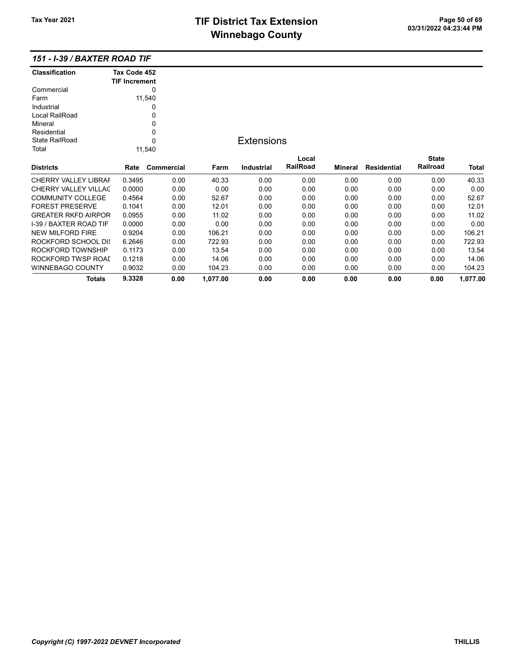| <b>Classification</b>         | Tax Code 452<br><b>TIF Increment</b> |            |          |                   |          |                |                    |              |          |
|-------------------------------|--------------------------------------|------------|----------|-------------------|----------|----------------|--------------------|--------------|----------|
| Commercial                    |                                      | $\Omega$   |          |                   |          |                |                    |              |          |
| Farm                          |                                      | 11,540     |          |                   |          |                |                    |              |          |
| Industrial                    |                                      | 0          |          |                   |          |                |                    |              |          |
| Local RailRoad                |                                      | 0          |          |                   |          |                |                    |              |          |
| Mineral                       |                                      | 0          |          |                   |          |                |                    |              |          |
| Residential                   |                                      | 0          |          |                   |          |                |                    |              |          |
| State RailRoad                |                                      | $\Omega$   |          | <b>Extensions</b> |          |                |                    |              |          |
| Total                         |                                      | 11,540     |          |                   |          |                |                    |              |          |
|                               |                                      |            |          |                   | Local    |                |                    | <b>State</b> |          |
| <b>Districts</b>              | Rate                                 | Commercial | Farm     | <b>Industrial</b> | RailRoad | <b>Mineral</b> | <b>Residential</b> | Railroad     | Total    |
| <b>CHERRY VALLEY LIBRAF</b>   | 0.3495                               | 0.00       | 40.33    | 0.00              | 0.00     | 0.00           | 0.00               | 0.00         | 40.33    |
| <b>CHERRY VALLEY VILLAC</b>   | 0.0000                               | 0.00       | 0.00     | 0.00              | 0.00     | 0.00           | 0.00               | 0.00         | 0.00     |
| <b>COMMUNITY COLLEGE</b>      | 0.4564                               | 0.00       | 52.67    | 0.00              | 0.00     | 0.00           | 0.00               | 0.00         | 52.67    |
| <b>FOREST PRESERVE</b>        | 0.1041                               | 0.00       | 12.01    | 0.00              | 0.00     | 0.00           | 0.00               | 0.00         | 12.01    |
| <b>GREATER RKFD AIRPOR</b>    | 0.0955                               | 0.00       | 11.02    | 0.00              | 0.00     | 0.00           | 0.00               | 0.00         | 11.02    |
| <b>I-39 / BAXTER ROAD TIF</b> | 0.0000                               | 0.00       | 0.00     | 0.00              | 0.00     | 0.00           | 0.00               | 0.00         | 0.00     |
| <b>NEW MILFORD FIRE</b>       | 0.9204                               | 0.00       | 106.21   | 0.00              | 0.00     | 0.00           | 0.00               | 0.00         | 106.21   |
| ROCKFORD SCHOOL DIS           | 6.2646                               | 0.00       | 722.93   | 0.00              | 0.00     | 0.00           | 0.00               | 0.00         | 722.93   |
| ROCKFORD TOWNSHIP             | 0.1173                               | 0.00       | 13.54    | 0.00              | 0.00     | 0.00           | 0.00               | 0.00         | 13.54    |
| ROCKFORD TWSP ROAL            | 0.1218                               | 0.00       | 14.06    | 0.00              | 0.00     | 0.00           | 0.00               | 0.00         | 14.06    |
| <b>WINNEBAGO COUNTY</b>       | 0.9032                               | 0.00       | 104.23   | 0.00              | 0.00     | 0.00           | 0.00               | 0.00         | 104.23   |
| <b>Totals</b>                 | 9.3328                               | 0.00       | 1,077.00 | 0.00              | 0.00     | 0.00           | 0.00               | 0.00         | 1,077.00 |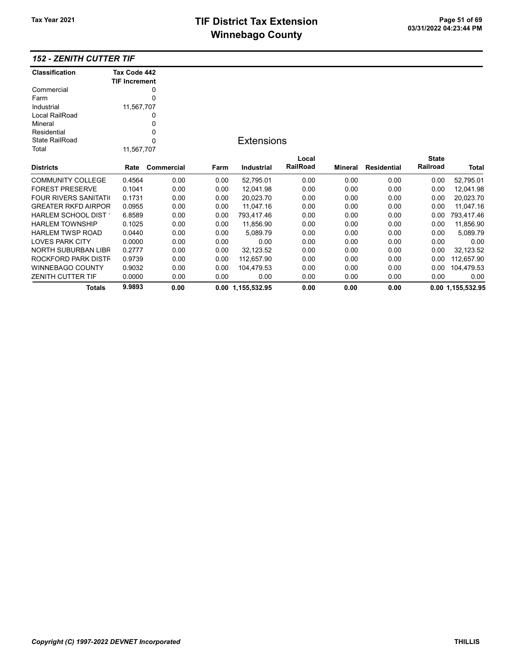# TIF District Tax Extension<br>
M's sales and Canada page 11 of 69 03/31/2022 04:23:44 PM **Winnebago County**

### 152 - ZENITH CUTTER TIF

| <b>Classification</b>         | Tax Code 442         |            |      |                   |          |         |                    |              |                   |
|-------------------------------|----------------------|------------|------|-------------------|----------|---------|--------------------|--------------|-------------------|
|                               | <b>TIF Increment</b> |            |      |                   |          |         |                    |              |                   |
| Commercial                    |                      | 0          |      |                   |          |         |                    |              |                   |
| Farm                          |                      | 0          |      |                   |          |         |                    |              |                   |
| Industrial                    | 11,567,707           |            |      |                   |          |         |                    |              |                   |
| Local RailRoad                |                      | 0          |      |                   |          |         |                    |              |                   |
| Mineral                       |                      | 0          |      |                   |          |         |                    |              |                   |
| Residential                   |                      | 0          |      |                   |          |         |                    |              |                   |
| <b>State RailRoad</b>         |                      | 0          |      | <b>Extensions</b> |          |         |                    |              |                   |
| Total                         | 11,567,707           |            |      |                   |          |         |                    |              |                   |
|                               |                      |            |      |                   | Local    |         |                    | <b>State</b> |                   |
| <b>Districts</b>              | Rate                 | Commercial | Farm | Industrial        | RailRoad | Mineral | <b>Residential</b> | Railroad     | Total             |
| <b>COMMUNITY COLLEGE</b>      | 0.4564               | 0.00       | 0.00 | 52,795.01         | 0.00     | 0.00    | 0.00               | 0.00         | 52,795.01         |
| <b>FOREST PRESERVE</b>        | 0.1041               | 0.00       | 0.00 | 12.041.98         | 0.00     | 0.00    | 0.00               | 0.00         | 12,041.98         |
| <b>FOUR RIVERS SANITATION</b> | 0.1731               | 0.00       | 0.00 | 20,023.70         | 0.00     | 0.00    | 0.00               | 0.00         | 20,023.70         |
| <b>GREATER RKFD AIRPOR</b>    | 0.0955               | 0.00       | 0.00 | 11,047.16         | 0.00     | 0.00    | 0.00               | 0.00         | 11,047.16         |
| HARLEM SCHOOL DIST *          | 6.8589               | 0.00       | 0.00 | 793,417.46        | 0.00     | 0.00    | 0.00               | 0.00         | 793,417.46        |
| <b>HARLEM TOWNSHIP</b>        | 0.1025               | 0.00       | 0.00 | 11,856.90         | 0.00     | 0.00    | 0.00               | 0.00         | 11,856.90         |
| <b>HARLEM TWSP ROAD</b>       | 0.0440               | 0.00       | 0.00 | 5,089.79          | 0.00     | 0.00    | 0.00               | 0.00         | 5,089.79          |
| <b>LOVES PARK CITY</b>        | 0.0000               | 0.00       | 0.00 | 0.00              | 0.00     | 0.00    | 0.00               | 0.00         | 0.00              |
| <b>NORTH SUBURBAN LIBR</b>    | 0.2777               | 0.00       | 0.00 | 32,123.52         | 0.00     | 0.00    | 0.00               | 0.00         | 32,123.52         |
| ROCKFORD PARK DISTF           | 0.9739               | 0.00       | 0.00 | 112,657.90        | 0.00     | 0.00    | 0.00               | 0.00         | 112,657.90        |
| <b>WINNEBAGO COUNTY</b>       | 0.9032               | 0.00       | 0.00 | 104,479.53        | 0.00     | 0.00    | 0.00               | 0.00         | 104,479.53        |
| ZENITH CUTTER TIF             | 0.0000               | 0.00       | 0.00 | 0.00              | 0.00     | 0.00    | 0.00               | 0.00         | 0.00              |
| Totals                        | 9.9893               | 0.00       |      | 0.00 1,155,532.95 | 0.00     | 0.00    | 0.00               |              | 0.00 1,155,532.95 |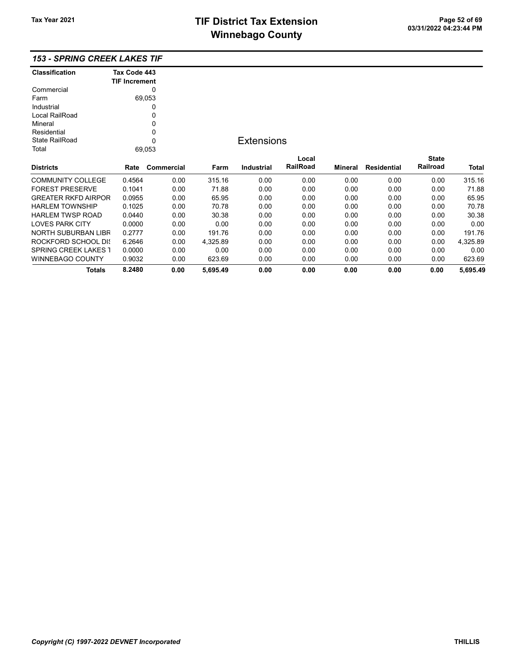# TIF District Tax Extension<br>
Mission 200 at 23:44 PM **Winnebago County**

| <b>Classification</b>       | Tax Code 443         |            |          |                   |          |         |                    |              |          |
|-----------------------------|----------------------|------------|----------|-------------------|----------|---------|--------------------|--------------|----------|
|                             | <b>TIF Increment</b> |            |          |                   |          |         |                    |              |          |
| Commercial                  |                      | 0          |          |                   |          |         |                    |              |          |
| Farm                        |                      | 69,053     |          |                   |          |         |                    |              |          |
| Industrial                  |                      | 0          |          |                   |          |         |                    |              |          |
| Local RailRoad              |                      | 0          |          |                   |          |         |                    |              |          |
| Mineral                     |                      | 0          |          |                   |          |         |                    |              |          |
| Residential                 |                      | 0          |          |                   |          |         |                    |              |          |
| <b>State RailRoad</b>       |                      | 0          |          | <b>Extensions</b> |          |         |                    |              |          |
| Total                       |                      | 69,053     |          |                   |          |         |                    |              |          |
|                             |                      |            |          |                   | Local    |         |                    | <b>State</b> |          |
| <b>Districts</b>            | Rate                 | Commercial | Farm     | Industrial        | RailRoad | Mineral | <b>Residential</b> | Railroad     | Total    |
| <b>COMMUNITY COLLEGE</b>    | 0.4564               | 0.00       | 315.16   | 0.00              | 0.00     | 0.00    | 0.00               | 0.00         | 315.16   |
| <b>FOREST PRESERVE</b>      | 0.1041               | 0.00       | 71.88    | 0.00              | 0.00     | 0.00    | 0.00               | 0.00         | 71.88    |
| <b>GREATER RKFD AIRPOR</b>  | 0.0955               | 0.00       | 65.95    | 0.00              | 0.00     | 0.00    | 0.00               | 0.00         | 65.95    |
| <b>HARLEM TOWNSHIP</b>      | 0.1025               | 0.00       | 70.78    | 0.00              | 0.00     | 0.00    | 0.00               | 0.00         | 70.78    |
| <b>HARLEM TWSP ROAD</b>     | 0.0440               | 0.00       | 30.38    | 0.00              | 0.00     | 0.00    | 0.00               | 0.00         | 30.38    |
| <b>LOVES PARK CITY</b>      | 0.0000               | 0.00       | 0.00     | 0.00              | 0.00     | 0.00    | 0.00               | 0.00         | 0.00     |
| NORTH SUBURBAN LIBR         | 0.2777               | 0.00       | 191.76   | 0.00              | 0.00     | 0.00    | 0.00               | 0.00         | 191.76   |
| ROCKFORD SCHOOL DIS         | 6.2646               | 0.00       | 4,325.89 | 0.00              | 0.00     | 0.00    | 0.00               | 0.00         | 4,325.89 |
| <b>SPRING CREEK LAKES 1</b> | 0.0000               | 0.00       | 0.00     | 0.00              | 0.00     | 0.00    | 0.00               | 0.00         | 0.00     |
| <b>WINNEBAGO COUNTY</b>     | 0.9032               | 0.00       | 623.69   | 0.00              | 0.00     | 0.00    | 0.00               | 0.00         | 623.69   |
| Totals                      | 8.2480               | 0.00       | 5,695.49 | 0.00              | 0.00     | 0.00    | 0.00               | 0.00         | 5,695.49 |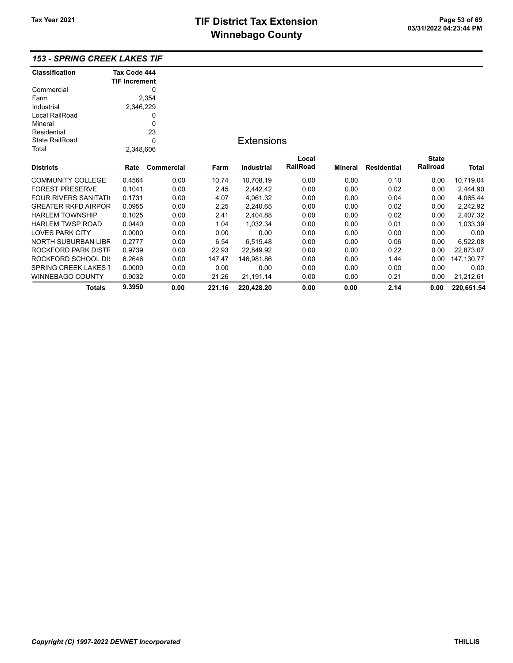| <b>Classification</b>         | Tax Code 444         |            |        |                   |          |                |                    |                 |              |
|-------------------------------|----------------------|------------|--------|-------------------|----------|----------------|--------------------|-----------------|--------------|
|                               | <b>TIF Increment</b> |            |        |                   |          |                |                    |                 |              |
| Commercial                    |                      | 0          |        |                   |          |                |                    |                 |              |
| Farm                          |                      | 2,354      |        |                   |          |                |                    |                 |              |
| Industrial                    | 2,346,229            |            |        |                   |          |                |                    |                 |              |
| Local RailRoad                |                      | 0          |        |                   |          |                |                    |                 |              |
| Mineral                       |                      | 0          |        |                   |          |                |                    |                 |              |
| Residential                   |                      | 23         |        |                   |          |                |                    |                 |              |
| <b>State RailRoad</b>         |                      | 0          |        | <b>Extensions</b> |          |                |                    |                 |              |
| Total                         | 2,348,606            |            |        |                   |          |                |                    |                 |              |
|                               |                      |            |        |                   | Local    |                |                    | <b>State</b>    |              |
| <b>Districts</b>              | Rate                 | Commercial | Farm   | Industrial        | RailRoad | <b>Mineral</b> | <b>Residential</b> | <b>Railroad</b> | <b>Total</b> |
| <b>COMMUNITY COLLEGE</b>      | 0.4564               | 0.00       | 10.74  | 10,708.19         | 0.00     | 0.00           | 0.10               | 0.00            | 10,719.04    |
| <b>FOREST PRESERVE</b>        | 0.1041               | 0.00       | 2.45   | 2,442.42          | 0.00     | 0.00           | 0.02               | 0.00            | 2,444.90     |
| <b>FOUR RIVERS SANITATION</b> | 0.1731               | 0.00       | 4.07   | 4,061.32          | 0.00     | 0.00           | 0.04               | 0.00            | 4,065.44     |
| <b>GREATER RKFD AIRPOR</b>    | 0.0955               | 0.00       | 2.25   | 2,240.65          | 0.00     | 0.00           | 0.02               | 0.00            | 2,242.92     |
| <b>HARLEM TOWNSHIP</b>        | 0.1025               | 0.00       | 2.41   | 2,404.88          | 0.00     | 0.00           | 0.02               | 0.00            | 2,407.32     |
| <b>HARLEM TWSP ROAD</b>       | 0.0440               | 0.00       | 1.04   | 1,032.34          | 0.00     | 0.00           | 0.01               | 0.00            | 1,033.39     |
| <b>LOVES PARK CITY</b>        | 0.0000               | 0.00       | 0.00   | 0.00              | 0.00     | 0.00           | 0.00               | 0.00            | 0.00         |
| <b>NORTH SUBURBAN LIBR</b>    | 0.2777               | 0.00       | 6.54   | 6,515.48          | 0.00     | 0.00           | 0.06               | 0.00            | 6,522.08     |
| ROCKFORD PARK DISTF           | 0.9739               | 0.00       | 22.93  | 22,849.92         | 0.00     | 0.00           | 0.22               | 0.00            | 22,873.07    |
| ROCKFORD SCHOOL DIS           | 6.2646               | 0.00       | 147.47 | 146,981.86        | 0.00     | 0.00           | 1.44               | 0.00            | 147, 130. 77 |
| <b>SPRING CREEK LAKES 1</b>   | 0.0000               | 0.00       | 0.00   | 0.00              | 0.00     | 0.00           | 0.00               | 0.00            | 0.00         |
| <b>WINNEBAGO COUNTY</b>       | 0.9032               | 0.00       | 21.26  | 21,191.14         | 0.00     | 0.00           | 0.21               | 0.00            | 21,212.61    |
| <b>Totals</b>                 | 9.3950               | 0.00       | 221.16 | 220,428.20        | 0.00     | 0.00           | 2.14               | 0.00            | 220,651.54   |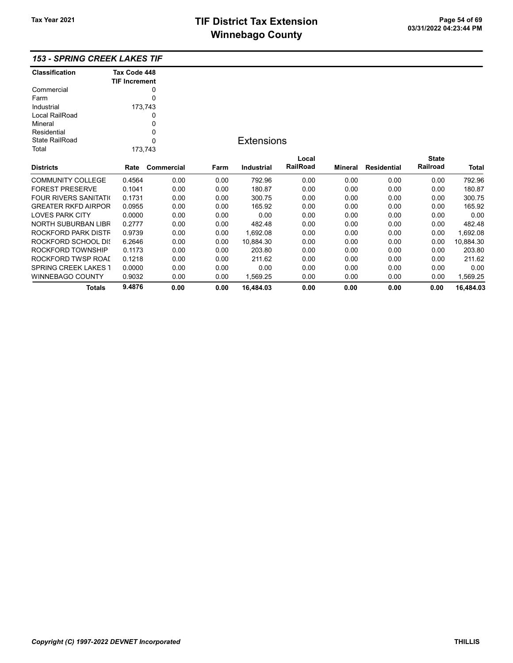| <b>Classification</b>       | Tax Code 448         |             |      |                   |          |         |                    |              |           |
|-----------------------------|----------------------|-------------|------|-------------------|----------|---------|--------------------|--------------|-----------|
|                             | <b>TIF Increment</b> |             |      |                   |          |         |                    |              |           |
| Commercial                  |                      | 0           |      |                   |          |         |                    |              |           |
| Farm                        |                      | 0           |      |                   |          |         |                    |              |           |
| Industrial                  |                      | 173,743     |      |                   |          |         |                    |              |           |
| Local RailRoad              |                      | 0           |      |                   |          |         |                    |              |           |
| Mineral                     |                      | 0           |      |                   |          |         |                    |              |           |
| Residential                 |                      | $\mathbf 0$ |      |                   |          |         |                    |              |           |
| <b>State RailRoad</b>       |                      | $\Omega$    |      | <b>Extensions</b> |          |         |                    |              |           |
| Total                       |                      | 173,743     |      |                   |          |         |                    |              |           |
|                             |                      |             |      |                   | Local    |         |                    | <b>State</b> |           |
| <b>Districts</b>            | Rate                 | Commercial  | Farm | <b>Industrial</b> | RailRoad | Mineral | <b>Residential</b> | Railroad     | Total     |
| <b>COMMUNITY COLLEGE</b>    | 0.4564               | 0.00        | 0.00 | 792.96            | 0.00     | 0.00    | 0.00               | 0.00         | 792.96    |
| <b>FOREST PRESERVE</b>      | 0.1041               | 0.00        | 0.00 | 180.87            | 0.00     | 0.00    | 0.00               | 0.00         | 180.87    |
| <b>FOUR RIVERS SANITATI</b> | 0.1731               | 0.00        | 0.00 | 300.75            | 0.00     | 0.00    | 0.00               | 0.00         | 300.75    |
| <b>GREATER RKFD AIRPOR</b>  | 0.0955               | 0.00        | 0.00 | 165.92            | 0.00     | 0.00    | 0.00               | 0.00         | 165.92    |
| <b>LOVES PARK CITY</b>      | 0.0000               | 0.00        | 0.00 | 0.00              | 0.00     | 0.00    | 0.00               | 0.00         | 0.00      |
| <b>NORTH SUBURBAN LIBR</b>  | 0.2777               | 0.00        | 0.00 | 482.48            | 0.00     | 0.00    | 0.00               | 0.00         | 482.48    |
| ROCKFORD PARK DISTF         | 0.9739               | 0.00        | 0.00 | 1,692.08          | 0.00     | 0.00    | 0.00               | 0.00         | 1,692.08  |
| ROCKFORD SCHOOL DIS         | 6.2646               | 0.00        | 0.00 | 10,884.30         | 0.00     | 0.00    | 0.00               | 0.00         | 10,884.30 |
| ROCKFORD TOWNSHIP           | 0.1173               | 0.00        | 0.00 | 203.80            | 0.00     | 0.00    | 0.00               | 0.00         | 203.80    |
| ROCKFORD TWSP ROAI          | 0.1218               | 0.00        | 0.00 | 211.62            | 0.00     | 0.00    | 0.00               | 0.00         | 211.62    |
| <b>SPRING CREEK LAKES 1</b> | 0.0000               | 0.00        | 0.00 | 0.00              | 0.00     | 0.00    | 0.00               | 0.00         | 0.00      |
| WINNEBAGO COUNTY            | 0.9032               | 0.00        | 0.00 | 1,569.25          | 0.00     | 0.00    | 0.00               | 0.00         | 1,569.25  |
| <b>Totals</b>               | 9.4876               | 0.00        | 0.00 | 16,484.03         | 0.00     | 0.00    | 0.00               | 0.00         | 16,484.03 |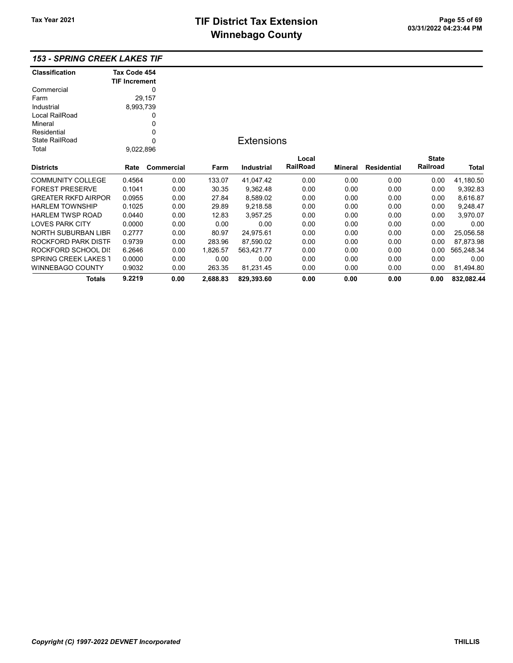# TIF District Tax Extension<br>
M's sales and Canada page 11 of 03/31/2022 04:23:44 PM **Winnebago County**

| <b>Classification</b>       | Tax Code 454         |            |          |                   |          |         |                    |              |            |
|-----------------------------|----------------------|------------|----------|-------------------|----------|---------|--------------------|--------------|------------|
|                             | <b>TIF Increment</b> |            |          |                   |          |         |                    |              |            |
| Commercial                  |                      | 0          |          |                   |          |         |                    |              |            |
| Farm                        |                      | 29,157     |          |                   |          |         |                    |              |            |
| Industrial                  | 8,993,739            |            |          |                   |          |         |                    |              |            |
| Local RailRoad              |                      | 0          |          |                   |          |         |                    |              |            |
| Mineral                     |                      | 0          |          |                   |          |         |                    |              |            |
| Residential                 |                      | 0          |          |                   |          |         |                    |              |            |
| <b>State RailRoad</b>       |                      | 0          |          | <b>Extensions</b> |          |         |                    |              |            |
| Total                       | 9,022,896            |            |          |                   |          |         |                    |              |            |
|                             |                      |            |          |                   | Local    |         |                    | <b>State</b> |            |
| <b>Districts</b>            | Rate                 | Commercial | Farm     | Industrial        | RailRoad | Mineral | <b>Residential</b> | Railroad     | Total      |
| <b>COMMUNITY COLLEGE</b>    | 0.4564               | 0.00       | 133.07   | 41,047.42         | 0.00     | 0.00    | 0.00               | 0.00         | 41,180.50  |
| <b>FOREST PRESERVE</b>      | 0.1041               | 0.00       | 30.35    | 9,362.48          | 0.00     | 0.00    | 0.00               | 0.00         | 9,392.83   |
| <b>GREATER RKFD AIRPOR</b>  | 0.0955               | 0.00       | 27.84    | 8,589.02          | 0.00     | 0.00    | 0.00               | 0.00         | 8,616.87   |
| <b>HARLEM TOWNSHIP</b>      | 0.1025               | 0.00       | 29.89    | 9,218.58          | 0.00     | 0.00    | 0.00               | 0.00         | 9,248.47   |
| <b>HARLEM TWSP ROAD</b>     | 0.0440               | 0.00       | 12.83    | 3,957.25          | 0.00     | 0.00    | 0.00               | 0.00         | 3,970.07   |
| <b>LOVES PARK CITY</b>      | 0.0000               | 0.00       | 0.00     | 0.00              | 0.00     | 0.00    | 0.00               | 0.00         | 0.00       |
| NORTH SUBURBAN LIBR         | 0.2777               | 0.00       | 80.97    | 24,975.61         | 0.00     | 0.00    | 0.00               | 0.00         | 25,056.58  |
| ROCKFORD PARK DISTF         | 0.9739               | 0.00       | 283.96   | 87,590.02         | 0.00     | 0.00    | 0.00               | 0.00         | 87,873.98  |
| ROCKFORD SCHOOL DIS         | 6.2646               | 0.00       | 1,826.57 | 563,421.77        | 0.00     | 0.00    | 0.00               | 0.00         | 565,248.34 |
| <b>SPRING CREEK LAKES 1</b> | 0.0000               | 0.00       | 0.00     | 0.00              | 0.00     | 0.00    | 0.00               | 0.00         | 0.00       |
| <b>WINNEBAGO COUNTY</b>     | 0.9032               | 0.00       | 263.35   | 81,231.45         | 0.00     | 0.00    | 0.00               | 0.00         | 81,494.80  |
| Totals                      | 9.2219               | 0.00       | 2,688.83 | 829,393.60        | 0.00     | 0.00    | 0.00               | 0.00         | 832,082.44 |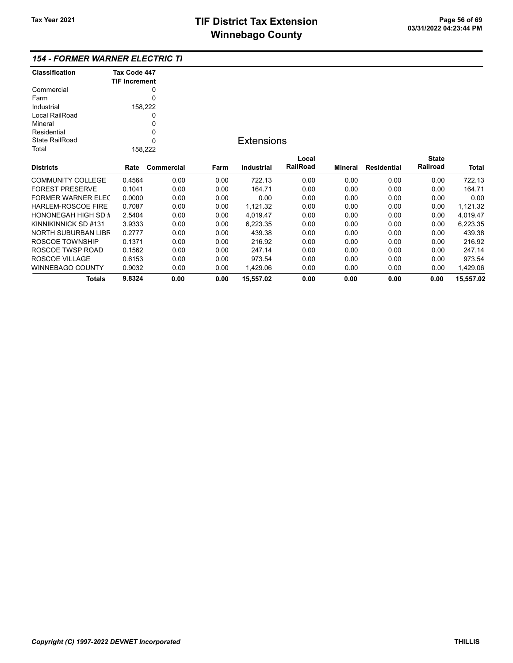#### 154 - FORMER WARNER ELECTRIC TIF

| <b>Classification</b>      | Tax Code 447         |            |      |                   |          |         |                    |              |           |
|----------------------------|----------------------|------------|------|-------------------|----------|---------|--------------------|--------------|-----------|
|                            | <b>TIF Increment</b> |            |      |                   |          |         |                    |              |           |
| Commercial                 |                      | 0          |      |                   |          |         |                    |              |           |
| Farm                       |                      | 0          |      |                   |          |         |                    |              |           |
| Industrial                 |                      | 158,222    |      |                   |          |         |                    |              |           |
| Local RailRoad             |                      | 0          |      |                   |          |         |                    |              |           |
| Mineral                    |                      | 0          |      |                   |          |         |                    |              |           |
| Residential                |                      | 0          |      |                   |          |         |                    |              |           |
| <b>State RailRoad</b>      |                      | 0          |      | <b>Extensions</b> |          |         |                    |              |           |
| Total                      |                      | 158,222    |      |                   |          |         |                    |              |           |
|                            |                      |            |      |                   | Local    |         |                    | <b>State</b> |           |
| <b>Districts</b>           | Rate                 | Commercial | Farm | Industrial        | RailRoad | Mineral | <b>Residential</b> | Railroad     | Total     |
| <b>COMMUNITY COLLEGE</b>   | 0.4564               | 0.00       | 0.00 | 722.13            | 0.00     | 0.00    | 0.00               | 0.00         | 722.13    |
| <b>FOREST PRESERVE</b>     | 0.1041               | 0.00       | 0.00 | 164.71            | 0.00     | 0.00    | 0.00               | 0.00         | 164.71    |
| <b>FORMER WARNER ELEC</b>  | 0.0000               | 0.00       | 0.00 | 0.00              | 0.00     | 0.00    | 0.00               | 0.00         | 0.00      |
| <b>HARLEM-ROSCOE FIRE</b>  | 0.7087               | 0.00       | 0.00 | 1,121.32          | 0.00     | 0.00    | 0.00               | 0.00         | 1,121.32  |
| <b>HONONEGAH HIGH SD #</b> | 2.5404               | 0.00       | 0.00 | 4,019.47          | 0.00     | 0.00    | 0.00               | 0.00         | 4,019.47  |
| KINNIKINNICK SD #131       | 3.9333               | 0.00       | 0.00 | 6,223.35          | 0.00     | 0.00    | 0.00               | 0.00         | 6,223.35  |
| <b>NORTH SUBURBAN LIBR</b> | 0.2777               | 0.00       | 0.00 | 439.38            | 0.00     | 0.00    | 0.00               | 0.00         | 439.38    |
| ROSCOE TOWNSHIP            | 0.1371               | 0.00       | 0.00 | 216.92            | 0.00     | 0.00    | 0.00               | 0.00         | 216.92    |
| ROSCOE TWSP ROAD           | 0.1562               | 0.00       | 0.00 | 247.14            | 0.00     | 0.00    | 0.00               | 0.00         | 247.14    |
| ROSCOE VILLAGE             | 0.6153               | 0.00       | 0.00 | 973.54            | 0.00     | 0.00    | 0.00               | 0.00         | 973.54    |
| <b>WINNEBAGO COUNTY</b>    | 0.9032               | 0.00       | 0.00 | 1,429.06          | 0.00     | 0.00    | 0.00               | 0.00         | 1,429.06  |
| <b>Totals</b>              | 9.8324               | 0.00       | 0.00 | 15,557.02         | 0.00     | 0.00    | 0.00               | 0.00         | 15,557.02 |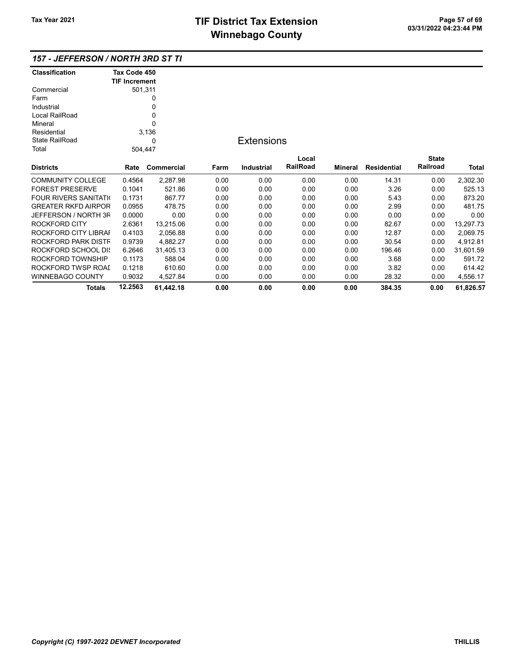| 157 - JEFFERSON / NORTH 3RD ST TI. |  |
|------------------------------------|--|
|------------------------------------|--|

| <b>Classification</b>         | Tax Code 450         |            |      |                   |                 |                |                    |              |              |
|-------------------------------|----------------------|------------|------|-------------------|-----------------|----------------|--------------------|--------------|--------------|
|                               | <b>TIF Increment</b> |            |      |                   |                 |                |                    |              |              |
| Commercial                    |                      | 501,311    |      |                   |                 |                |                    |              |              |
| Farm                          |                      | 0          |      |                   |                 |                |                    |              |              |
| Industrial                    |                      | 0          |      |                   |                 |                |                    |              |              |
| Local RailRoad                |                      | 0          |      |                   |                 |                |                    |              |              |
| Mineral                       |                      | 0          |      |                   |                 |                |                    |              |              |
| Residential                   |                      | 3,136      |      |                   |                 |                |                    |              |              |
| <b>State RailRoad</b>         |                      | 0          |      | <b>Extensions</b> |                 |                |                    |              |              |
| Total                         | 504,447              |            |      |                   |                 |                |                    |              |              |
|                               |                      |            |      |                   | Local           |                |                    | <b>State</b> |              |
| <b>Districts</b>              | Rate                 | Commercial | Farm | <b>Industrial</b> | <b>RailRoad</b> | <b>Mineral</b> | <b>Residential</b> | Railroad     | <b>Total</b> |
| <b>COMMUNITY COLLEGE</b>      | 0.4564               | 2,287.98   | 0.00 | 0.00              | 0.00            | 0.00           | 14.31              | 0.00         | 2,302.30     |
| <b>FOREST PRESERVE</b>        | 0.1041               | 521.86     | 0.00 | 0.00              | 0.00            | 0.00           | 3.26               | 0.00         | 525.13       |
| <b>FOUR RIVERS SANITATION</b> | 0.1731               | 867.77     | 0.00 | 0.00              | 0.00            | 0.00           | 5.43               | 0.00         | 873.20       |
| <b>GREATER RKFD AIRPOR</b>    | 0.0955               | 478.75     | 0.00 | 0.00              | 0.00            | 0.00           | 2.99               | 0.00         | 481.75       |
| JEFFERSON / NORTH 3F          | 0.0000               | 0.00       | 0.00 | 0.00              | 0.00            | 0.00           | 0.00               | 0.00         | 0.00         |
| <b>ROCKFORD CITY</b>          | 2.6361               | 13,215.06  | 0.00 | 0.00              | 0.00            | 0.00           | 82.67              | 0.00         | 13,297.73    |
| ROCKFORD CITY LIBRAI          | 0.4103               | 2,056.88   | 0.00 | 0.00              | 0.00            | 0.00           | 12.87              | 0.00         | 2,069.75     |
| ROCKFORD PARK DISTF           | 0.9739               | 4,882.27   | 0.00 | 0.00              | 0.00            | 0.00           | 30.54              | 0.00         | 4,912.81     |
| ROCKFORD SCHOOL DIS           | 6.2646               | 31,405.13  | 0.00 | 0.00              | 0.00            | 0.00           | 196.46             | 0.00         | 31,601.59    |
| ROCKFORD TOWNSHIP             | 0.1173               | 588.04     | 0.00 | 0.00              | 0.00            | 0.00           | 3.68               | 0.00         | 591.72       |
| ROCKFORD TWSP ROAI            | 0.1218               | 610.60     | 0.00 | 0.00              | 0.00            | 0.00           | 3.82               | 0.00         | 614.42       |
| <b>WINNEBAGO COUNTY</b>       | 0.9032               | 4,527.84   | 0.00 | 0.00              | 0.00            | 0.00           | 28.32              | 0.00         | 4,556.17     |
| Totals                        | 12.2563              | 61,442.18  | 0.00 | 0.00              | 0.00            | 0.00           | 384.35             | 0.00         | 61,826.57    |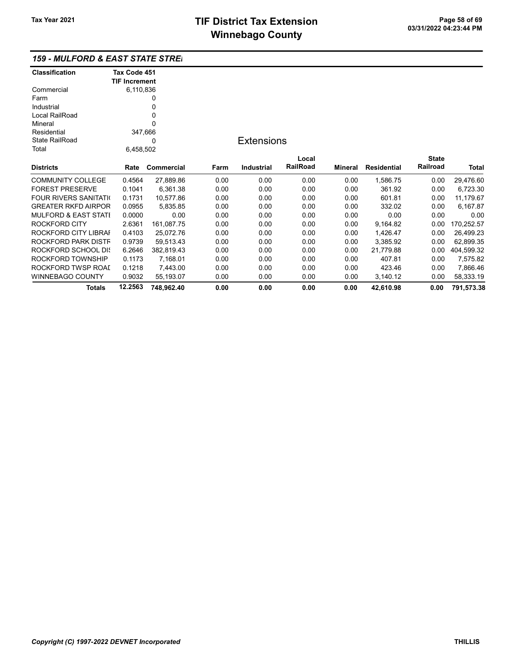| 159 - MULFORD & EAST STATE STREI |  |
|----------------------------------|--|
|----------------------------------|--|

| <b>Classification</b>           | Tax Code 451         |            |      |                   |          |         |                    |              |              |
|---------------------------------|----------------------|------------|------|-------------------|----------|---------|--------------------|--------------|--------------|
|                                 | <b>TIF Increment</b> |            |      |                   |          |         |                    |              |              |
| Commercial                      | 6,110,836            |            |      |                   |          |         |                    |              |              |
| Farm                            |                      | 0          |      |                   |          |         |                    |              |              |
| Industrial                      |                      | 0          |      |                   |          |         |                    |              |              |
| Local RailRoad                  |                      | 0          |      |                   |          |         |                    |              |              |
| Mineral                         |                      | 0          |      |                   |          |         |                    |              |              |
| Residential                     | 347,666              |            |      |                   |          |         |                    |              |              |
| <b>State RailRoad</b>           | 0                    |            |      | <b>Extensions</b> |          |         |                    |              |              |
| Total                           | 6,458,502            |            |      |                   |          |         |                    |              |              |
|                                 |                      |            |      |                   | Local    |         |                    | <b>State</b> |              |
| <b>Districts</b>                | Rate                 | Commercial | Farm | <b>Industrial</b> | RailRoad | Mineral | <b>Residential</b> | Railroad     | <b>Total</b> |
| <b>COMMUNITY COLLEGE</b>        | 0.4564               | 27,889.86  | 0.00 | 0.00              | 0.00     | 0.00    | 1,586.75           | 0.00         | 29,476.60    |
| <b>FOREST PRESERVE</b>          | 0.1041               | 6,361.38   | 0.00 | 0.00              | 0.00     | 0.00    | 361.92             | 0.00         | 6,723.30     |
| <b>FOUR RIVERS SANITATION</b>   | 0.1731               | 10,577.86  | 0.00 | 0.00              | 0.00     | 0.00    | 601.81             | 0.00         | 11,179.67    |
| <b>GREATER RKFD AIRPOR</b>      | 0.0955               | 5,835.85   | 0.00 | 0.00              | 0.00     | 0.00    | 332.02             | 0.00         | 6,167.87     |
| <b>MULFORD &amp; EAST STATI</b> | 0.0000               | 0.00       | 0.00 | 0.00              | 0.00     | 0.00    | 0.00               | 0.00         | 0.00         |
| ROCKFORD CITY                   | 2.6361               | 161,087.75 | 0.00 | 0.00              | 0.00     | 0.00    | 9,164.82           | 0.00         | 170,252.57   |
| ROCKFORD CITY LIBRAI            | 0.4103               | 25,072.76  | 0.00 | 0.00              | 0.00     | 0.00    | 1,426.47           | 0.00         | 26,499.23    |
| ROCKFORD PARK DISTF             | 0.9739               | 59,513.43  | 0.00 | 0.00              | 0.00     | 0.00    | 3,385.92           | 0.00         | 62,899.35    |
| ROCKFORD SCHOOL DIS             | 6.2646               | 382,819.43 | 0.00 | 0.00              | 0.00     | 0.00    | 21,779.88          | 0.00         | 404,599.32   |
| ROCKFORD TOWNSHIP               | 0.1173               | 7,168.01   | 0.00 | 0.00              | 0.00     | 0.00    | 407.81             | 0.00         | 7,575.82     |
| ROCKFORD TWSP ROAL              | 0.1218               | 7,443.00   | 0.00 | 0.00              | 0.00     | 0.00    | 423.46             | 0.00         | 7,866.46     |
| WINNEBAGO COUNTY                | 0.9032               | 55,193.07  | 0.00 | 0.00              | 0.00     | 0.00    | 3,140.12           | 0.00         | 58,333.19    |
| <b>Totals</b>                   | 12.2563              | 748,962.40 | 0.00 | 0.00              | 0.00     | 0.00    | 42,610.98          | 0.00         | 791,573.38   |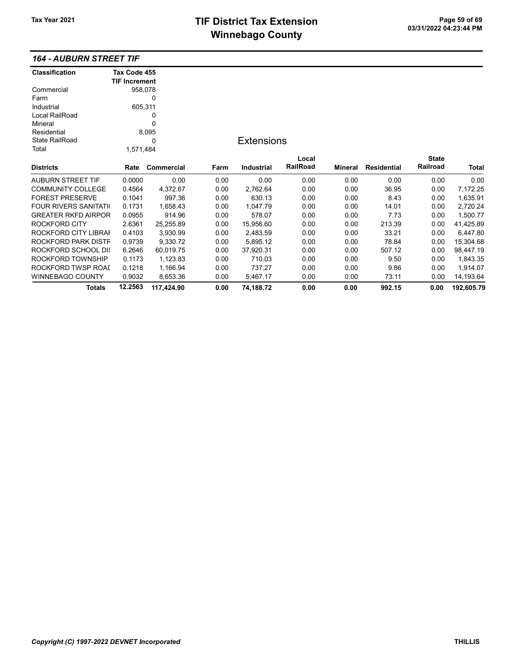# TIF District Tax Extension<br>
Mission 200 of 69 of 69 of 69 of 69 of 69 of 69 of 69 of 69 of 213:44 PM **Winnebago County**

### 164 - AUBURN STREET TIF

| <b>Classification</b>       | Tax Code 455         |            |      |                   |          |                |                    |              |            |
|-----------------------------|----------------------|------------|------|-------------------|----------|----------------|--------------------|--------------|------------|
|                             | <b>TIF Increment</b> |            |      |                   |          |                |                    |              |            |
| Commercial                  | 958,078              |            |      |                   |          |                |                    |              |            |
| Farm                        |                      | 0          |      |                   |          |                |                    |              |            |
| Industrial                  | 605,311              |            |      |                   |          |                |                    |              |            |
| Local RailRoad              |                      | 0          |      |                   |          |                |                    |              |            |
| Mineral                     |                      | 0          |      |                   |          |                |                    |              |            |
| Residential                 |                      | 8,095      |      |                   |          |                |                    |              |            |
| <b>State RailRoad</b><br>0  |                      |            |      | <b>Extensions</b> |          |                |                    |              |            |
| Total                       | 1,571,484            |            |      |                   |          |                |                    |              |            |
|                             |                      |            |      |                   | Local    |                |                    | <b>State</b> |            |
| <b>Districts</b>            | Rate                 | Commercial | Farm | <b>Industrial</b> | RailRoad | <b>Mineral</b> | <b>Residential</b> | Railroad     | Total      |
| AUBURN STREET TIF           | 0.0000               | 0.00       | 0.00 | 0.00              | 0.00     | 0.00           | 0.00               | 0.00         | 0.00       |
| <b>COMMUNITY COLLEGE</b>    | 0.4564               | 4,372.67   | 0.00 | 2,762.64          | 0.00     | 0.00           | 36.95              | 0.00         | 7,172.25   |
| <b>FOREST PRESERVE</b>      | 0.1041               | 997.36     | 0.00 | 630.13            | 0.00     | 0.00           | 8.43               | 0.00         | 1,635.91   |
| <b>FOUR RIVERS SANITATI</b> | 0.1731               | 1,658.43   | 0.00 | 1,047.79          | 0.00     | 0.00           | 14.01              | 0.00         | 2,720.24   |
| <b>GREATER RKFD AIRPOR</b>  | 0.0955               | 914.96     | 0.00 | 578.07            | 0.00     | 0.00           | 7.73               | 0.00         | 1,500.77   |
| ROCKFORD CITY               | 2.6361               | 25,255.89  | 0.00 | 15,956.60         | 0.00     | 0.00           | 213.39             | 0.00         | 41,425.89  |
| ROCKFORD CITY LIBRAI        | 0.4103               | 3,930.99   | 0.00 | 2,483.59          | 0.00     | 0.00           | 33.21              | 0.00         | 6,447.80   |
| ROCKFORD PARK DISTF         | 0.9739               | 9,330.72   | 0.00 | 5,895.12          | 0.00     | 0.00           | 78.84              | 0.00         | 15,304.68  |
| ROCKFORD SCHOOL DIS         | 6.2646               | 60,019.75  | 0.00 | 37,920.31         | 0.00     | 0.00           | 507.12             | 0.00         | 98,447.19  |
| ROCKFORD TOWNSHIP           | 0.1173               | 1,123.83   | 0.00 | 710.03            | 0.00     | 0.00           | 9.50               | 0.00         | 1,843.35   |
| ROCKFORD TWSP ROAI          | 0.1218               | 1,166.94   | 0.00 | 737.27            | 0.00     | 0.00           | 9.86               | 0.00         | 1,914.07   |
| WINNEBAGO COUNTY            | 0.9032               | 8,653.36   | 0.00 | 5,467.17          | 0.00     | 0.00           | 73.11              | 0.00         | 14,193.64  |
| <b>Totals</b>               | 12.2563              | 117,424.90 | 0.00 | 74,188.72         | 0.00     | 0.00           | 992.15             | 0.00         | 192,605.79 |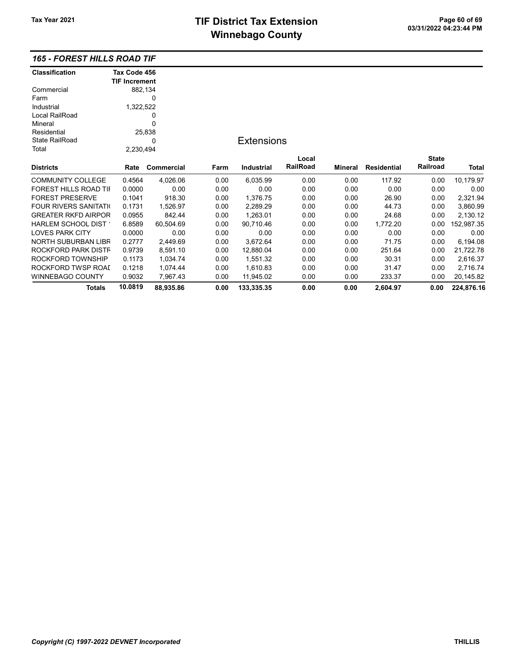### 165 - FOREST HILLS ROAD TIF

| <b>Classification</b>       | Tax Code 456         |            |      |                   |          |                |                    |              |              |
|-----------------------------|----------------------|------------|------|-------------------|----------|----------------|--------------------|--------------|--------------|
|                             | <b>TIF Increment</b> |            |      |                   |          |                |                    |              |              |
| Commercial                  | 882,134              |            |      |                   |          |                |                    |              |              |
| Farm                        |                      | 0          |      |                   |          |                |                    |              |              |
| Industrial                  | 1,322,522            |            |      |                   |          |                |                    |              |              |
| Local RailRoad              | 0                    |            |      |                   |          |                |                    |              |              |
| Mineral                     |                      | 0          |      |                   |          |                |                    |              |              |
| Residential                 |                      | 25,838     |      |                   |          |                |                    |              |              |
| <b>State RailRoad</b>       |                      | 0          |      | <b>Extensions</b> |          |                |                    |              |              |
| Total                       | 2,230,494            |            |      |                   |          |                |                    |              |              |
|                             |                      |            |      |                   | Local    |                |                    | <b>State</b> |              |
| <b>Districts</b>            | Rate                 | Commercial | Farm | <b>Industrial</b> | RailRoad | <b>Mineral</b> | <b>Residential</b> | Railroad     | <b>Total</b> |
| <b>COMMUNITY COLLEGE</b>    | 0.4564               | 4,026.06   | 0.00 | 6,035.99          | 0.00     | 0.00           | 117.92             | 0.00         | 10,179.97    |
| FOREST HILLS ROAD TII       | 0.0000               | 0.00       | 0.00 | 0.00              | 0.00     | 0.00           | 0.00               | 0.00         | 0.00         |
| <b>FOREST PRESERVE</b>      | 0.1041               | 918.30     | 0.00 | 1,376.75          | 0.00     | 0.00           | 26.90              | 0.00         | 2,321.94     |
| <b>FOUR RIVERS SANITATI</b> | 0.1731               | 1,526.97   | 0.00 | 2,289.29          | 0.00     | 0.00           | 44.73              | 0.00         | 3,860.99     |
| <b>GREATER RKFD AIRPOR</b>  | 0.0955               | 842.44     | 0.00 | 1,263.01          | 0.00     | 0.00           | 24.68              | 0.00         | 2,130.12     |
| HARLEM SCHOOL DIST          | 6.8589               | 60,504.69  | 0.00 | 90,710.46         | 0.00     | 0.00           | 1,772.20           | 0.00         | 152,987.35   |
| <b>LOVES PARK CITY</b>      | 0.0000               | 0.00       | 0.00 | 0.00              | 0.00     | 0.00           | 0.00               | 0.00         | 0.00         |
| NORTH SUBURBAN LIBR         | 0.2777               | 2,449.69   | 0.00 | 3,672.64          | 0.00     | 0.00           | 71.75              | 0.00         | 6,194.08     |
| ROCKFORD PARK DISTF         | 0.9739               | 8,591.10   | 0.00 | 12,880.04         | 0.00     | 0.00           | 251.64             | 0.00         | 21,722.78    |
| ROCKFORD TOWNSHIP           | 0.1173               | 1,034.74   | 0.00 | 1,551.32          | 0.00     | 0.00           | 30.31              | 0.00         | 2,616.37     |
| ROCKFORD TWSP ROAI          | 0.1218               | 1,074.44   | 0.00 | 1,610.83          | 0.00     | 0.00           | 31.47              | 0.00         | 2,716.74     |
| <b>WINNEBAGO COUNTY</b>     | 0.9032               | 7,967.43   | 0.00 | 11,945.02         | 0.00     | 0.00           | 233.37             | 0.00         | 20,145.82    |
| Totals                      | 10.0819              | 88,935.86  | 0.00 | 133,335.35        | 0.00     | 0.00           | 2.604.97           | 0.00         | 224,876.16   |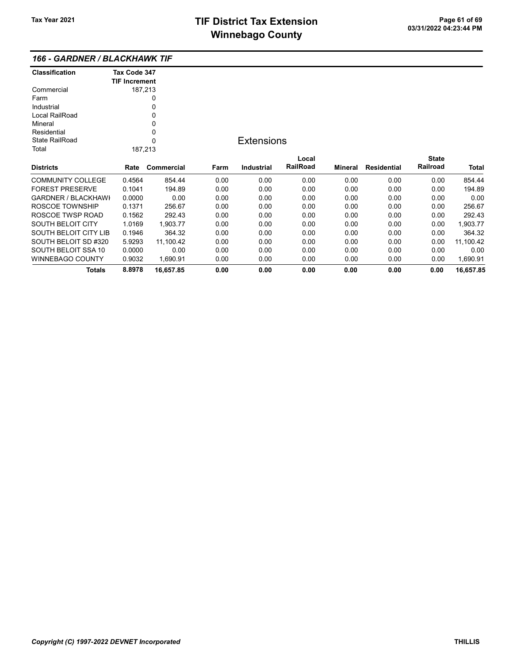| Classification        | Tax Code 347         |            |      |                   |          |         |                    |              |           |
|-----------------------|----------------------|------------|------|-------------------|----------|---------|--------------------|--------------|-----------|
|                       | <b>TIF Increment</b> |            |      |                   |          |         |                    |              |           |
| Commercial            |                      | 187,213    |      |                   |          |         |                    |              |           |
| Farm                  |                      | 0          |      |                   |          |         |                    |              |           |
| Industrial            |                      | 0          |      |                   |          |         |                    |              |           |
| Local RailRoad        |                      | 0          |      |                   |          |         |                    |              |           |
| Mineral               |                      | 0          |      |                   |          |         |                    |              |           |
| Residential           |                      | 0          |      |                   |          |         |                    |              |           |
| <b>State RailRoad</b> |                      | $\Omega$   |      | <b>Extensions</b> |          |         |                    |              |           |
| Total                 |                      | 187,213    |      |                   |          |         |                    |              |           |
|                       |                      |            |      |                   | Local    |         |                    | <b>State</b> |           |
| Districts             | Rate                 | Commercial | Farm | <b>Industrial</b> | RailRoad | Mineral | <b>Residential</b> | Railroad     | Total     |
| COMMUNITY COLLEGE     | 0.4564               | 854.44     | 0.00 | 0.00              | 0.00     | 0.00    | 0.00               | 0.00         | 854.44    |
| FOREST PRESERVE       | 0.1041               | 194.89     | 0.00 | 0.00              | 0.00     | 0.00    | 0.00               | 0.00         | 194.89    |
| GARDNER / BLACKHAWI   | 0.0000               | 0.00       | 0.00 | 0.00              | 0.00     | 0.00    | 0.00               | 0.00         | 0.00      |
| ROSCOE TOWNSHIP       | 0.1371               | 256.67     | 0.00 | 0.00              | 0.00     | 0.00    | 0.00               | 0.00         | 256.67    |
| ROSCOE TWSP ROAD      | 0.1562               | 292.43     | 0.00 | 0.00              | 0.00     | 0.00    | 0.00               | 0.00         | 292.43    |
| SOUTH BELOIT CITY     | 1.0169               | 1,903.77   | 0.00 | 0.00              | 0.00     | 0.00    | 0.00               | 0.00         | 1,903.77  |
| SOUTH BELOIT CITY LIB | 0.1946               | 364.32     | 0.00 | 0.00              | 0.00     | 0.00    | 0.00               | 0.00         | 364.32    |
| SOUTH BELOIT SD #320  | 5.9293               | 11,100.42  | 0.00 | 0.00              | 0.00     | 0.00    | 0.00               | 0.00         | 11,100.42 |
| SOUTH BELOIT SSA 10   | 0.0000               | 0.00       | 0.00 | 0.00              | 0.00     | 0.00    | 0.00               | 0.00         | 0.00      |
| WINNEBAGO COUNTY      | 0.9032               | 1,690.91   | 0.00 | 0.00              | 0.00     | 0.00    | 0.00               | 0.00         | 1,690.91  |
| Totals                | 8.8978               | 16,657.85  | 0.00 | 0.00              | 0.00     | 0.00    | 0.00               | 0.00         | 16,657.85 |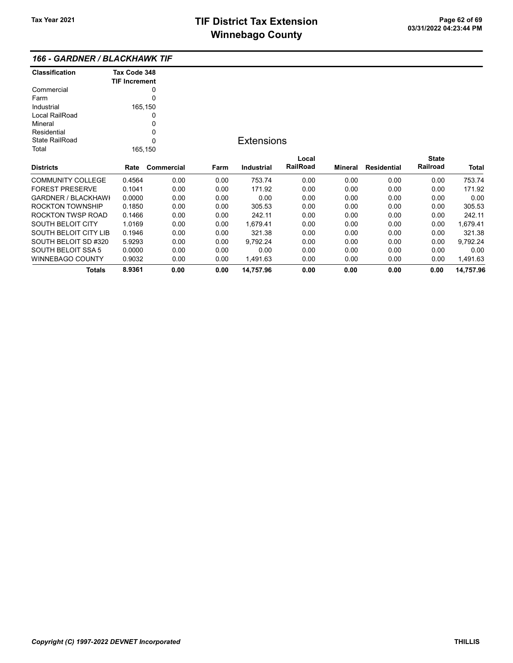### 166 - GARDNER / BLACKHAWK TIF

| <b>Classification</b>      | Tax Code 348<br><b>TIF Increment</b> |            |      |                   |          |         |                    |              |           |
|----------------------------|--------------------------------------|------------|------|-------------------|----------|---------|--------------------|--------------|-----------|
| Commercial                 |                                      | 0          |      |                   |          |         |                    |              |           |
| Farm                       |                                      | 0          |      |                   |          |         |                    |              |           |
| Industrial                 | 165,150                              |            |      |                   |          |         |                    |              |           |
| Local RailRoad             |                                      | 0          |      |                   |          |         |                    |              |           |
| Mineral                    |                                      | 0          |      |                   |          |         |                    |              |           |
| Residential                |                                      | 0          |      |                   |          |         |                    |              |           |
| State RailRoad             |                                      | 0          |      | <b>Extensions</b> |          |         |                    |              |           |
| Total                      |                                      | 165,150    |      |                   |          |         |                    |              |           |
|                            |                                      |            |      |                   | Local    |         |                    | <b>State</b> |           |
| <b>Districts</b>           | Rate                                 | Commercial | Farm | Industrial        | RailRoad | Mineral | <b>Residential</b> | Railroad     | Total     |
| <b>COMMUNITY COLLEGE</b>   | 0.4564                               | 0.00       | 0.00 | 753.74            | 0.00     | 0.00    | 0.00               | 0.00         | 753.74    |
| <b>FOREST PRESERVE</b>     | 0.1041                               | 0.00       | 0.00 | 171.92            | 0.00     | 0.00    | 0.00               | 0.00         | 171.92    |
| <b>GARDNER / BLACKHAWI</b> | 0.0000                               | 0.00       | 0.00 | 0.00              | 0.00     | 0.00    | 0.00               | 0.00         | 0.00      |
| <b>ROCKTON TOWNSHIP</b>    | 0.1850                               | 0.00       | 0.00 | 305.53            | 0.00     | 0.00    | 0.00               | 0.00         | 305.53    |
| <b>ROCKTON TWSP ROAD</b>   | 0.1466                               | 0.00       | 0.00 | 242.11            | 0.00     | 0.00    | 0.00               | 0.00         | 242.11    |
| <b>SOUTH BELOIT CITY</b>   | 1.0169                               | 0.00       | 0.00 | 1,679.41          | 0.00     | 0.00    | 0.00               | 0.00         | 1,679.41  |
| SOUTH BELOIT CITY LIB      | 0.1946                               | 0.00       | 0.00 | 321.38            | 0.00     | 0.00    | 0.00               | 0.00         | 321.38    |
| SOUTH BELOIT SD #320       | 5.9293                               | 0.00       | 0.00 | 9,792.24          | 0.00     | 0.00    | 0.00               | 0.00         | 9,792.24  |
| <b>SOUTH BELOIT SSA 5</b>  | 0.0000                               | 0.00       | 0.00 | 0.00              | 0.00     | 0.00    | 0.00               | 0.00         | 0.00      |
| <b>WINNEBAGO COUNTY</b>    | 0.9032                               | 0.00       | 0.00 | 1,491.63          | 0.00     | 0.00    | 0.00               | 0.00         | 1,491.63  |
| <b>Totals</b>              | 8.9361                               | 0.00       | 0.00 | 14,757.96         | 0.00     | 0.00    | 0.00               | 0.00         | 14,757.96 |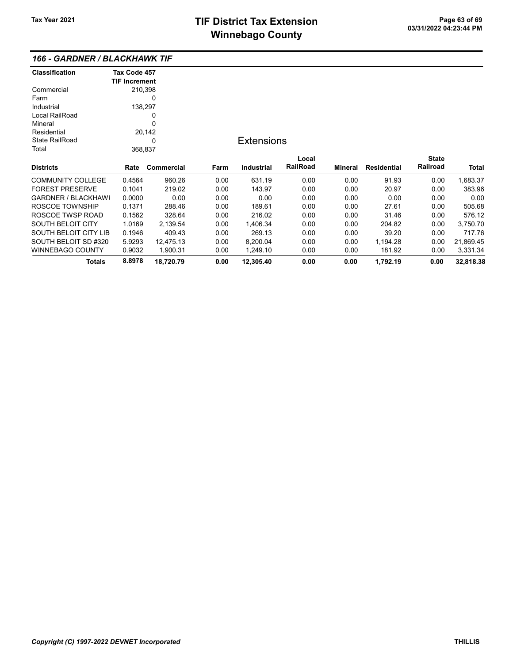### 166 - GARDNER / BLACKHAWK TIF

| <b>Classification</b>      | Tax Code 457         |                   |      |                   |                 |                |             |              |           |
|----------------------------|----------------------|-------------------|------|-------------------|-----------------|----------------|-------------|--------------|-----------|
|                            | <b>TIF Increment</b> |                   |      |                   |                 |                |             |              |           |
| Commercial                 | 210,398              |                   |      |                   |                 |                |             |              |           |
| Farm                       |                      | 0                 |      |                   |                 |                |             |              |           |
| Industrial                 | 138,297              |                   |      |                   |                 |                |             |              |           |
| Local RailRoad             |                      | 0                 |      |                   |                 |                |             |              |           |
| Mineral                    |                      | 0                 |      |                   |                 |                |             |              |           |
| Residential                |                      | 20,142            |      |                   |                 |                |             |              |           |
| <b>State RailRoad</b>      |                      | <b>Extensions</b> |      |                   |                 |                |             |              |           |
| Total                      | 368,837              |                   |      |                   |                 |                |             |              |           |
|                            |                      |                   |      |                   | Local           |                |             | <b>State</b> |           |
| <b>Districts</b>           | Rate                 | Commercial        | Farm | <b>Industrial</b> | <b>RailRoad</b> | <b>Mineral</b> | Residential | Railroad     | Total     |
| <b>COMMUNITY COLLEGE</b>   | 0.4564               | 960.26            | 0.00 | 631.19            | 0.00            | 0.00           | 91.93       | 0.00         | 1,683.37  |
| <b>FOREST PRESERVE</b>     | 0.1041               | 219.02            | 0.00 | 143.97            | 0.00            | 0.00           | 20.97       | 0.00         | 383.96    |
| <b>GARDNER / BLACKHAWI</b> | 0.0000               | 0.00              | 0.00 | 0.00              | 0.00            | 0.00           | 0.00        | 0.00         | 0.00      |
| ROSCOE TOWNSHIP            | 0.1371               | 288.46            | 0.00 | 189.61            | 0.00            | 0.00           | 27.61       | 0.00         | 505.68    |
| ROSCOE TWSP ROAD           | 0.1562               | 328.64            | 0.00 | 216.02            | 0.00            | 0.00           | 31.46       | 0.00         | 576.12    |
| <b>SOUTH BELOIT CITY</b>   | 1.0169               | 2,139.54          | 0.00 | 1,406.34          | 0.00            | 0.00           | 204.82      | 0.00         | 3,750.70  |
| SOUTH BELOIT CITY LIB      | 0.1946               | 409.43            | 0.00 | 269.13            | 0.00            | 0.00           | 39.20       | 0.00         | 717.76    |
| SOUTH BELOIT SD #320       | 5.9293               | 12,475.13         | 0.00 | 8,200.04          | 0.00            | 0.00           | 1,194.28    | 0.00         | 21,869.45 |
| <b>WINNEBAGO COUNTY</b>    | 0.9032               | 1,900.31          | 0.00 | 1,249.10          | 0.00            | 0.00           | 181.92      | 0.00         | 3,331.34  |
| <b>Totals</b>              | 8.8978               | 18,720.79         | 0.00 | 12,305.40         | 0.00            | 0.00           | 1,792.19    | 0.00         | 32,818.38 |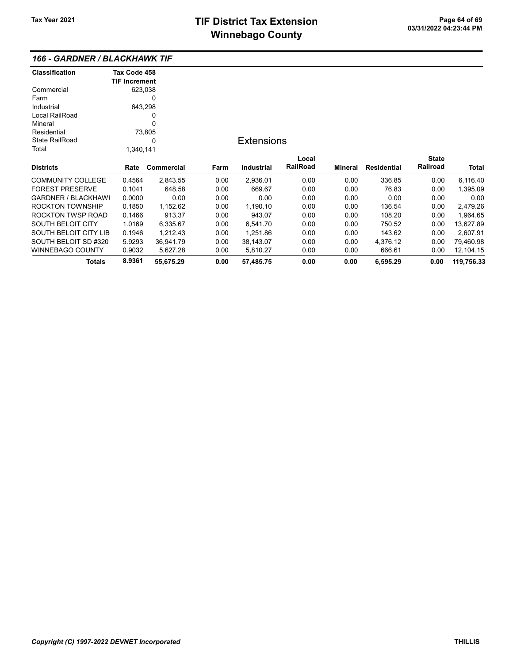### 166 - GARDNER / BLACKHAWK TIF

| <b>Classification</b>      | Tax Code 458         |            |      |                   |                 |         |                    |              |            |
|----------------------------|----------------------|------------|------|-------------------|-----------------|---------|--------------------|--------------|------------|
|                            | <b>TIF Increment</b> |            |      |                   |                 |         |                    |              |            |
| Commercial                 | 623,038              |            |      |                   |                 |         |                    |              |            |
| Farm                       |                      | 0          |      |                   |                 |         |                    |              |            |
| Industrial                 | 643,298              |            |      |                   |                 |         |                    |              |            |
| Local RailRoad             |                      | 0          |      |                   |                 |         |                    |              |            |
| Mineral                    |                      | 0          |      |                   |                 |         |                    |              |            |
| Residential                |                      | 73,805     |      |                   |                 |         |                    |              |            |
| <b>State RailRoad</b><br>0 |                      |            |      | <b>Extensions</b> |                 |         |                    |              |            |
| Total                      | 1,340,141            |            |      |                   |                 |         |                    |              |            |
|                            |                      |            |      |                   | Local           |         |                    | <b>State</b> |            |
| <b>Districts</b>           | Rate                 | Commercial | Farm | <b>Industrial</b> | <b>RailRoad</b> | Mineral | <b>Residential</b> | Railroad     | Total      |
| <b>COMMUNITY COLLEGE</b>   | 0.4564               | 2,843.55   | 0.00 | 2,936.01          | 0.00            | 0.00    | 336.85             | 0.00         | 6,116.40   |
| <b>FOREST PRESERVE</b>     | 0.1041               | 648.58     | 0.00 | 669.67            | 0.00            | 0.00    | 76.83              | 0.00         | 1,395.09   |
| <b>GARDNER / BLACKHAWI</b> | 0.0000               | 0.00       | 0.00 | 0.00              | 0.00            | 0.00    | 0.00               | 0.00         | 0.00       |
| <b>ROCKTON TOWNSHIP</b>    | 0.1850               | 1,152.62   | 0.00 | 1,190.10          | 0.00            | 0.00    | 136.54             | 0.00         | 2,479.26   |
| ROCKTON TWSP ROAD          | 0.1466               | 913.37     | 0.00 | 943.07            | 0.00            | 0.00    | 108.20             | 0.00         | 1,964.65   |
| <b>SOUTH BELOIT CITY</b>   | 1.0169               | 6,335.67   | 0.00 | 6,541.70          | 0.00            | 0.00    | 750.52             | 0.00         | 13,627.89  |
| SOUTH BELOIT CITY LIB      | 0.1946               | 1,212.43   | 0.00 | 1,251.86          | 0.00            | 0.00    | 143.62             | 0.00         | 2,607.91   |
| SOUTH BELOIT SD #320       | 5.9293               | 36,941.79  | 0.00 | 38,143.07         | 0.00            | 0.00    | 4,376.12           | 0.00         | 79,460.98  |
| <b>WINNEBAGO COUNTY</b>    | 0.9032               | 5,627.28   | 0.00 | 5,810.27          | 0.00            | 0.00    | 666.61             | 0.00         | 12,104.15  |
| Totals                     | 8.9361               | 55,675.29  | 0.00 | 57,485.75         | 0.00            | 0.00    | 6,595.29           | 0.00         | 119,756.33 |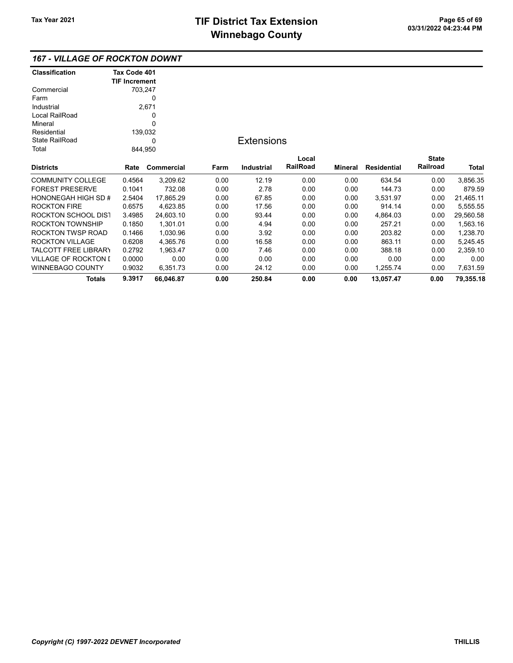| <b>Classification</b> | Tax Code 401         |            |      |                   |          |         |                    |              |           |
|-----------------------|----------------------|------------|------|-------------------|----------|---------|--------------------|--------------|-----------|
|                       | <b>TIF Increment</b> |            |      |                   |          |         |                    |              |           |
| Commercial            | 703,247              |            |      |                   |          |         |                    |              |           |
| Farm                  |                      | 0          |      |                   |          |         |                    |              |           |
| Industrial            |                      | 2,671      |      |                   |          |         |                    |              |           |
| Local RailRoad        |                      | 0          |      |                   |          |         |                    |              |           |
| Mineral               |                      | 0          |      |                   |          |         |                    |              |           |
| Residential           |                      | 139,032    |      |                   |          |         |                    |              |           |
| <b>State RailRoad</b> |                      |            |      | <b>Extensions</b> |          |         |                    |              |           |
| Total                 | 844,950              |            |      |                   |          |         |                    |              |           |
|                       |                      |            |      |                   | Local    |         |                    | <b>State</b> |           |
| <b>Districts</b>      | Rate                 | Commercial | Farm | <b>Industrial</b> | RailRoad | Mineral | <b>Residential</b> | Railroad     | Total     |
| COMMUNITY COLLEGE     | 0.4564               | 3,209.62   | 0.00 | 12.19             | 0.00     | 0.00    | 634.54             | 0.00         | 3,856.35  |
| FOREST PRESERVE       | 0.1041               | 732.08     | 0.00 | 2.78              | 0.00     | 0.00    | 144.73             | 0.00         | 879.59    |
| HONONEGAH HIGH SD #   | 2.5404               | 17,865.29  | 0.00 | 67.85             | 0.00     | 0.00    | 3,531.97           | 0.00         | 21,465.11 |
| ROCKTON FIRE          | 0.6575               | 4,623.85   | 0.00 | 17.56             | 0.00     | 0.00    | 914.14             | 0.00         | 5,555.55  |
| ROCKTON SCHOOL DIS1   | 3.4985               | 24,603.10  | 0.00 | 93.44             | 0.00     | 0.00    | 4,864.03           | 0.00         | 29,560.58 |
| ROCKTON TOWNSHIP      | 0.1850               | 1,301.01   | 0.00 | 4.94              | 0.00     | 0.00    | 257.21             | 0.00         | 1,563.16  |
| ROCKTON TWSP ROAD     | 0.1466               | 1,030.96   | 0.00 | 3.92              | 0.00     | 0.00    | 203.82             | 0.00         | 1,238.70  |
| ROCKTON VILLAGE       | 0.6208               | 4,365.76   | 0.00 | 16.58             | 0.00     | 0.00    | 863.11             | 0.00         | 5,245.45  |
| TALCOTT FREE LIBRARY  | 0.2792               | 1,963.47   | 0.00 | 7.46              | 0.00     | 0.00    | 388.18             | 0.00         | 2,359.10  |
| VILLAGE OF ROCKTON I  | 0.0000               | 0.00       | 0.00 | 0.00              | 0.00     | 0.00    | 0.00               | 0.00         | 0.00      |
| WINNEBAGO COUNTY      | 0.9032               | 6,351.73   | 0.00 | 24.12             | 0.00     | 0.00    | 1,255.74           | 0.00         | 7,631.59  |
| Totals                | 9.3917               | 66,046.87  | 0.00 | 250.84            | 0.00     | 0.00    | 13,057.47          | 0.00         | 79,355.18 |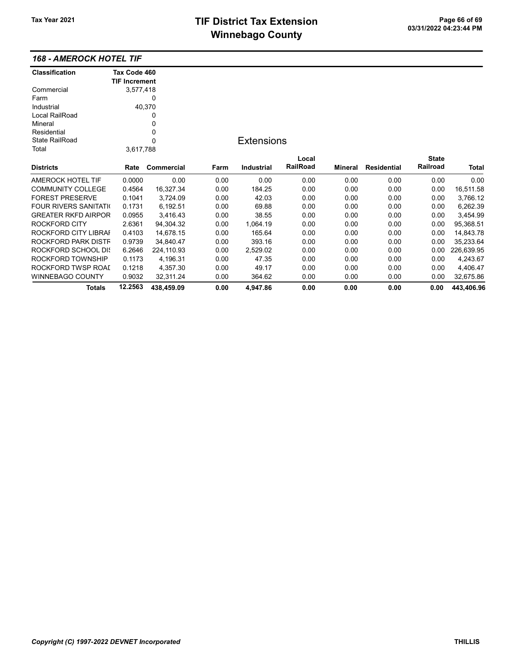# TIF District Tax Extension<br>
M's sales and Canada page 11 and the page of the Page 20 and the Page 20 and the Page 11 and the Page 11 and t **Winnebago County**

### 168 - AMEROCK HOTEL TIF

| <b>Classification</b>         | Tax Code 460         |            |      |                   |          |         |             |              |            |
|-------------------------------|----------------------|------------|------|-------------------|----------|---------|-------------|--------------|------------|
|                               | <b>TIF Increment</b> |            |      |                   |          |         |             |              |            |
| Commercial                    | 3,577,418            |            |      |                   |          |         |             |              |            |
| Farm                          |                      | 0          |      |                   |          |         |             |              |            |
| Industrial                    |                      | 40,370     |      |                   |          |         |             |              |            |
| Local RailRoad                |                      | 0          |      |                   |          |         |             |              |            |
| Mineral                       |                      | 0          |      |                   |          |         |             |              |            |
| Residential                   |                      | 0          |      |                   |          |         |             |              |            |
| <b>State RailRoad</b>         | 0                    |            |      | <b>Extensions</b> |          |         |             |              |            |
| Total                         | 3,617,788            |            |      |                   |          |         |             |              |            |
|                               |                      |            |      |                   | Local    |         |             | <b>State</b> |            |
| <b>Districts</b>              | Rate                 | Commercial | Farm | <b>Industrial</b> | RailRoad | Mineral | Residential | Railroad     | Total      |
| <b>AMEROCK HOTEL TIF</b>      | 0.0000               | 0.00       | 0.00 | 0.00              | 0.00     | 0.00    | 0.00        | 0.00         | 0.00       |
| <b>COMMUNITY COLLEGE</b>      | 0.4564               | 16,327.34  | 0.00 | 184.25            | 0.00     | 0.00    | 0.00        | 0.00         | 16,511.58  |
| <b>FOREST PRESERVE</b>        | 0.1041               | 3,724.09   | 0.00 | 42.03             | 0.00     | 0.00    | 0.00        | 0.00         | 3,766.12   |
| <b>FOUR RIVERS SANITATION</b> | 0.1731               | 6,192.51   | 0.00 | 69.88             | 0.00     | 0.00    | 0.00        | 0.00         | 6,262.39   |
| <b>GREATER RKFD AIRPOR</b>    | 0.0955               | 3,416.43   | 0.00 | 38.55             | 0.00     | 0.00    | 0.00        | 0.00         | 3,454.99   |
| <b>ROCKFORD CITY</b>          | 2.6361               | 94,304.32  | 0.00 | 1,064.19          | 0.00     | 0.00    | 0.00        | 0.00         | 95,368.51  |
| ROCKFORD CITY LIBRAI          | 0.4103               | 14,678.15  | 0.00 | 165.64            | 0.00     | 0.00    | 0.00        | 0.00         | 14,843.78  |
| ROCKFORD PARK DISTF           | 0.9739               | 34,840.47  | 0.00 | 393.16            | 0.00     | 0.00    | 0.00        | 0.00         | 35,233.64  |
| <b>ROCKFORD SCHOOL DIS</b>    | 6.2646               | 224,110.93 | 0.00 | 2,529.02          | 0.00     | 0.00    | 0.00        | 0.00         | 226,639.95 |
| ROCKFORD TOWNSHIP             | 0.1173               | 4,196.31   | 0.00 | 47.35             | 0.00     | 0.00    | 0.00        | 0.00         | 4,243.67   |
| ROCKFORD TWSP ROAI            | 0.1218               | 4,357.30   | 0.00 | 49.17             | 0.00     | 0.00    | 0.00        | 0.00         | 4,406.47   |
| <b>WINNEBAGO COUNTY</b>       | 0.9032               | 32,311.24  | 0.00 | 364.62            | 0.00     | 0.00    | 0.00        | 0.00         | 32,675.86  |
| <b>Totals</b>                 | 12.2563              | 438,459.09 | 0.00 | 4,947.86          | 0.00     | 0.00    | 0.00        | 0.00         | 443,406.96 |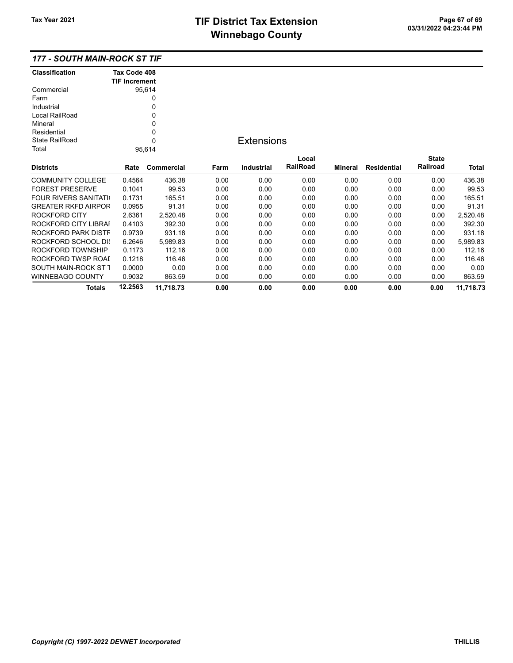| Classification                | Tax Code 408         |            |      |                   |          |         |                    |              |           |
|-------------------------------|----------------------|------------|------|-------------------|----------|---------|--------------------|--------------|-----------|
|                               | <b>TIF Increment</b> |            |      |                   |          |         |                    |              |           |
| Commercial                    |                      | 95,614     |      |                   |          |         |                    |              |           |
| Farm                          |                      | 0          |      |                   |          |         |                    |              |           |
| Industrial                    |                      | 0          |      |                   |          |         |                    |              |           |
| Local RailRoad                |                      | 0          |      |                   |          |         |                    |              |           |
| Mineral                       |                      | 0          |      |                   |          |         |                    |              |           |
| Residential                   |                      | 0          |      |                   |          |         |                    |              |           |
| <b>State RailRoad</b>         | $\mathbf 0$          |            |      | <b>Extensions</b> |          |         |                    |              |           |
| Total                         |                      | 95,614     |      |                   |          |         |                    |              |           |
|                               |                      |            |      |                   | Local    |         |                    | <b>State</b> |           |
| <b>Districts</b>              | Rate                 | Commercial | Farm | <b>Industrial</b> | RailRoad | Mineral | <b>Residential</b> | Railroad     | Total     |
| <b>COMMUNITY COLLEGE</b>      | 0.4564               | 436.38     | 0.00 | 0.00              | 0.00     | 0.00    | 0.00               | 0.00         | 436.38    |
| <b>FOREST PRESERVE</b>        | 0.1041               | 99.53      | 0.00 | 0.00              | 0.00     | 0.00    | 0.00               | 0.00         | 99.53     |
| <b>FOUR RIVERS SANITATION</b> | 0.1731               | 165.51     | 0.00 | 0.00              | 0.00     | 0.00    | 0.00               | 0.00         | 165.51    |
| <b>GREATER RKFD AIRPOR</b>    | 0.0955               | 91.31      | 0.00 | 0.00              | 0.00     | 0.00    | 0.00               | 0.00         | 91.31     |
| ROCKFORD CITY                 | 2.6361               | 2,520.48   | 0.00 | 0.00              | 0.00     | 0.00    | 0.00               | 0.00         | 2,520.48  |
| ROCKFORD CITY LIBRAI          | 0.4103               | 392.30     | 0.00 | 0.00              | 0.00     | 0.00    | 0.00               | 0.00         | 392.30    |
| ROCKFORD PARK DISTF           | 0.9739               | 931.18     | 0.00 | 0.00              | 0.00     | 0.00    | 0.00               | 0.00         | 931.18    |
| ROCKFORD SCHOOL DIS           | 6.2646               | 5,989.83   | 0.00 | 0.00              | 0.00     | 0.00    | 0.00               | 0.00         | 5,989.83  |
| ROCKFORD TOWNSHIP             | 0.1173               | 112.16     | 0.00 | 0.00              | 0.00     | 0.00    | 0.00               | 0.00         | 112.16    |
| ROCKFORD TWSP ROAI            | 0.1218               | 116.46     | 0.00 | 0.00              | 0.00     | 0.00    | 0.00               | 0.00         | 116.46    |
| SOUTH MAIN-ROCK ST T          | 0.0000               | 0.00       | 0.00 | 0.00              | 0.00     | 0.00    | 0.00               | 0.00         | 0.00      |
| WINNEBAGO COUNTY              | 0.9032               | 863.59     | 0.00 | 0.00              | 0.00     | 0.00    | 0.00               | 0.00         | 863.59    |
| Totals                        | 12.2563              | 11,718.73  | 0.00 | 0.00              | 0.00     | 0.00    | 0.00               | 0.00         | 11,718.73 |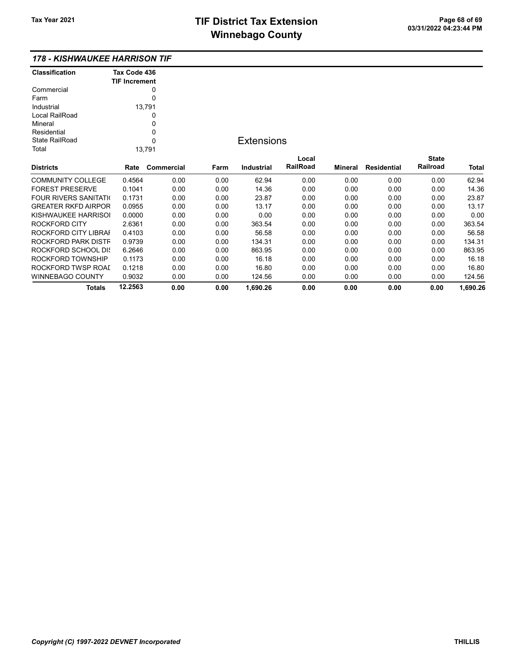### 178 - KISHWAUKEE HARRISON TIF

| <b>Classification</b> | Tax Code 436<br><b>TIF Increment</b> |
|-----------------------|--------------------------------------|
| Commercial            | 0                                    |
| Farm                  |                                      |
| Industrial            | 13,791                               |
| Local RailRoad        |                                      |
| Mineral               | 0                                    |
| Residential           | ŋ                                    |
| State RailRoad        | U                                    |
| Total                 | 13.791                               |

### **Extensions**

| <b>Districts</b>              | Rate    | Commercial | Farm | Industrial | Local<br><b>RailRoad</b> | Mineral | Residential | <b>State</b><br>Railroad | <b>Total</b> |
|-------------------------------|---------|------------|------|------------|--------------------------|---------|-------------|--------------------------|--------------|
| <b>COMMUNITY COLLEGE</b>      | 0.4564  | 0.00       | 0.00 | 62.94      | 0.00                     | 0.00    | 0.00        | 0.00                     | 62.94        |
| <b>FOREST PRESERVE</b>        | 0.1041  | 0.00       | 0.00 | 14.36      | 0.00                     | 0.00    | 0.00        | 0.00                     | 14.36        |
| <b>FOUR RIVERS SANITATION</b> | 0.1731  | 0.00       | 0.00 | 23.87      | 0.00                     | 0.00    | 0.00        | 0.00                     | 23.87        |
| <b>GREATER RKFD AIRPOR</b>    | 0.0955  | 0.00       | 0.00 | 13.17      | 0.00                     | 0.00    | 0.00        | 0.00                     | 13.17        |
| KISHWAUKEE HARRISOL           | 0.0000  | 0.00       | 0.00 | 0.00       | 0.00                     | 0.00    | 0.00        | 0.00                     | 0.00         |
| ROCKFORD CITY                 | 2.6361  | 0.00       | 0.00 | 363.54     | 0.00                     | 0.00    | 0.00        | 0.00                     | 363.54       |
| ROCKFORD CITY LIBRAL          | 0.4103  | 0.00       | 0.00 | 56.58      | 0.00                     | 0.00    | 0.00        | 0.00                     | 56.58        |
| ROCKFORD PARK DISTF           | 0.9739  | 0.00       | 0.00 | 134.31     | 0.00                     | 0.00    | 0.00        | 0.00                     | 134.31       |
| ROCKFORD SCHOOL DIS           | 6.2646  | 0.00       | 0.00 | 863.95     | 0.00                     | 0.00    | 0.00        | 0.00                     | 863.95       |
| ROCKFORD TOWNSHIP             | 0.1173  | 0.00       | 0.00 | 16.18      | 0.00                     | 0.00    | 0.00        | 0.00                     | 16.18        |
| ROCKFORD TWSP ROAL            | 0.1218  | 0.00       | 0.00 | 16.80      | 0.00                     | 0.00    | 0.00        | 0.00                     | 16.80        |
| WINNEBAGO COUNTY              | 0.9032  | 0.00       | 0.00 | 124.56     | 0.00                     | 0.00    | 0.00        | 0.00                     | 124.56       |
| Totals                        | 12.2563 | 0.00       | 0.00 | 1.690.26   | 0.00                     | 0.00    | 0.00        | 0.00                     | 1.690.26     |